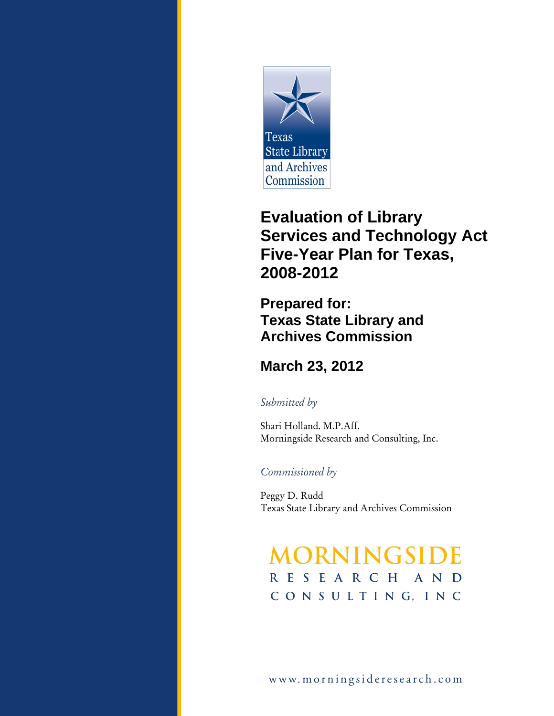

# **Evaluation of Library Services and Technology Act Five-Year Plan for Texas, 2008-2012**

**Prepared for: Texas State Library and Archives Commission** 

### **March 23, 2012**

#### *Submitted by*

Shari Holland. M.P.Aff. Morningside Research and Consulting, Inc.

#### *Commissioned by*

Peggy D. Rudd Texas State Library and Archives Commission

# **Morningside Research ANDC o n s u l t i n G, I n c**

www.morningsideresearch.com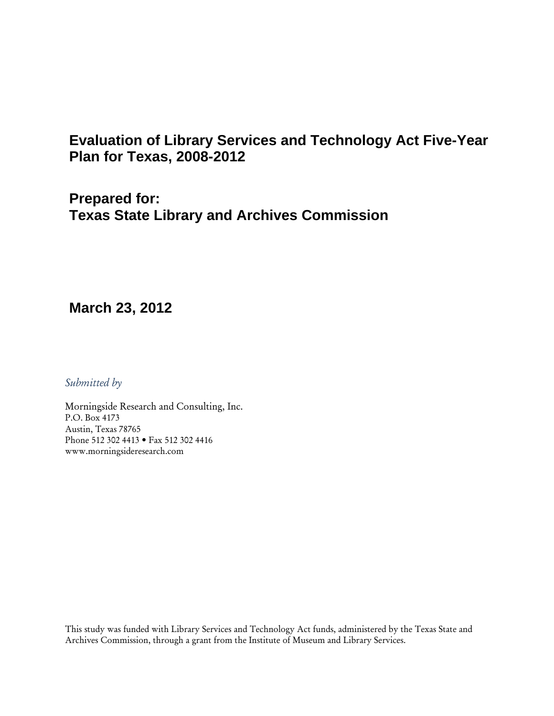### **Evaluation of Library Services and Technology Act Five-Year Plan for Texas, 2008-2012**

**Prepared for: Texas State Library and Archives Commission** 

#### **March 23, 2012**

*Submitted by* 

Morningside Research and Consulting, Inc. P.O. Box 4173 Austin, Texas 78765 Phone 512 302 4413 • Fax 512 302 4416 www.morningsideresearch.com

This study was funded with Library Services and Technology Act funds, administered by the Texas State and Archives Commission, through a grant from the Institute of Museum and Library Services.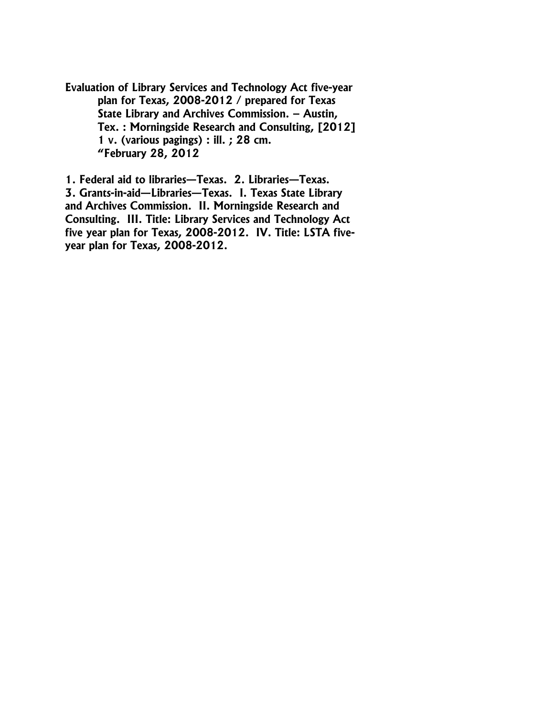**Evaluation of Library Services and Technology Act five-year plan for Texas, 2008-2012 / prepared for Texas State Library and Archives Commission. – Austin, Tex. : Morningside Research and Consulting, [2012] 1 v. (various pagings) : ill. ; 28 cm. "February 28, 2012** 

**1. Federal aid to libraries—Texas. 2. Libraries—Texas. 3. Grants-in-aid—Libraries—Texas. I. Texas State Library and Archives Commission. II. Morningside Research and Consulting. III. Title: Library Services and Technology Act five year plan for Texas, 2008-2012. IV. Title: LSTA fiveyear plan for Texas, 2008-2012.**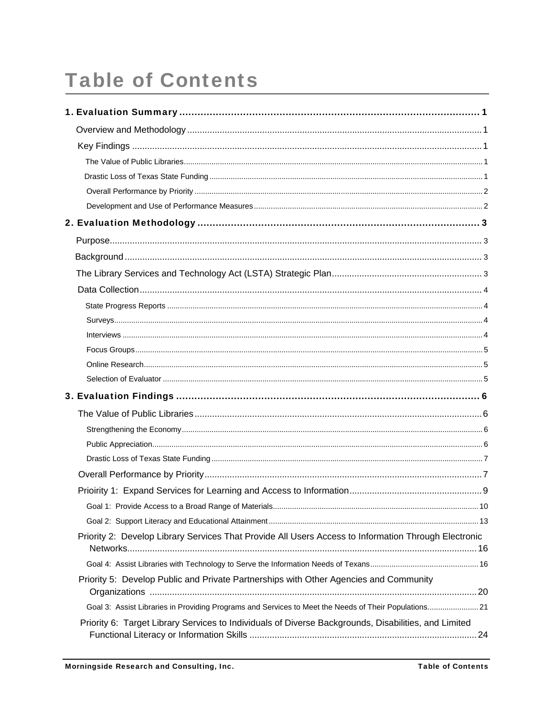# **Table of Contents**

|                                                                                                       | 10 |
|-------------------------------------------------------------------------------------------------------|----|
|                                                                                                       |    |
| Priority 2: Develop Library Services That Provide All Users Access to Information Through Electronic  |    |
|                                                                                                       |    |
| Priority 5: Develop Public and Private Partnerships with Other Agencies and Community                 |    |
| Goal 3: Assist Libraries in Providing Programs and Services to Meet the Needs of Their Populations 21 |    |
| Priority 6: Target Library Services to Individuals of Diverse Backgrounds, Disabilities, and Limited  |    |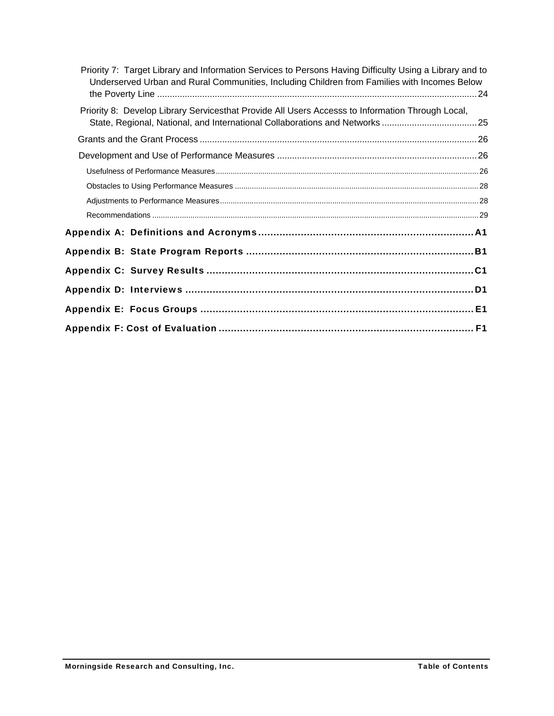| Priority 7: Target Library and Information Services to Persons Having Difficulty Using a Library and to<br>Underserved Urban and Rural Communities, Including Children from Families with Incomes Below |
|---------------------------------------------------------------------------------------------------------------------------------------------------------------------------------------------------------|
| Priority 8: Develop Library Servicesthat Provide All Users Accesss to Information Through Local,<br>State, Regional, National, and International Collaborations and Networks 25                         |
|                                                                                                                                                                                                         |
|                                                                                                                                                                                                         |
|                                                                                                                                                                                                         |
|                                                                                                                                                                                                         |
|                                                                                                                                                                                                         |
|                                                                                                                                                                                                         |
|                                                                                                                                                                                                         |
|                                                                                                                                                                                                         |
|                                                                                                                                                                                                         |
| Appendix D: Interviews …………………………………………………………………………………D1                                                                                                                                                |
| Appendix E: Focus Groups …………………………………………………………………………………E1                                                                                                                                              |
|                                                                                                                                                                                                         |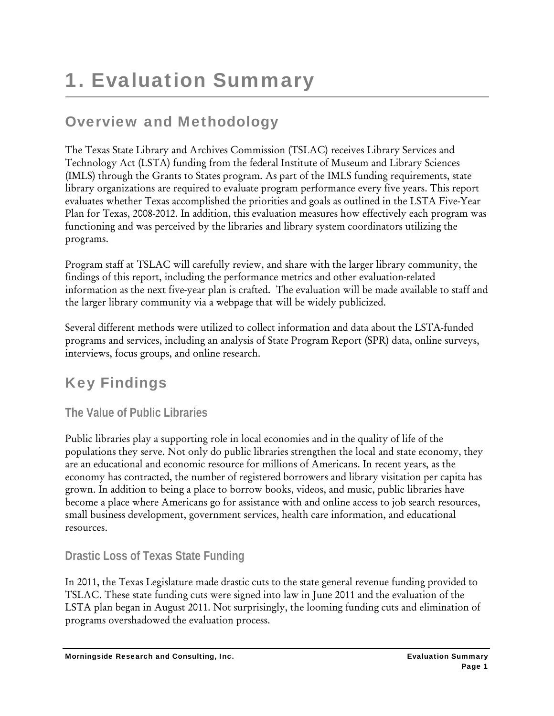# Overview and Methodology

The Texas State Library and Archives Commission (TSLAC) receives Library Services and Technology Act (LSTA) funding from the federal Institute of Museum and Library Sciences (IMLS) through the Grants to States program. As part of the IMLS funding requirements, state library organizations are required to evaluate program performance every five years. This report evaluates whether Texas accomplished the priorities and goals as outlined in the LSTA Five-Year Plan for Texas, 2008-2012. In addition, this evaluation measures how effectively each program was functioning and was perceived by the libraries and library system coordinators utilizing the programs.

Program staff at TSLAC will carefully review, and share with the larger library community, the findings of this report, including the performance metrics and other evaluation-related information as the next five-year plan is crafted. The evaluation will be made available to staff and the larger library community via a webpage that will be widely publicized.

Several different methods were utilized to collect information and data about the LSTA-funded programs and services, including an analysis of State Program Report (SPR) data, online surveys, interviews, focus groups, and online research.

# Key Findings

#### **The Value of Public Libraries**

Public libraries play a supporting role in local economies and in the quality of life of the populations they serve. Not only do public libraries strengthen the local and state economy, they are an educational and economic resource for millions of Americans. In recent years, as the economy has contracted, the number of registered borrowers and library visitation per capita has grown. In addition to being a place to borrow books, videos, and music, public libraries have become a place where Americans go for assistance with and online access to job search resources, small business development, government services, health care information, and educational resources.

#### **Drastic Loss of Texas State Funding**

In 2011, the Texas Legislature made drastic cuts to the state general revenue funding provided to TSLAC. These state funding cuts were signed into law in June 2011 and the evaluation of the LSTA plan began in August 2011. Not surprisingly, the looming funding cuts and elimination of programs overshadowed the evaluation process.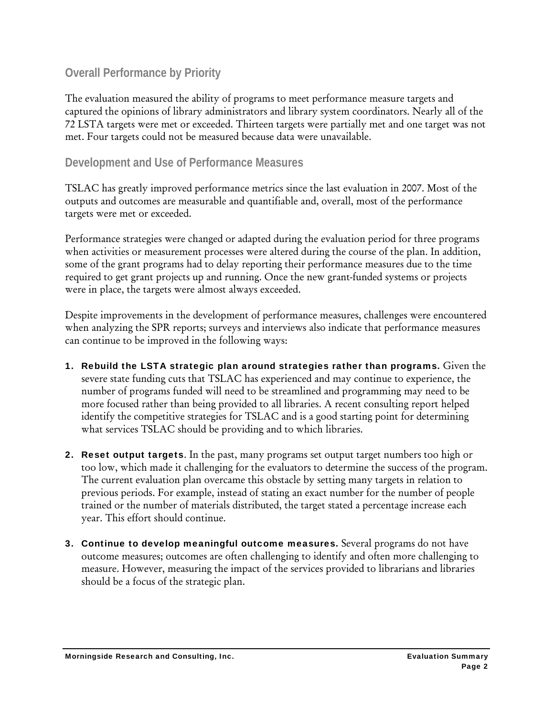#### **Overall Performance by Priority**

The evaluation measured the ability of programs to meet performance measure targets and captured the opinions of library administrators and library system coordinators. Nearly all of the 72 LSTA targets were met or exceeded. Thirteen targets were partially met and one target was not met. Four targets could not be measured because data were unavailable.

#### **Development and Use of Performance Measures**

TSLAC has greatly improved performance metrics since the last evaluation in 2007. Most of the outputs and outcomes are measurable and quantifiable and, overall, most of the performance targets were met or exceeded.

Performance strategies were changed or adapted during the evaluation period for three programs when activities or measurement processes were altered during the course of the plan. In addition, some of the grant programs had to delay reporting their performance measures due to the time required to get grant projects up and running. Once the new grant-funded systems or projects were in place, the targets were almost always exceeded.

Despite improvements in the development of performance measures, challenges were encountered when analyzing the SPR reports; surveys and interviews also indicate that performance measures can continue to be improved in the following ways:

- 1. Rebuild the LSTA strategic plan around strategies rather than programs. Given the severe state funding cuts that TSLAC has experienced and may continue to experience, the number of programs funded will need to be streamlined and programming may need to be more focused rather than being provided to all libraries. A recent consulting report helped identify the competitive strategies for TSLAC and is a good starting point for determining what services TSLAC should be providing and to which libraries.
- **2. Reset output targets.** In the past, many programs set output target numbers too high or too low, which made it challenging for the evaluators to determine the success of the program. The current evaluation plan overcame this obstacle by setting many targets in relation to previous periods. For example, instead of stating an exact number for the number of people trained or the number of materials distributed, the target stated a percentage increase each year. This effort should continue.
- **3. Continue to develop meaningful outcome measures.** Several programs do not have outcome measures; outcomes are often challenging to identify and often more challenging to measure. However, measuring the impact of the services provided to librarians and libraries should be a focus of the strategic plan.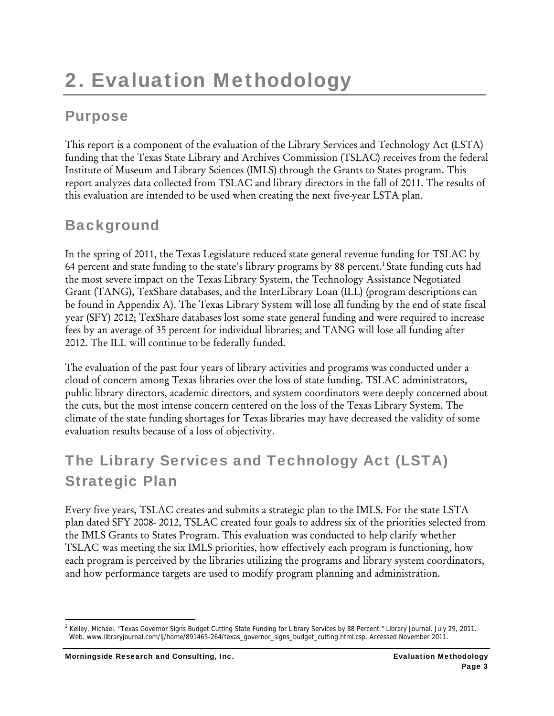# 2. Evaluation Methodology

# Purpose

This report is a component of the evaluation of the Library Services and Technology Act (LSTA) funding that the Texas State Library and Archives Commission (TSLAC) receives from the federal Institute of Museum and Library Sciences (IMLS) through the Grants to States program. This report analyzes data collected from TSLAC and library directors in the fall of 2011. The results of this evaluation are intended to be used when creating the next five-year LSTA plan.

# **Background**

In the spring of 2011, the Texas Legislature reduced state general revenue funding for TSLAC by 64 percent and state funding to the state's library programs by 88 percent.<sup>1</sup> State funding cuts had the most severe impact on the Texas Library System, the Technology Assistance Negotiated Grant (TANG), TexShare databases, and the InterLibrary Loan (ILL) (program descriptions can be found in Appendix A). The Texas Library System will lose all funding by the end of state fiscal year (SFY) 2012; TexShare databases lost some state general funding and were required to increase fees by an average of 35 percent for individual libraries; and TANG will lose all funding after 2012. The ILL will continue to be federally funded.

The evaluation of the past four years of library activities and programs was conducted under a cloud of concern among Texas libraries over the loss of state funding. TSLAC administrators, public library directors, academic directors, and system coordinators were deeply concerned about the cuts, but the most intense concern centered on the loss of the Texas Library System. The climate of the state funding shortages for Texas libraries may have decreased the validity of some evaluation results because of a loss of objectivity.

# The Library Services and Technology Act (LSTA) Strategic Plan

Every five years, TSLAC creates and submits a strategic plan to the IMLS. For the state LSTA plan dated SFY 2008- 2012, TSLAC created four goals to address six of the priorities selected from the IMLS Grants to States Program. This evaluation was conducted to help clarify whether TSLAC was meeting the six IMLS priorities, how effectively each program is functioning, how each program is perceived by the libraries utilizing the programs and library system coordinators, and how performance targets are used to modify program planning and administration.

<sup>&</sup>lt;sup>1</sup> Kelley, Michael. "Texas Governor Signs Budget Cutting State Funding for Library Services by 88 Percent." Library Journal. July 29, 2011. Web. www.libraryjournal.com/lj/home/891465-264/texas\_governor\_signs\_budget\_cutting.html.csp. Accessed November 2011.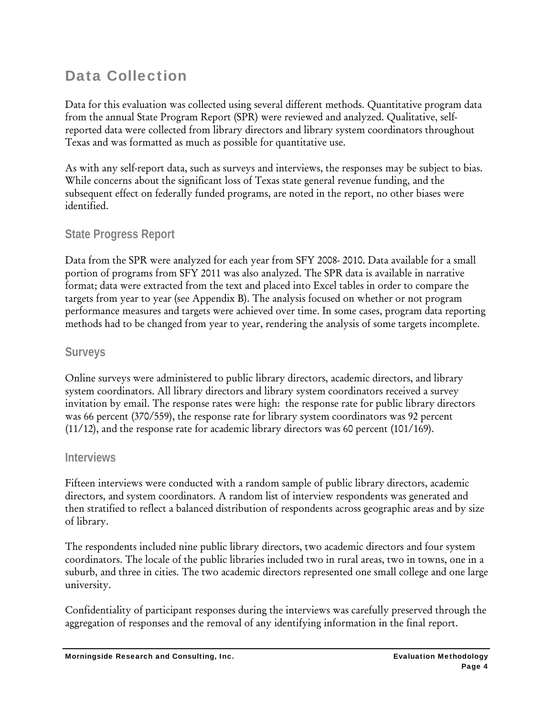# Data Collection

Data for this evaluation was collected using several different methods. Quantitative program data from the annual State Program Report (SPR) were reviewed and analyzed. Qualitative, selfreported data were collected from library directors and library system coordinators throughout Texas and was formatted as much as possible for quantitative use.

As with any self-report data, such as surveys and interviews, the responses may be subject to bias. While concerns about the significant loss of Texas state general revenue funding, and the subsequent effect on federally funded programs, are noted in the report, no other biases were identified.

#### **State Progress Report**

Data from the SPR were analyzed for each year from SFY 2008- 2010. Data available for a small portion of programs from SFY 2011 was also analyzed. The SPR data is available in narrative format; data were extracted from the text and placed into Excel tables in order to compare the targets from year to year (see Appendix B). The analysis focused on whether or not program performance measures and targets were achieved over time. In some cases, program data reporting methods had to be changed from year to year, rendering the analysis of some targets incomplete.

#### **Surveys**

Online surveys were administered to public library directors, academic directors, and library system coordinators. All library directors and library system coordinators received a survey invitation by email. The response rates were high: the response rate for public library directors was 66 percent (370/559), the response rate for library system coordinators was 92 percent (11/12), and the response rate for academic library directors was 60 percent (101/169).

#### **Interviews**

Fifteen interviews were conducted with a random sample of public library directors, academic directors, and system coordinators. A random list of interview respondents was generated and then stratified to reflect a balanced distribution of respondents across geographic areas and by size of library.

The respondents included nine public library directors, two academic directors and four system coordinators. The locale of the public libraries included two in rural areas, two in towns, one in a suburb, and three in cities. The two academic directors represented one small college and one large university.

Confidentiality of participant responses during the interviews was carefully preserved through the aggregation of responses and the removal of any identifying information in the final report.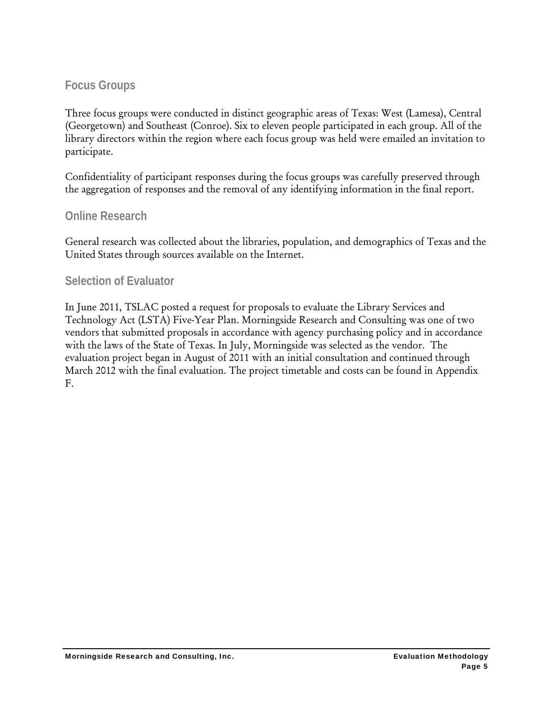#### **Focus Groups**

Three focus groups were conducted in distinct geographic areas of Texas: West (Lamesa), Central (Georgetown) and Southeast (Conroe). Six to eleven people participated in each group. All of the library directors within the region where each focus group was held were emailed an invitation to participate.

Confidentiality of participant responses during the focus groups was carefully preserved through the aggregation of responses and the removal of any identifying information in the final report.

#### **Online Research**

General research was collected about the libraries, population, and demographics of Texas and the United States through sources available on the Internet.

#### **Selection of Evaluator**

In June 2011, TSLAC posted a request for proposals to evaluate the Library Services and Technology Act (LSTA) Five-Year Plan. Morningside Research and Consulting was one of two vendors that submitted proposals in accordance with agency purchasing policy and in accordance with the laws of the State of Texas. In July, Morningside was selected as the vendor. The evaluation project began in August of 2011 with an initial consultation and continued through March 2012 with the final evaluation. The project timetable and costs can be found in Appendix F.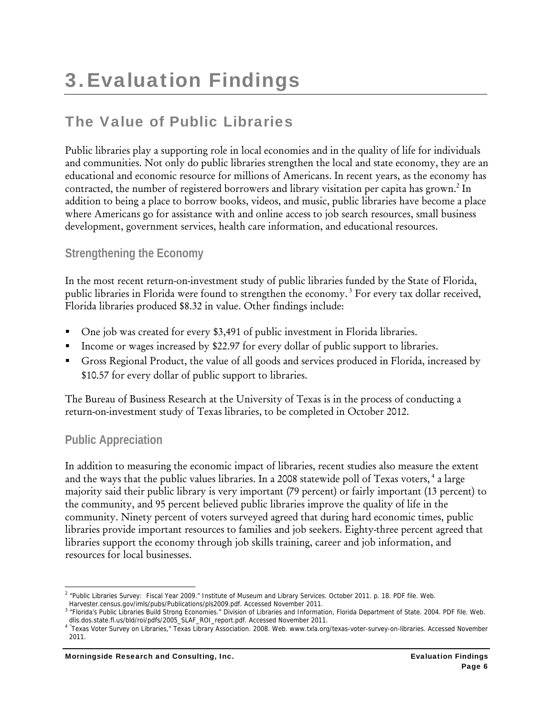# The Value of Public Libraries

Public libraries play a supporting role in local economies and in the quality of life for individuals and communities. Not only do public libraries strengthen the local and state economy, they are an educational and economic resource for millions of Americans. In recent years, as the economy has contracted, the number of registered borrowers and library visitation per capita has grown.<sup>2</sup> In addition to being a place to borrow books, videos, and music, public libraries have become a place where Americans go for assistance with and online access to job search resources, small business development, government services, health care information, and educational resources.

#### **Strengthening the Economy**

In the most recent return-on-investment study of public libraries funded by the State of Florida, public libraries in Florida were found to strengthen the economy. 3 For every tax dollar received, Florida libraries produced \$8.32 in value. Other findings include:

- One job was created for every \$3,491 of public investment in Florida libraries.
- Income or wages increased by \$22.97 for every dollar of public support to libraries.
- Gross Regional Product, the value of all goods and services produced in Florida, increased by \$10.57 for every dollar of public support to libraries.

The Bureau of Business Research at the University of Texas is in the process of conducting a return-on-investment study of Texas libraries, to be completed in October 2012.

#### **Public Appreciation**

In addition to measuring the economic impact of libraries, recent studies also measure the extent and the ways that the public values libraries. In a 2008 statewide poll of Texas voters,<sup>4</sup> a large majority said their public library is very important (79 percent) or fairly important (13 percent) to the community, and 95 percent believed public libraries improve the quality of life in the community. Ninety percent of voters surveyed agreed that during hard economic times, public libraries provide important resources to families and job seekers. Eighty-three percent agreed that libraries support the economy through job skills training, career and job information, and resources for local businesses.

 <sup>2</sup> "Public Libraries Survey: Fiscal Year 2009." Institute of Museum and Library Services. October 2011. p. 18. PDF file. Web. Harvester.census.gov/imls/pubs/Publications/pls2009.pdf. Accessed November 2011.

<sup>&</sup>lt;sup>3</sup> "Florida's Public Libraries Build Strong Economies." Division of Libraries and Information, Florida Department of State. 2004. PDF file. Web. dlis.dos.state.fl.us/bld/roi/pdfs/2005\_SLAF\_ROI\_report.pdf. Accessed November 2011.

Texas Voter Survey on Libraries," Texas Library Association. 2008. Web. www.txla.org/texas-voter-survey-on-libraries. Accessed November 2011.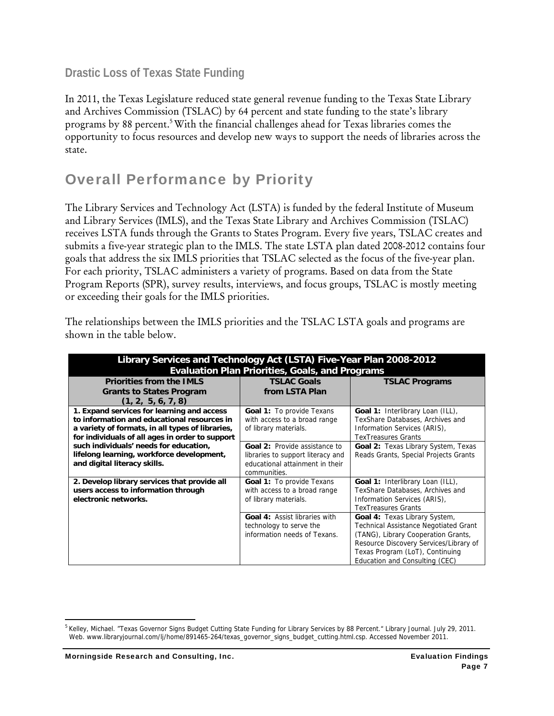#### **Drastic Loss of Texas State Funding**

In 2011, the Texas Legislature reduced state general revenue funding to the Texas State Library and Archives Commission (TSLAC) by 64 percent and state funding to the state's library programs by 88 percent.<sup>5</sup> With the financial challenges ahead for Texas libraries comes the opportunity to focus resources and develop new ways to support the needs of libraries across the state.

## Overall Performance by Priority

The Library Services and Technology Act (LSTA) is funded by the federal Institute of Museum and Library Services (IMLS), and the Texas State Library and Archives Commission (TSLAC) receives LSTA funds through the Grants to States Program. Every five years, TSLAC creates and submits a five-year strategic plan to the IMLS. The state LSTA plan dated 2008-2012 contains four goals that address the six IMLS priorities that TSLAC selected as the focus of the five-year plan. For each priority, TSLAC administers a variety of programs. Based on data from the State Program Reports (SPR), survey results, interviews, and focus groups, TSLAC is mostly meeting or exceeding their goals for the IMLS priorities.

| Library Services and Technology Act (LSTA) Five-Year Plan 2008-2012<br><b>Evaluation Plan Priorities, Goals, and Programs</b>                                                                    |                                                                                                                       |                                                                                                                                                                                                                                     |  |  |  |  |
|--------------------------------------------------------------------------------------------------------------------------------------------------------------------------------------------------|-----------------------------------------------------------------------------------------------------------------------|-------------------------------------------------------------------------------------------------------------------------------------------------------------------------------------------------------------------------------------|--|--|--|--|
| <b>Priorities from the IMLS</b>                                                                                                                                                                  | <b>TSLAC Goals</b>                                                                                                    | <b>TSLAC Programs</b>                                                                                                                                                                                                               |  |  |  |  |
| <b>Grants to States Program</b><br>(1, 2, 5, 6, 7, 8)                                                                                                                                            | from LSTA Plan                                                                                                        |                                                                                                                                                                                                                                     |  |  |  |  |
| 1. Expand services for learning and access<br>to information and educational resources in<br>a variety of formats, in all types of libraries,<br>for individuals of all ages in order to support | <b>Goal 1:</b> To provide Texans<br>with access to a broad range<br>of library materials.                             | Goal 1: Interlibrary Loan (ILL),<br>TexShare Databases, Archives and<br>Information Services (ARIS),<br><b>TexTreasures Grants</b>                                                                                                  |  |  |  |  |
| such individuals' needs for education,<br>lifelong learning, workforce development,<br>and digital literacy skills.                                                                              | Goal 2: Provide assistance to<br>libraries to support literacy and<br>educational attainment in their<br>communities. | Goal 2: Texas Library System, Texas<br>Reads Grants, Special Projects Grants                                                                                                                                                        |  |  |  |  |
| 2. Develop library services that provide all<br>users access to information through<br>electronic networks.                                                                                      | Goal 1: To provide Texans<br>with access to a broad range<br>of library materials.                                    | Goal 1: Interlibrary Loan (ILL),<br>TexShare Databases, Archives and<br>Information Services (ARIS),<br><b>TexTreasures Grants</b>                                                                                                  |  |  |  |  |
|                                                                                                                                                                                                  | Goal 4: Assist libraries with<br>technology to serve the<br>information needs of Texans.                              | Goal 4: Texas Library System,<br><b>Technical Assistance Negotiated Grant</b><br>(TANG), Library Cooperation Grants,<br>Resource Discovery Services/Library of<br>Texas Program (LoT), Continuing<br>Education and Consulting (CEC) |  |  |  |  |

The relationships between the IMLS priorities and the TSLAC LSTA goals and programs are shown in the table below.

<sup>&</sup>lt;sup>5</sup> Kelley, Michael. "Texas Governor Signs Budget Cutting State Funding for Library Services by 88 Percent." Library Journal. July 29, 2011. Web. www.libraryjournal.com/lj/home/891465-264/texas\_governor\_signs\_budget\_cutting.html.csp. Accessed November 2011.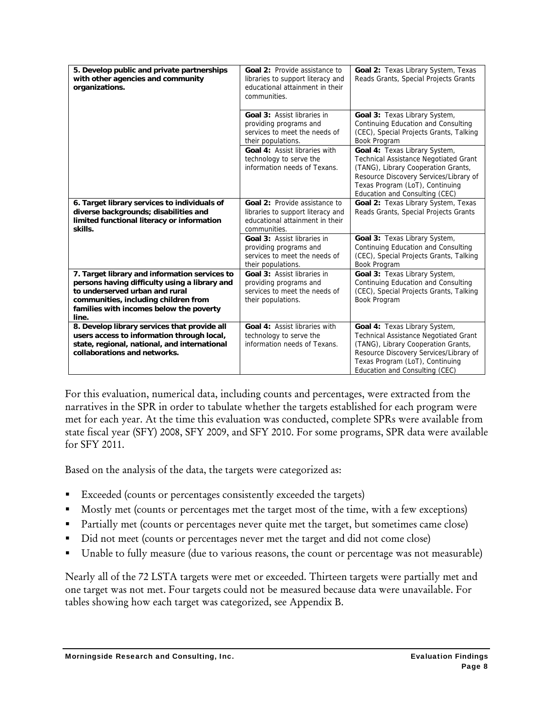| 5. Develop public and private partnerships<br>with other agencies and community<br>organizations.                                                                                                                            | <b>Goal 2: Provide assistance to</b><br>libraries to support literacy and<br>educational attainment in their<br>communities. | Goal 2: Texas Library System, Texas<br>Reads Grants, Special Projects Grants                                                                                                                                                        |
|------------------------------------------------------------------------------------------------------------------------------------------------------------------------------------------------------------------------------|------------------------------------------------------------------------------------------------------------------------------|-------------------------------------------------------------------------------------------------------------------------------------------------------------------------------------------------------------------------------------|
|                                                                                                                                                                                                                              | <b>Goal 3: Assist libraries in</b><br>providing programs and<br>services to meet the needs of<br>their populations.          | Goal 3: Texas Library System,<br>Continuing Education and Consulting<br>(CEC), Special Projects Grants, Talking<br>Book Program                                                                                                     |
|                                                                                                                                                                                                                              | Goal 4: Assist libraries with<br>technology to serve the<br>information needs of Texans.                                     | Goal 4: Texas Library System,<br><b>Technical Assistance Negotiated Grant</b><br>(TANG), Library Cooperation Grants,<br>Resource Discovery Services/Library of<br>Texas Program (LoT), Continuing<br>Education and Consulting (CEC) |
| 6. Target library services to individuals of<br>diverse backgrounds; disabilities and<br>limited functional literacy or information<br>skills.                                                                               | Goal 2: Provide assistance to<br>libraries to support literacy and<br>educational attainment in their<br>communities.        | Goal 2: Texas Library System, Texas<br>Reads Grants, Special Projects Grants                                                                                                                                                        |
|                                                                                                                                                                                                                              | Goal 3: Assist libraries in<br>providing programs and<br>services to meet the needs of<br>their populations.                 | Goal 3: Texas Library System,<br>Continuing Education and Consulting<br>(CEC), Special Projects Grants, Talking<br>Book Program                                                                                                     |
| 7. Target library and information services to<br>persons having difficulty using a library and<br>to underserved urban and rural<br>communities, including children from<br>families with incomes below the poverty<br>line. | <b>Goal 3: Assist libraries in</b><br>providing programs and<br>services to meet the needs of<br>their populations.          | Goal 3: Texas Library System,<br>Continuing Education and Consulting<br>(CEC), Special Projects Grants, Talking<br>Book Program                                                                                                     |
| 8. Develop library services that provide all<br>users access to information through local,<br>state, regional, national, and international<br>collaborations and networks.                                                   | Goal 4: Assist libraries with<br>technology to serve the<br>information needs of Texans.                                     | Goal 4: Texas Library System,<br><b>Technical Assistance Negotiated Grant</b><br>(TANG), Library Cooperation Grants,<br>Resource Discovery Services/Library of<br>Texas Program (LoT), Continuing<br>Education and Consulting (CEC) |

For this evaluation, numerical data, including counts and percentages, were extracted from the narratives in the SPR in order to tabulate whether the targets established for each program were met for each year. At the time this evaluation was conducted, complete SPRs were available from state fiscal year (SFY) 2008, SFY 2009, and SFY 2010. For some programs, SPR data were available for SFY 2011.

Based on the analysis of the data, the targets were categorized as:

- Exceeded (counts or percentages consistently exceeded the targets)
- Mostly met (counts or percentages met the target most of the time, with a few exceptions)
- Partially met (counts or percentages never quite met the target, but sometimes came close)
- Did not meet (counts or percentages never met the target and did not come close)
- Unable to fully measure (due to various reasons, the count or percentage was not measurable)

Nearly all of the 72 LSTA targets were met or exceeded. Thirteen targets were partially met and one target was not met. Four targets could not be measured because data were unavailable. For tables showing how each target was categorized, see Appendix B.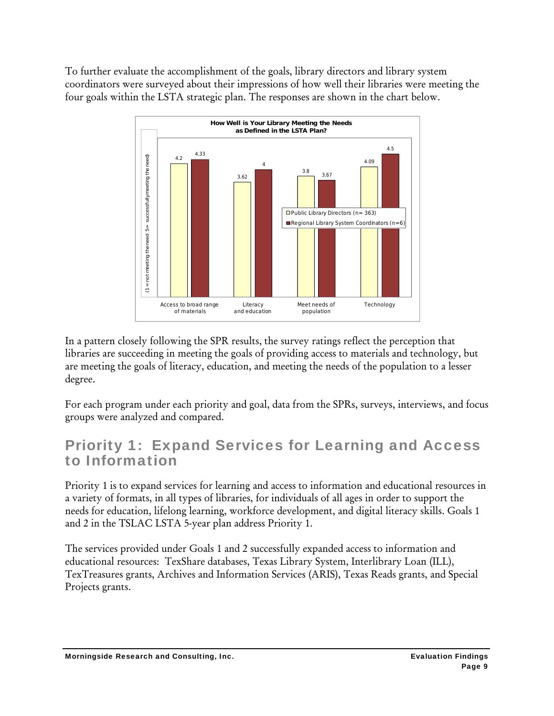To further evaluate the accomplishment of the goals, library directors and library system coordinators were surveyed about their impressions of how well their libraries were meeting the four goals within the LSTA strategic plan. The responses are shown in the chart below.



In a pattern closely following the SPR results, the survey ratings reflect the perception that libraries are succeeding in meeting the goals of providing access to materials and technology, but are meeting the goals of literacy, education, and meeting the needs of the population to a lesser degree.

For each program under each priority and goal, data from the SPRs, surveys, interviews, and focus groups were analyzed and compared.

## Priority 1: Expand Services for Learning and Access to Information

Priority 1 is to expand services for learning and access to information and educational resources in a variety of formats, in all types of libraries, for individuals of all ages in order to support the needs for education, lifelong learning, workforce development, and digital literacy skills. Goals 1 and 2 in the TSLAC LSTA 5-year plan address Priority 1.

The services provided under Goals 1 and 2 successfully expanded access to information and educational resources: TexShare databases, Texas Library System, Interlibrary Loan (ILL), TexTreasures grants, Archives and Information Services (ARIS), Texas Reads grants, and Special Projects grants.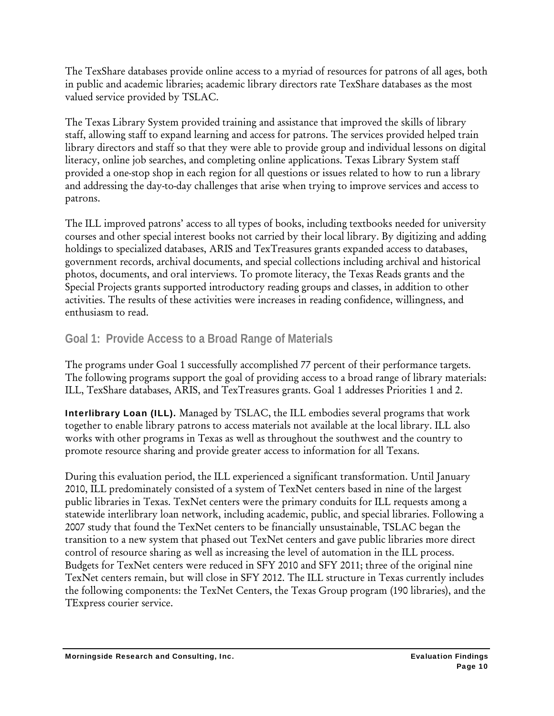The TexShare databases provide online access to a myriad of resources for patrons of all ages, both in public and academic libraries; academic library directors rate TexShare databases as the most valued service provided by TSLAC.

The Texas Library System provided training and assistance that improved the skills of library staff, allowing staff to expand learning and access for patrons. The services provided helped train library directors and staff so that they were able to provide group and individual lessons on digital literacy, online job searches, and completing online applications. Texas Library System staff provided a one-stop shop in each region for all questions or issues related to how to run a library and addressing the day-to-day challenges that arise when trying to improve services and access to patrons.

The ILL improved patrons' access to all types of books, including textbooks needed for university courses and other special interest books not carried by their local library. By digitizing and adding holdings to specialized databases, ARIS and TexTreasures grants expanded access to databases, government records, archival documents, and special collections including archival and historical photos, documents, and oral interviews. To promote literacy, the Texas Reads grants and the Special Projects grants supported introductory reading groups and classes, in addition to other activities. The results of these activities were increases in reading confidence, willingness, and enthusiasm to read.

#### **Goal 1: Provide Access to a Broad Range of Materials**

The programs under Goal 1 successfully accomplished 77 percent of their performance targets. The following programs support the goal of providing access to a broad range of library materials: ILL, TexShare databases, ARIS, and TexTreasures grants. Goal 1 addresses Priorities 1 and 2.

Interlibrary Loan (ILL). Managed by TSLAC, the ILL embodies several programs that work together to enable library patrons to access materials not available at the local library. ILL also works with other programs in Texas as well as throughout the southwest and the country to promote resource sharing and provide greater access to information for all Texans.

During this evaluation period, the ILL experienced a significant transformation. Until January 2010, ILL predominately consisted of a system of TexNet centers based in nine of the largest public libraries in Texas. TexNet centers were the primary conduits for ILL requests among a statewide interlibrary loan network, including academic, public, and special libraries. Following a 2007 study that found the TexNet centers to be financially unsustainable, TSLAC began the transition to a new system that phased out TexNet centers and gave public libraries more direct control of resource sharing as well as increasing the level of automation in the ILL process. Budgets for TexNet centers were reduced in SFY 2010 and SFY 2011; three of the original nine TexNet centers remain, but will close in SFY 2012. The ILL structure in Texas currently includes the following components: the TexNet Centers, the Texas Group program (190 libraries), and the TExpress courier service.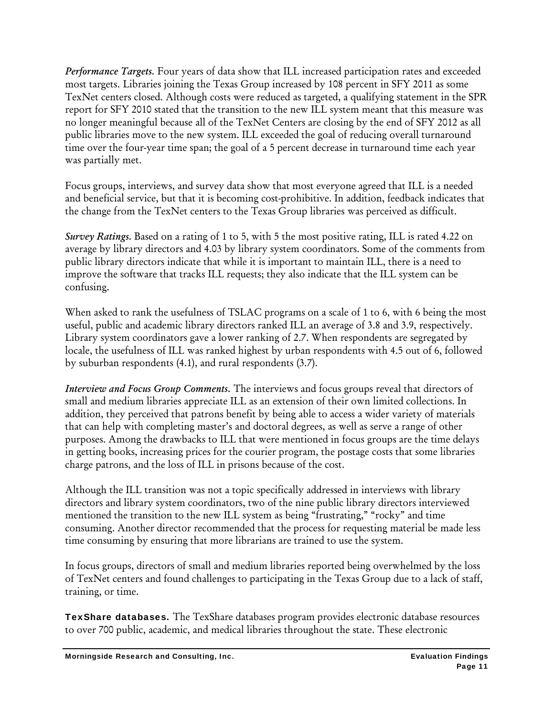*Performance Targets.* Four years of data show that ILL increased participation rates and exceeded most targets. Libraries joining the Texas Group increased by 108 percent in SFY 2011 as some TexNet centers closed. Although costs were reduced as targeted, a qualifying statement in the SPR report for SFY 2010 stated that the transition to the new ILL system meant that this measure was no longer meaningful because all of the TexNet Centers are closing by the end of SFY 2012 as all public libraries move to the new system. ILL exceeded the goal of reducing overall turnaround time over the four-year time span; the goal of a 5 percent decrease in turnaround time each year was partially met.

Focus groups, interviews, and survey data show that most everyone agreed that ILL is a needed and beneficial service, but that it is becoming cost-prohibitive. In addition, feedback indicates that the change from the TexNet centers to the Texas Group libraries was perceived as difficult.

*Survey Ratings.* Based on a rating of 1 to 5, with 5 the most positive rating, ILL is rated 4.22 on average by library directors and 4.03 by library system coordinators. Some of the comments from public library directors indicate that while it is important to maintain ILL, there is a need to improve the software that tracks ILL requests; they also indicate that the ILL system can be confusing.

When asked to rank the usefulness of TSLAC programs on a scale of 1 to 6, with 6 being the most useful, public and academic library directors ranked ILL an average of 3.8 and 3.9, respectively. Library system coordinators gave a lower ranking of 2.7. When respondents are segregated by locale, the usefulness of ILL was ranked highest by urban respondents with 4.5 out of 6, followed by suburban respondents (4.1), and rural respondents (3.7).

*Interview and Focus Group Comments.* The interviews and focus groups reveal that directors of small and medium libraries appreciate ILL as an extension of their own limited collections. In addition, they perceived that patrons benefit by being able to access a wider variety of materials that can help with completing master's and doctoral degrees, as well as serve a range of other purposes. Among the drawbacks to ILL that were mentioned in focus groups are the time delays in getting books, increasing prices for the courier program, the postage costs that some libraries charge patrons, and the loss of ILL in prisons because of the cost.

Although the ILL transition was not a topic specifically addressed in interviews with library directors and library system coordinators, two of the nine public library directors interviewed mentioned the transition to the new ILL system as being "frustrating," "rocky" and time consuming. Another director recommended that the process for requesting material be made less time consuming by ensuring that more librarians are trained to use the system.

In focus groups, directors of small and medium libraries reported being overwhelmed by the loss of TexNet centers and found challenges to participating in the Texas Group due to a lack of staff, training, or time.

TexShare databases. The TexShare databases program provides electronic database resources to over 700 public, academic, and medical libraries throughout the state. These electronic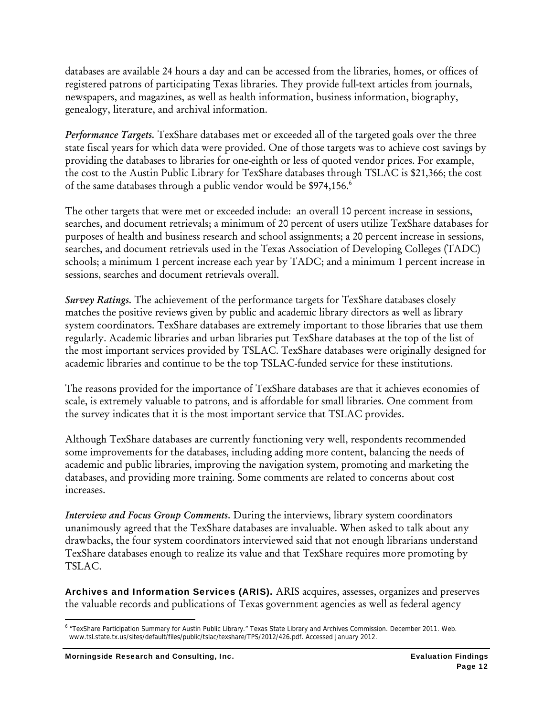databases are available 24 hours a day and can be accessed from the libraries, homes, or offices of registered patrons of participating Texas libraries. They provide full-text articles from journals, newspapers, and magazines, as well as health information, business information, biography, genealogy, literature, and archival information.

*Performance Targets.* TexShare databases met or exceeded all of the targeted goals over the three state fiscal years for which data were provided. One of those targets was to achieve cost savings by providing the databases to libraries for one-eighth or less of quoted vendor prices. For example, the cost to the Austin Public Library for TexShare databases through TSLAC is \$21,366; the cost of the same databases through a public vendor would be \$974,156.<sup>6</sup>

The other targets that were met or exceeded include: an overall 10 percent increase in sessions, searches, and document retrievals; a minimum of 20 percent of users utilize TexShare databases for purposes of health and business research and school assignments; a 20 percent increase in sessions, searches, and document retrievals used in the Texas Association of Developing Colleges (TADC) schools; a minimum 1 percent increase each year by TADC; and a minimum 1 percent increase in sessions, searches and document retrievals overall.

*Survey Ratings.* The achievement of the performance targets for TexShare databases closely matches the positive reviews given by public and academic library directors as well as library system coordinators. TexShare databases are extremely important to those libraries that use them regularly. Academic libraries and urban libraries put TexShare databases at the top of the list of the most important services provided by TSLAC. TexShare databases were originally designed for academic libraries and continue to be the top TSLAC-funded service for these institutions.

The reasons provided for the importance of TexShare databases are that it achieves economies of scale, is extremely valuable to patrons, and is affordable for small libraries. One comment from the survey indicates that it is the most important service that TSLAC provides.

Although TexShare databases are currently functioning very well, respondents recommended some improvements for the databases, including adding more content, balancing the needs of academic and public libraries, improving the navigation system, promoting and marketing the databases, and providing more training. Some comments are related to concerns about cost increases.

*Interview and Focus Group Comments.* During the interviews, library system coordinators unanimously agreed that the TexShare databases are invaluable. When asked to talk about any drawbacks, the four system coordinators interviewed said that not enough librarians understand TexShare databases enough to realize its value and that TexShare requires more promoting by TSLAC.

Archives and Information Services (ARIS). ARIS acquires, assesses, organizes and preserves the valuable records and publications of Texas government agencies as well as federal agency

 <sup>6</sup> "TexShare Participation Summary for Austin Public Library." Texas State Library and Archives Commission. December 2011. Web. www.tsl.state.tx.us/sites/default/files/public/tslac/texshare/TPS/2012/426.pdf. Accessed January 2012.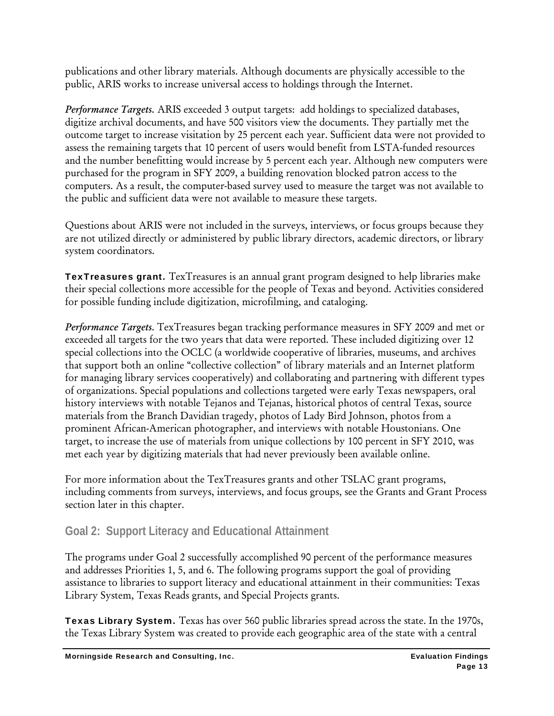publications and other library materials. Although documents are physically accessible to the public, ARIS works to increase universal access to holdings through the Internet.

*Performance Targets.* ARIS exceeded 3 output targets: add holdings to specialized databases, digitize archival documents, and have 500 visitors view the documents. They partially met the outcome target to increase visitation by 25 percent each year. Sufficient data were not provided to assess the remaining targets that 10 percent of users would benefit from LSTA-funded resources and the number benefitting would increase by 5 percent each year. Although new computers were purchased for the program in SFY 2009, a building renovation blocked patron access to the computers. As a result, the computer-based survey used to measure the target was not available to the public and sufficient data were not available to measure these targets.

Questions about ARIS were not included in the surveys, interviews, or focus groups because they are not utilized directly or administered by public library directors, academic directors, or library system coordinators.

TexTreasures grant. TexTreasures is an annual grant program designed to help libraries make their special collections more accessible for the people of Texas and beyond. Activities considered for possible funding include digitization, microfilming, and cataloging.

*Performance Targets.* TexTreasures began tracking performance measures in SFY 2009 and met or exceeded all targets for the two years that data were reported. These included digitizing over 12 special collections into the OCLC (a worldwide cooperative of libraries, museums, and archives that support both an online "collective collection" of library materials and an Internet platform for managing library services cooperatively) and collaborating and partnering with different types of organizations. Special populations and collections targeted were early Texas newspapers, oral history interviews with notable Tejanos and Tejanas, historical photos of central Texas, source materials from the Branch Davidian tragedy, photos of Lady Bird Johnson, photos from a prominent African-American photographer, and interviews with notable Houstonians. One target, to increase the use of materials from unique collections by 100 percent in SFY 2010, was met each year by digitizing materials that had never previously been available online.

For more information about the TexTreasures grants and other TSLAC grant programs, including comments from surveys, interviews, and focus groups, see the Grants and Grant Process section later in this chapter.

#### **Goal 2: Support Literacy and Educational Attainment**

The programs under Goal 2 successfully accomplished 90 percent of the performance measures and addresses Priorities 1, 5, and 6. The following programs support the goal of providing assistance to libraries to support literacy and educational attainment in their communities: Texas Library System, Texas Reads grants, and Special Projects grants.

Texas Library System. Texas has over 560 public libraries spread across the state. In the 1970s, the Texas Library System was created to provide each geographic area of the state with a central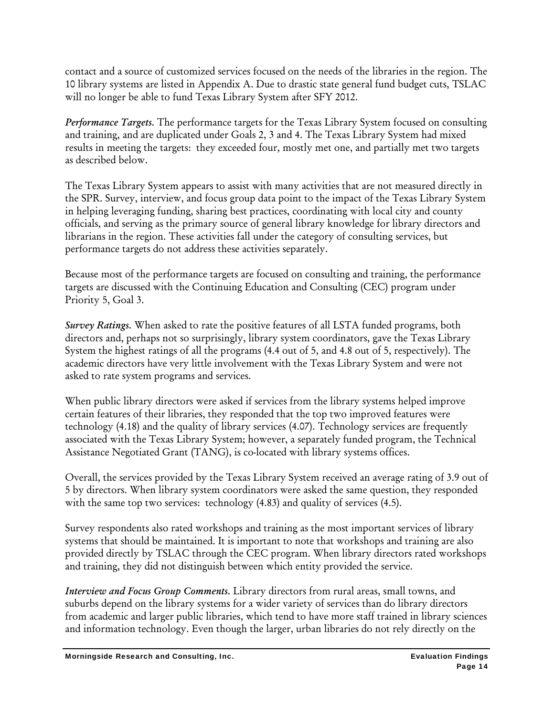contact and a source of customized services focused on the needs of the libraries in the region. The 10 library systems are listed in Appendix A. Due to drastic state general fund budget cuts, TSLAC will no longer be able to fund Texas Library System after SFY 2012.

*Performance Targets.* The performance targets for the Texas Library System focused on consulting and training, and are duplicated under Goals 2, 3 and 4. The Texas Library System had mixed results in meeting the targets: they exceeded four, mostly met one, and partially met two targets as described below.

The Texas Library System appears to assist with many activities that are not measured directly in the SPR. Survey, interview, and focus group data point to the impact of the Texas Library System in helping leveraging funding, sharing best practices, coordinating with local city and county officials, and serving as the primary source of general library knowledge for library directors and librarians in the region. These activities fall under the category of consulting services, but performance targets do not address these activities separately.

Because most of the performance targets are focused on consulting and training, the performance targets are discussed with the Continuing Education and Consulting (CEC) program under Priority 5, Goal 3.

*Survey Ratings.* When asked to rate the positive features of all LSTA funded programs, both directors and, perhaps not so surprisingly, library system coordinators, gave the Texas Library System the highest ratings of all the programs (4.4 out of 5, and 4.8 out of 5, respectively). The academic directors have very little involvement with the Texas Library System and were not asked to rate system programs and services.

When public library directors were asked if services from the library systems helped improve certain features of their libraries, they responded that the top two improved features were technology (4.18) and the quality of library services (4.07). Technology services are frequently associated with the Texas Library System; however, a separately funded program, the Technical Assistance Negotiated Grant (TANG), is co-located with library systems offices.

Overall, the services provided by the Texas Library System received an average rating of 3.9 out of 5 by directors. When library system coordinators were asked the same question, they responded with the same top two services: technology (4.83) and quality of services (4.5).

Survey respondents also rated workshops and training as the most important services of library systems that should be maintained. It is important to note that workshops and training are also provided directly by TSLAC through the CEC program. When library directors rated workshops and training, they did not distinguish between which entity provided the service.

*Interview and Focus Group Comments.* Library directors from rural areas, small towns, and suburbs depend on the library systems for a wider variety of services than do library directors from academic and larger public libraries, which tend to have more staff trained in library sciences and information technology. Even though the larger, urban libraries do not rely directly on the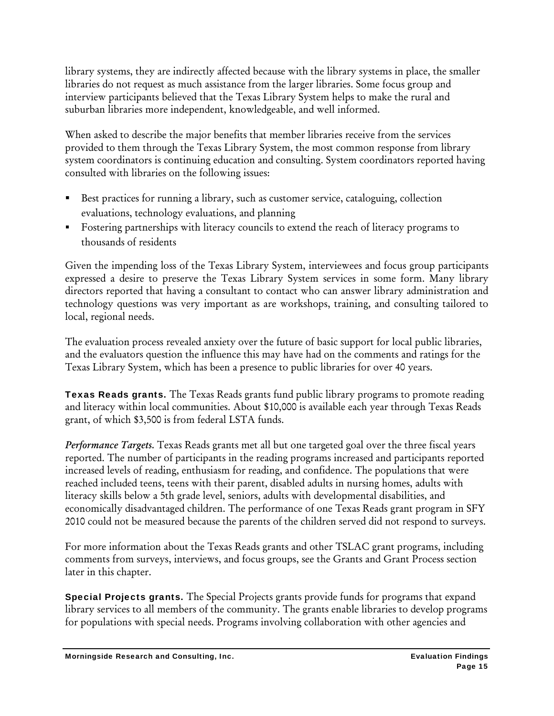library systems, they are indirectly affected because with the library systems in place, the smaller libraries do not request as much assistance from the larger libraries. Some focus group and interview participants believed that the Texas Library System helps to make the rural and suburban libraries more independent, knowledgeable, and well informed.

When asked to describe the major benefits that member libraries receive from the services provided to them through the Texas Library System, the most common response from library system coordinators is continuing education and consulting. System coordinators reported having consulted with libraries on the following issues:

- Best practices for running a library, such as customer service, cataloguing, collection evaluations, technology evaluations, and planning
- Fostering partnerships with literacy councils to extend the reach of literacy programs to thousands of residents

Given the impending loss of the Texas Library System, interviewees and focus group participants expressed a desire to preserve the Texas Library System services in some form. Many library directors reported that having a consultant to contact who can answer library administration and technology questions was very important as are workshops, training, and consulting tailored to local, regional needs.

The evaluation process revealed anxiety over the future of basic support for local public libraries, and the evaluators question the influence this may have had on the comments and ratings for the Texas Library System, which has been a presence to public libraries for over 40 years.

Texas Reads grants. The Texas Reads grants fund public library programs to promote reading and literacy within local communities. About \$10,000 is available each year through Texas Reads grant, of which \$3,500 is from federal LSTA funds.

*Performance Targets.* Texas Reads grants met all but one targeted goal over the three fiscal years reported. The number of participants in the reading programs increased and participants reported increased levels of reading, enthusiasm for reading, and confidence. The populations that were reached included teens, teens with their parent, disabled adults in nursing homes, adults with literacy skills below a 5th grade level, seniors, adults with developmental disabilities, and economically disadvantaged children. The performance of one Texas Reads grant program in SFY 2010 could not be measured because the parents of the children served did not respond to surveys.

For more information about the Texas Reads grants and other TSLAC grant programs, including comments from surveys, interviews, and focus groups, see the Grants and Grant Process section later in this chapter.

Special Projects grants. The Special Projects grants provide funds for programs that expand library services to all members of the community. The grants enable libraries to develop programs for populations with special needs. Programs involving collaboration with other agencies and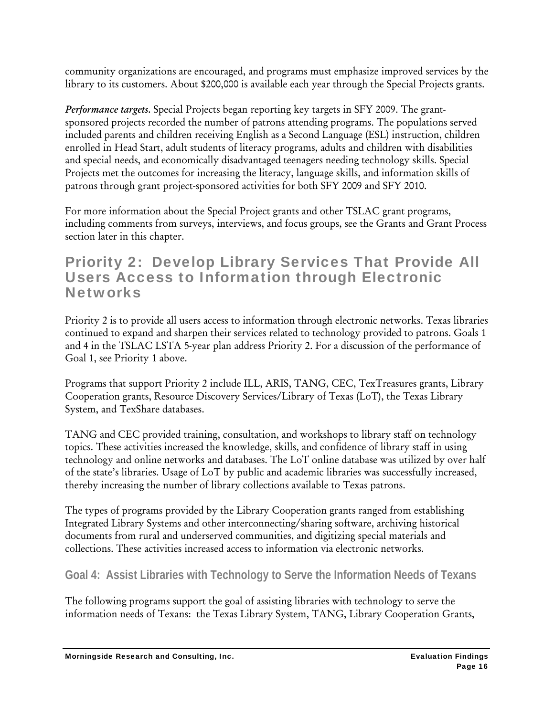community organizations are encouraged, and programs must emphasize improved services by the library to its customers. About \$200,000 is available each year through the Special Projects grants.

*Performance targets.* Special Projects began reporting key targets in SFY 2009. The grantsponsored projects recorded the number of patrons attending programs. The populations served included parents and children receiving English as a Second Language (ESL) instruction, children enrolled in Head Start, adult students of literacy programs, adults and children with disabilities and special needs, and economically disadvantaged teenagers needing technology skills. Special Projects met the outcomes for increasing the literacy, language skills, and information skills of patrons through grant project-sponsored activities for both SFY 2009 and SFY 2010.

For more information about the Special Project grants and other TSLAC grant programs, including comments from surveys, interviews, and focus groups, see the Grants and Grant Process section later in this chapter.

### Priority 2: Develop Library Services That Provide All Users Access to Information through Electronic **Networks**

Priority 2 is to provide all users access to information through electronic networks. Texas libraries continued to expand and sharpen their services related to technology provided to patrons. Goals 1 and 4 in the TSLAC LSTA 5-year plan address Priority 2. For a discussion of the performance of Goal 1, see Priority 1 above.

Programs that support Priority 2 include ILL, ARIS, TANG, CEC, TexTreasures grants, Library Cooperation grants, Resource Discovery Services/Library of Texas (LoT), the Texas Library System, and TexShare databases.

TANG and CEC provided training, consultation, and workshops to library staff on technology topics. These activities increased the knowledge, skills, and confidence of library staff in using technology and online networks and databases. The LoT online database was utilized by over half of the state's libraries. Usage of LoT by public and academic libraries was successfully increased, thereby increasing the number of library collections available to Texas patrons.

The types of programs provided by the Library Cooperation grants ranged from establishing Integrated Library Systems and other interconnecting/sharing software, archiving historical documents from rural and underserved communities, and digitizing special materials and collections. These activities increased access to information via electronic networks.

**Goal 4: Assist Libraries with Technology to Serve the Information Needs of Texans** 

The following programs support the goal of assisting libraries with technology to serve the information needs of Texans: the Texas Library System, TANG, Library Cooperation Grants,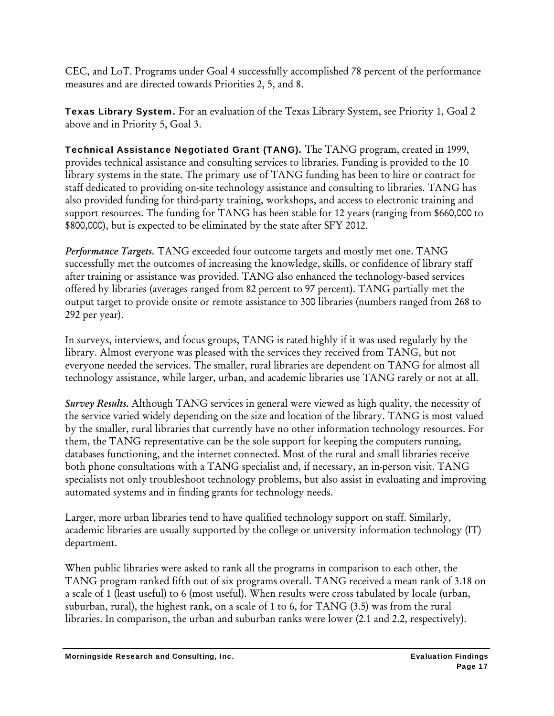CEC, and LoT. Programs under Goal 4 successfully accomplished 78 percent of the performance measures and are directed towards Priorities 2, 5, and 8.

Texas Library System. For an evaluation of the Texas Library System, see Priority 1, Goal 2 above and in Priority 5, Goal 3.

Technical Assistance Negotiated Grant (TANG). The TANG program, created in 1999, provides technical assistance and consulting services to libraries. Funding is provided to the 10 library systems in the state. The primary use of TANG funding has been to hire or contract for staff dedicated to providing on-site technology assistance and consulting to libraries. TANG has also provided funding for third-party training, workshops, and access to electronic training and support resources. The funding for TANG has been stable for 12 years (ranging from \$660,000 to \$800,000), but is expected to be eliminated by the state after SFY 2012.

*Performance Targets.* TANG exceeded four outcome targets and mostly met one. TANG successfully met the outcomes of increasing the knowledge, skills, or confidence of library staff after training or assistance was provided. TANG also enhanced the technology-based services offered by libraries (averages ranged from 82 percent to 97 percent). TANG partially met the output target to provide onsite or remote assistance to 300 libraries (numbers ranged from 268 to 292 per year).

In surveys, interviews, and focus groups, TANG is rated highly if it was used regularly by the library. Almost everyone was pleased with the services they received from TANG, but not everyone needed the services. The smaller, rural libraries are dependent on TANG for almost all technology assistance, while larger, urban, and academic libraries use TANG rarely or not at all.

*Survey Results.* Although TANG services in general were viewed as high quality, the necessity of the service varied widely depending on the size and location of the library. TANG is most valued by the smaller, rural libraries that currently have no other information technology resources. For them, the TANG representative can be the sole support for keeping the computers running, databases functioning, and the internet connected. Most of the rural and small libraries receive both phone consultations with a TANG specialist and, if necessary, an in-person visit. TANG specialists not only troubleshoot technology problems, but also assist in evaluating and improving automated systems and in finding grants for technology needs.

Larger, more urban libraries tend to have qualified technology support on staff. Similarly, academic libraries are usually supported by the college or university information technology (IT) department.

When public libraries were asked to rank all the programs in comparison to each other, the TANG program ranked fifth out of six programs overall. TANG received a mean rank of 3.18 on a scale of 1 (least useful) to 6 (most useful). When results were cross tabulated by locale (urban, suburban, rural), the highest rank, on a scale of 1 to 6, for TANG (3.5) was from the rural libraries. In comparison, the urban and suburban ranks were lower (2.1 and 2.2, respectively).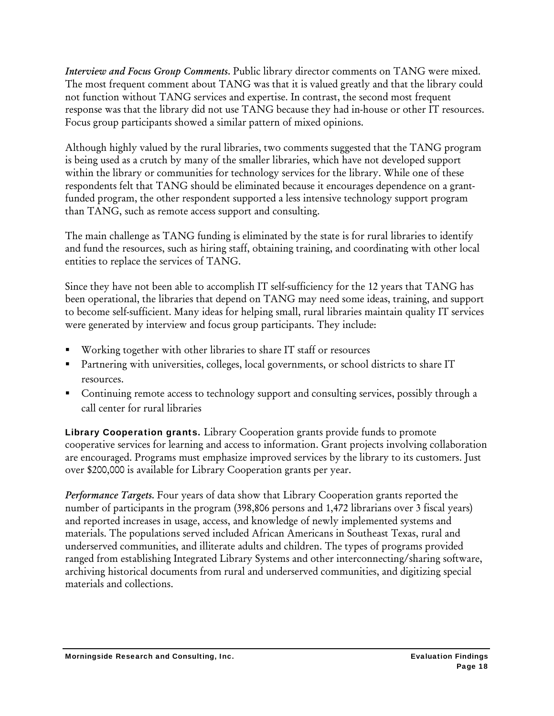*Interview and Focus Group Comments.* Public library director comments on TANG were mixed. The most frequent comment about TANG was that it is valued greatly and that the library could not function without TANG services and expertise. In contrast, the second most frequent response was that the library did not use TANG because they had in-house or other IT resources. Focus group participants showed a similar pattern of mixed opinions.

Although highly valued by the rural libraries, two comments suggested that the TANG program is being used as a crutch by many of the smaller libraries, which have not developed support within the library or communities for technology services for the library. While one of these respondents felt that TANG should be eliminated because it encourages dependence on a grantfunded program, the other respondent supported a less intensive technology support program than TANG, such as remote access support and consulting.

The main challenge as TANG funding is eliminated by the state is for rural libraries to identify and fund the resources, such as hiring staff, obtaining training, and coordinating with other local entities to replace the services of TANG.

Since they have not been able to accomplish IT self-sufficiency for the 12 years that TANG has been operational, the libraries that depend on TANG may need some ideas, training, and support to become self-sufficient. Many ideas for helping small, rural libraries maintain quality IT services were generated by interview and focus group participants. They include:

- Working together with other libraries to share IT staff or resources
- Partnering with universities, colleges, local governments, or school districts to share IT resources.
- Continuing remote access to technology support and consulting services, possibly through a call center for rural libraries

Library Cooperation grants. Library Cooperation grants provide funds to promote cooperative services for learning and access to information. Grant projects involving collaboration are encouraged. Programs must emphasize improved services by the library to its customers. Just over \$200,000 is available for Library Cooperation grants per year.

*Performance Targets.* Four years of data show that Library Cooperation grants reported the number of participants in the program (398,806 persons and 1,472 librarians over 3 fiscal years) and reported increases in usage, access, and knowledge of newly implemented systems and materials. The populations served included African Americans in Southeast Texas, rural and underserved communities, and illiterate adults and children. The types of programs provided ranged from establishing Integrated Library Systems and other interconnecting/sharing software, archiving historical documents from rural and underserved communities, and digitizing special materials and collections.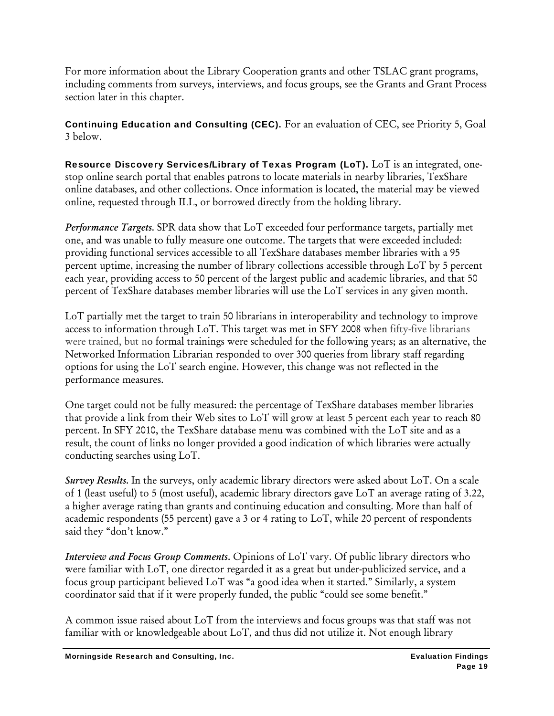For more information about the Library Cooperation grants and other TSLAC grant programs, including comments from surveys, interviews, and focus groups, see the Grants and Grant Process section later in this chapter.

Continuing Education and Consulting (CEC). For an evaluation of CEC, see Priority 5, Goal  $3$  below.

Resource Discovery Services/Library of Texas Program (LoT). LoT is an integrated, onestop online search portal that enables patrons to locate materials in nearby libraries, TexShare online databases, and other collections. Once information is located, the material may be viewed online, requested through ILL, or borrowed directly from the holding library.

*Performance Targets.* SPR data show that LoT exceeded four performance targets, partially met one, and was unable to fully measure one outcome. The targets that were exceeded included: providing functional services accessible to all TexShare databases member libraries with a 95 percent uptime, increasing the number of library collections accessible through LoT by 5 percent each year, providing access to 50 percent of the largest public and academic libraries, and that 50 percent of TexShare databases member libraries will use the LoT services in any given month.

LoT partially met the target to train 50 librarians in interoperability and technology to improve access to information through LoT. This target was met in SFY 2008 when fifty-five librarians were trained, but no formal trainings were scheduled for the following years; as an alternative, the Networked Information Librarian responded to over 300 queries from library staff regarding options for using the LoT search engine. However, this change was not reflected in the performance measures.

One target could not be fully measured: the percentage of TexShare databases member libraries that provide a link from their Web sites to LoT will grow at least 5 percent each year to reach 80 percent. In SFY 2010, the TexShare database menu was combined with the LoT site and as a result, the count of links no longer provided a good indication of which libraries were actually conducting searches using LoT.

*Survey Results.* In the surveys, only academic library directors were asked about LoT. On a scale of 1 (least useful) to 5 (most useful), academic library directors gave LoT an average rating of 3.22, a higher average rating than grants and continuing education and consulting. More than half of academic respondents (55 percent) gave a 3 or 4 rating to LoT, while 20 percent of respondents said they "don't know."

*Interview and Focus Group Comments.* Opinions of LoT vary. Of public library directors who were familiar with LoT, one director regarded it as a great but under-publicized service, and a focus group participant believed LoT was "a good idea when it started." Similarly, a system coordinator said that if it were properly funded, the public "could see some benefit."

A common issue raised about LoT from the interviews and focus groups was that staff was not familiar with or knowledgeable about LoT, and thus did not utilize it. Not enough library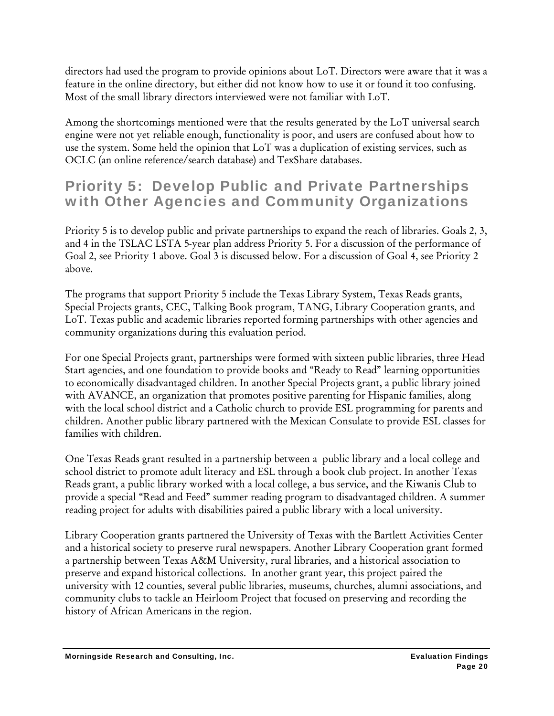directors had used the program to provide opinions about LoT. Directors were aware that it was a feature in the online directory, but either did not know how to use it or found it too confusing. Most of the small library directors interviewed were not familiar with LoT.

Among the shortcomings mentioned were that the results generated by the LoT universal search engine were not yet reliable enough, functionality is poor, and users are confused about how to use the system. Some held the opinion that LoT was a duplication of existing services, such as OCLC (an online reference/search database) and TexShare databases.

## Priority 5: Develop Public and Private Partnerships with Other Agencies and Community Organizations

Priority 5 is to develop public and private partnerships to expand the reach of libraries. Goals 2, 3, and 4 in the TSLAC LSTA 5-year plan address Priority 5. For a discussion of the performance of Goal 2, see Priority 1 above. Goal 3 is discussed below. For a discussion of Goal 4, see Priority 2 above.

The programs that support Priority 5 include the Texas Library System, Texas Reads grants, Special Projects grants, CEC, Talking Book program, TANG, Library Cooperation grants, and LoT. Texas public and academic libraries reported forming partnerships with other agencies and community organizations during this evaluation period.

For one Special Projects grant, partnerships were formed with sixteen public libraries, three Head Start agencies, and one foundation to provide books and "Ready to Read" learning opportunities to economically disadvantaged children. In another Special Projects grant, a public library joined with AVANCE, an organization that promotes positive parenting for Hispanic families, along with the local school district and a Catholic church to provide ESL programming for parents and children. Another public library partnered with the Mexican Consulate to provide ESL classes for families with children.

One Texas Reads grant resulted in a partnership between a public library and a local college and school district to promote adult literacy and ESL through a book club project. In another Texas Reads grant, a public library worked with a local college, a bus service, and the Kiwanis Club to provide a special "Read and Feed" summer reading program to disadvantaged children. A summer reading project for adults with disabilities paired a public library with a local university.

Library Cooperation grants partnered the University of Texas with the Bartlett Activities Center and a historical society to preserve rural newspapers. Another Library Cooperation grant formed a partnership between Texas A&M University, rural libraries, and a historical association to preserve and expand historical collections. In another grant year, this project paired the university with 12 counties, several public libraries, museums, churches, alumni associations, and community clubs to tackle an Heirloom Project that focused on preserving and recording the history of African Americans in the region.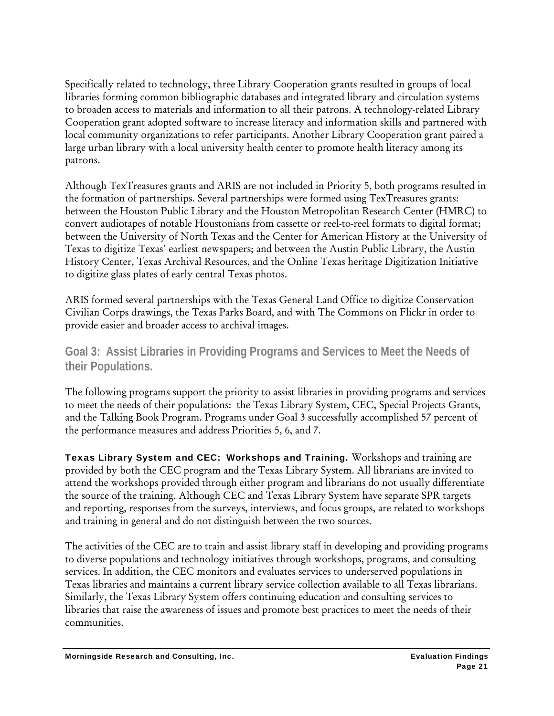Specifically related to technology, three Library Cooperation grants resulted in groups of local libraries forming common bibliographic databases and integrated library and circulation systems to broaden access to materials and information to all their patrons. A technology-related Library Cooperation grant adopted software to increase literacy and information skills and partnered with local community organizations to refer participants. Another Library Cooperation grant paired a large urban library with a local university health center to promote health literacy among its patrons.

Although TexTreasures grants and ARIS are not included in Priority 5, both programs resulted in the formation of partnerships. Several partnerships were formed using TexTreasures grants: between the Houston Public Library and the Houston Metropolitan Research Center (HMRC) to convert audiotapes of notable Houstonians from cassette or reel-to-reel formats to digital format; between the University of North Texas and the Center for American History at the University of Texas to digitize Texas' earliest newspapers; and between the Austin Public Library, the Austin History Center, Texas Archival Resources, and the Online Texas heritage Digitization Initiative to digitize glass plates of early central Texas photos.

ARIS formed several partnerships with the Texas General Land Office to digitize Conservation Civilian Corps drawings, the Texas Parks Board, and with The Commons on Flickr in order to provide easier and broader access to archival images.

**Goal 3: Assist Libraries in Providing Programs and Services to Meet the Needs of their Populations.** 

The following programs support the priority to assist libraries in providing programs and services to meet the needs of their populations: the Texas Library System, CEC, Special Projects Grants, and the Talking Book Program. Programs under Goal 3 successfully accomplished 57 percent of the performance measures and address Priorities 5, 6, and 7.

Texas Library System and CEC: Workshops and Training. Workshops and training are provided by both the CEC program and the Texas Library System. All librarians are invited to attend the workshops provided through either program and librarians do not usually differentiate the source of the training. Although CEC and Texas Library System have separate SPR targets and reporting, responses from the surveys, interviews, and focus groups, are related to workshops and training in general and do not distinguish between the two sources.

The activities of the CEC are to train and assist library staff in developing and providing programs to diverse populations and technology initiatives through workshops, programs, and consulting services. In addition, the CEC monitors and evaluates services to underserved populations in Texas libraries and maintains a current library service collection available to all Texas librarians. Similarly, the Texas Library System offers continuing education and consulting services to libraries that raise the awareness of issues and promote best practices to meet the needs of their communities.

Morningside Research and Consulting, Inc. **Example 2018** Evaluation Findings **Evaluation Findings**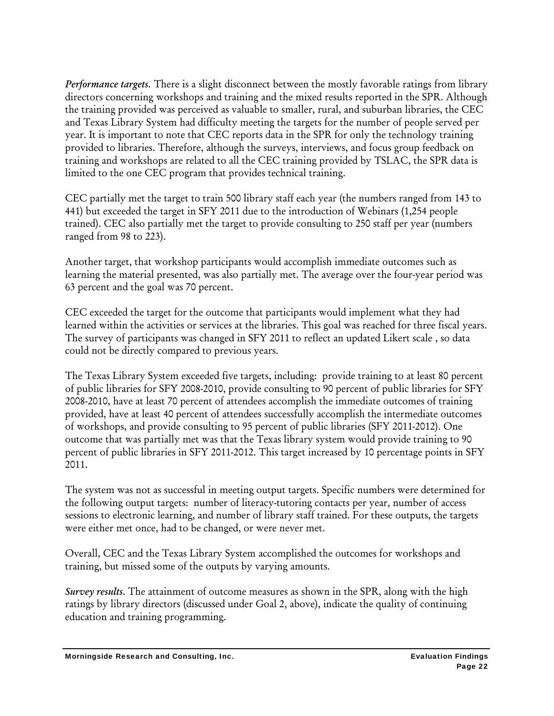*Performance targets.* There is a slight disconnect between the mostly favorable ratings from library directors concerning workshops and training and the mixed results reported in the SPR. Although the training provided was perceived as valuable to smaller, rural, and suburban libraries, the CEC and Texas Library System had difficulty meeting the targets for the number of people served per year. It is important to note that CEC reports data in the SPR for only the technology training provided to libraries. Therefore, although the surveys, interviews, and focus group feedback on training and workshops are related to all the CEC training provided by TSLAC, the SPR data is limited to the one CEC program that provides technical training.

CEC partially met the target to train 500 library staff each year (the numbers ranged from 143 to 441) but exceeded the target in SFY 2011 due to the introduction of Webinars (1,254 people trained). CEC also partially met the target to provide consulting to 250 staff per year (numbers ranged from 98 to 223).

Another target, that workshop participants would accomplish immediate outcomes such as learning the material presented, was also partially met. The average over the four-year period was 63 percent and the goal was 70 percent.

CEC exceeded the target for the outcome that participants would implement what they had learned within the activities or services at the libraries. This goal was reached for three fiscal years. The survey of participants was changed in SFY 2011 to reflect an updated Likert scale , so data could not be directly compared to previous years.

The Texas Library System exceeded five targets, including: provide training to at least 80 percent of public libraries for SFY 2008-2010, provide consulting to 90 percent of public libraries for SFY 2008-2010, have at least 70 percent of attendees accomplish the immediate outcomes of training provided, have at least 40 percent of attendees successfully accomplish the intermediate outcomes of workshops, and provide consulting to 95 percent of public libraries (SFY 2011-2012). One outcome that was partially met was that the Texas library system would provide training to 90 percent of public libraries in SFY 2011-2012. This target increased by 10 percentage points in SFY 2011.

The system was not as successful in meeting output targets. Specific numbers were determined for the following output targets: number of literacy-tutoring contacts per year, number of access sessions to electronic learning, and number of library staff trained. For these outputs, the targets were either met once, had to be changed, or were never met.

Overall, CEC and the Texas Library System accomplished the outcomes for workshops and training, but missed some of the outputs by varying amounts.

*Survey results.* The attainment of outcome measures as shown in the SPR, along with the high ratings by library directors (discussed under Goal 2, above), indicate the quality of continuing education and training programming.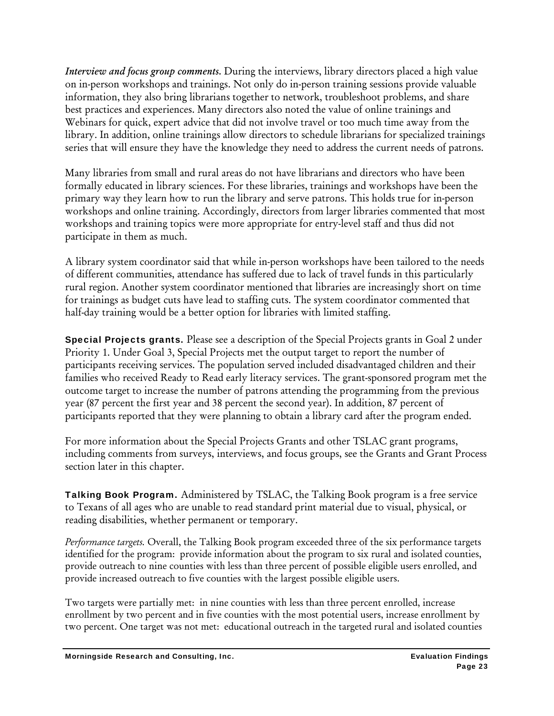*Interview and focus group comments.* During the interviews, library directors placed a high value on in-person workshops and trainings. Not only do in-person training sessions provide valuable information, they also bring librarians together to network, troubleshoot problems, and share best practices and experiences. Many directors also noted the value of online trainings and Webinars for quick, expert advice that did not involve travel or too much time away from the library. In addition, online trainings allow directors to schedule librarians for specialized trainings series that will ensure they have the knowledge they need to address the current needs of patrons.

Many libraries from small and rural areas do not have librarians and directors who have been formally educated in library sciences. For these libraries, trainings and workshops have been the primary way they learn how to run the library and serve patrons. This holds true for in-person workshops and online training. Accordingly, directors from larger libraries commented that most workshops and training topics were more appropriate for entry-level staff and thus did not participate in them as much.

A library system coordinator said that while in-person workshops have been tailored to the needs of different communities, attendance has suffered due to lack of travel funds in this particularly rural region. Another system coordinator mentioned that libraries are increasingly short on time for trainings as budget cuts have lead to staffing cuts. The system coordinator commented that half-day training would be a better option for libraries with limited staffing.

Special Projects grants. Please see a description of the Special Projects grants in Goal 2 under Priority 1. Under Goal 3, Special Projects met the output target to report the number of participants receiving services. The population served included disadvantaged children and their families who received Ready to Read early literacy services. The grant-sponsored program met the outcome target to increase the number of patrons attending the programming from the previous year (87 percent the first year and 38 percent the second year). In addition, 87 percent of participants reported that they were planning to obtain a library card after the program ended.

For more information about the Special Projects Grants and other TSLAC grant programs, including comments from surveys, interviews, and focus groups, see the Grants and Grant Process section later in this chapter.

Talking Book Program. Administered by TSLAC, the Talking Book program is a free service to Texans of all ages who are unable to read standard print material due to visual, physical, or reading disabilities, whether permanent or temporary.

*Performance targets.* Overall, the Talking Book program exceeded three of the six performance targets identified for the program: provide information about the program to six rural and isolated counties, provide outreach to nine counties with less than three percent of possible eligible users enrolled, and provide increased outreach to five counties with the largest possible eligible users.

Two targets were partially met: in nine counties with less than three percent enrolled, increase enrollment by two percent and in five counties with the most potential users, increase enrollment by two percent. One target was not met: educational outreach in the targeted rural and isolated counties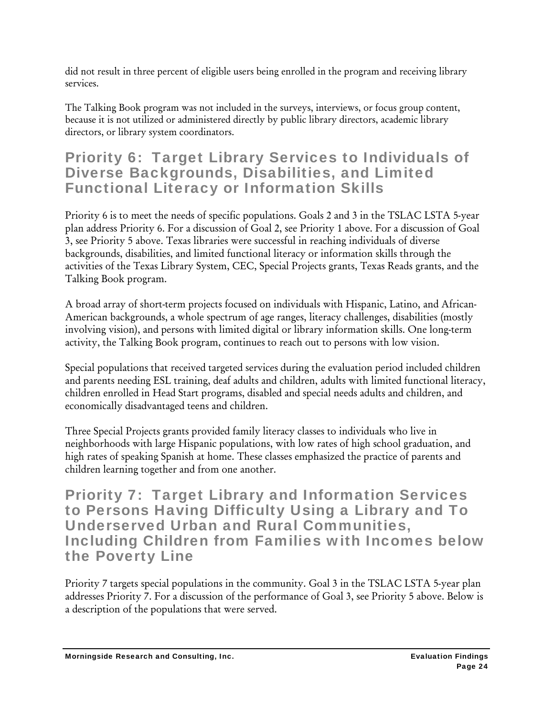did not result in three percent of eligible users being enrolled in the program and receiving library services.

The Talking Book program was not included in the surveys, interviews, or focus group content, because it is not utilized or administered directly by public library directors, academic library directors, or library system coordinators.

### Priority 6: Target Library Services to Individuals of Diverse Backgrounds, Disabilities, and Limited Functional Literacy or Information Skills

Priority 6 is to meet the needs of specific populations. Goals 2 and 3 in the TSLAC LSTA 5-year plan address Priority 6. For a discussion of Goal 2, see Priority 1 above. For a discussion of Goal 3, see Priority 5 above. Texas libraries were successful in reaching individuals of diverse backgrounds, disabilities, and limited functional literacy or information skills through the activities of the Texas Library System, CEC, Special Projects grants, Texas Reads grants, and the Talking Book program.

A broad array of short-term projects focused on individuals with Hispanic, Latino, and African-American backgrounds, a whole spectrum of age ranges, literacy challenges, disabilities (mostly involving vision), and persons with limited digital or library information skills. One long-term activity, the Talking Book program, continues to reach out to persons with low vision.

Special populations that received targeted services during the evaluation period included children and parents needing ESL training, deaf adults and children, adults with limited functional literacy, children enrolled in Head Start programs, disabled and special needs adults and children, and economically disadvantaged teens and children.

Three Special Projects grants provided family literacy classes to individuals who live in neighborhoods with large Hispanic populations, with low rates of high school graduation, and high rates of speaking Spanish at home. These classes emphasized the practice of parents and children learning together and from one another.

Priority 7: Target Library and Information Services to Persons Having Difficulty Using a Library and To Underserved Urban and Rural Communities, Including Children from Families with Incomes below the Poverty Line

Priority 7 targets special populations in the community. Goal 3 in the TSLAC LSTA 5-year plan addresses Priority 7. For a discussion of the performance of Goal 3, see Priority 5 above. Below is a description of the populations that were served.

Morningside Research and Consulting, Inc. Evaluation Findings and Evaluation Findings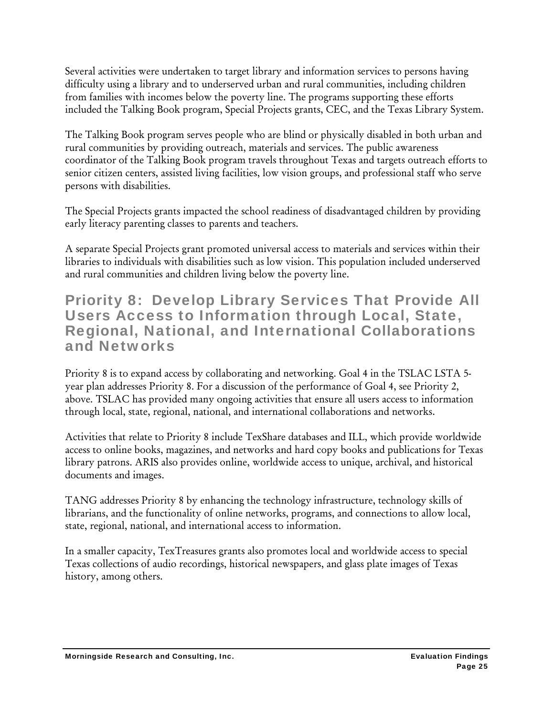Several activities were undertaken to target library and information services to persons having difficulty using a library and to underserved urban and rural communities, including children from families with incomes below the poverty line. The programs supporting these efforts included the Talking Book program, Special Projects grants, CEC, and the Texas Library System.

The Talking Book program serves people who are blind or physically disabled in both urban and rural communities by providing outreach, materials and services. The public awareness coordinator of the Talking Book program travels throughout Texas and targets outreach efforts to senior citizen centers, assisted living facilities, low vision groups, and professional staff who serve persons with disabilities.

The Special Projects grants impacted the school readiness of disadvantaged children by providing early literacy parenting classes to parents and teachers.

A separate Special Projects grant promoted universal access to materials and services within their libraries to individuals with disabilities such as low vision. This population included underserved and rural communities and children living below the poverty line.

#### Priority 8: Develop Library Services That Provide All Users Access to Information through Local, State, Regional, National, and International Collaborations and Networks

Priority 8 is to expand access by collaborating and networking. Goal 4 in the TSLAC LSTA 5 year plan addresses Priority 8. For a discussion of the performance of Goal 4, see Priority 2, above. TSLAC has provided many ongoing activities that ensure all users access to information through local, state, regional, national, and international collaborations and networks.

Activities that relate to Priority 8 include TexShare databases and ILL, which provide worldwide access to online books, magazines, and networks and hard copy books and publications for Texas library patrons. ARIS also provides online, worldwide access to unique, archival, and historical documents and images.

TANG addresses Priority 8 by enhancing the technology infrastructure, technology skills of librarians, and the functionality of online networks, programs, and connections to allow local, state, regional, national, and international access to information.

In a smaller capacity, TexTreasures grants also promotes local and worldwide access to special Texas collections of audio recordings, historical newspapers, and glass plate images of Texas history, among others.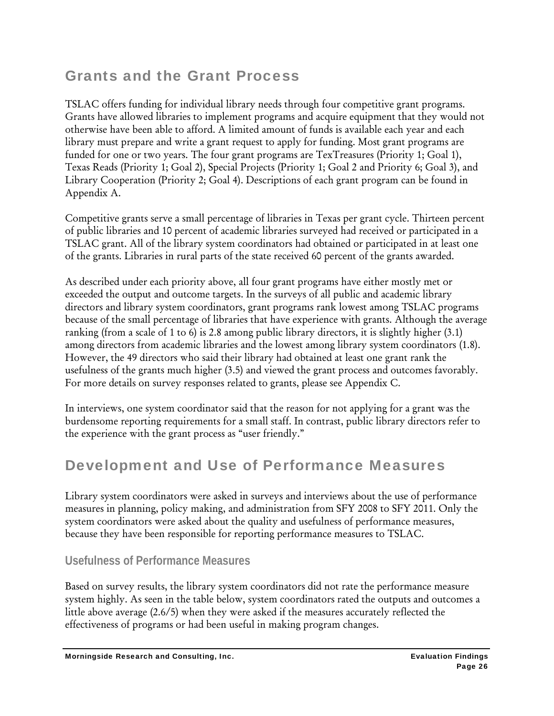# Grants and the Grant Process

TSLAC offers funding for individual library needs through four competitive grant programs. Grants have allowed libraries to implement programs and acquire equipment that they would not otherwise have been able to afford. A limited amount of funds is available each year and each library must prepare and write a grant request to apply for funding. Most grant programs are funded for one or two years. The four grant programs are TexTreasures (Priority 1; Goal 1), Texas Reads (Priority 1; Goal 2), Special Projects (Priority 1; Goal 2 and Priority 6; Goal 3), and Library Cooperation (Priority 2; Goal 4). Descriptions of each grant program can be found in Appendix A.

Competitive grants serve a small percentage of libraries in Texas per grant cycle. Thirteen percent of public libraries and 10 percent of academic libraries surveyed had received or participated in a TSLAC grant. All of the library system coordinators had obtained or participated in at least one of the grants. Libraries in rural parts of the state received 60 percent of the grants awarded.

As described under each priority above, all four grant programs have either mostly met or exceeded the output and outcome targets. In the surveys of all public and academic library directors and library system coordinators, grant programs rank lowest among TSLAC programs because of the small percentage of libraries that have experience with grants. Although the average ranking (from a scale of 1 to 6) is 2.8 among public library directors, it is slightly higher (3.1) among directors from academic libraries and the lowest among library system coordinators (1.8). However, the 49 directors who said their library had obtained at least one grant rank the usefulness of the grants much higher (3.5) and viewed the grant process and outcomes favorably. For more details on survey responses related to grants, please see Appendix C.

In interviews, one system coordinator said that the reason for not applying for a grant was the burdensome reporting requirements for a small staff. In contrast, public library directors refer to the experience with the grant process as "user friendly."

# Development and Use of Performance Measures

Library system coordinators were asked in surveys and interviews about the use of performance measures in planning, policy making, and administration from SFY 2008 to SFY 2011. Only the system coordinators were asked about the quality and usefulness of performance measures, because they have been responsible for reporting performance measures to TSLAC.

#### **Usefulness of Performance Measures**

Based on survey results, the library system coordinators did not rate the performance measure system highly. As seen in the table below, system coordinators rated the outputs and outcomes a little above average (2.6/5) when they were asked if the measures accurately reflected the effectiveness of programs or had been useful in making program changes.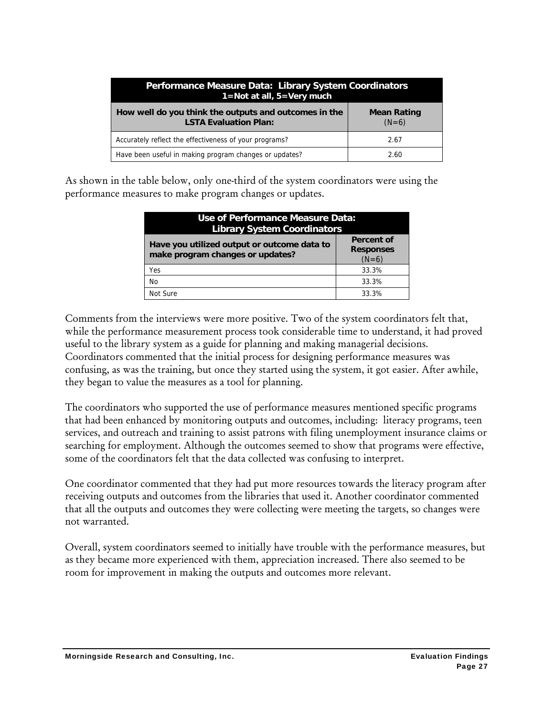| Performance Measure Data: Library System Coordinators<br>$1 = Not$ at all, $5 = Very$ much |                               |  |
|--------------------------------------------------------------------------------------------|-------------------------------|--|
| How well do you think the outputs and outcomes in the<br><b>LSTA Evaluation Plan:</b>      | <b>Mean Rating</b><br>$(N=6)$ |  |
| Accurately reflect the effectiveness of your programs?                                     | 2.67                          |  |
| Have been useful in making program changes or updates?                                     | 2.60                          |  |

As shown in the table below, only one-third of the system coordinators were using the performance measures to make program changes or updates.

| Use of Performance Measure Data:<br><b>Library System Coordinators</b>          |                                           |  |  |
|---------------------------------------------------------------------------------|-------------------------------------------|--|--|
| Have you utilized output or outcome data to<br>make program changes or updates? | Percent of<br><b>Responses</b><br>$(N=6)$ |  |  |
| Yes                                                                             | 33.3%                                     |  |  |
| No                                                                              | 33.3%                                     |  |  |
| Not Sure                                                                        | 33.3%                                     |  |  |

Comments from the interviews were more positive. Two of the system coordinators felt that, while the performance measurement process took considerable time to understand, it had proved useful to the library system as a guide for planning and making managerial decisions. Coordinators commented that the initial process for designing performance measures was confusing, as was the training, but once they started using the system, it got easier. After awhile, they began to value the measures as a tool for planning.

The coordinators who supported the use of performance measures mentioned specific programs that had been enhanced by monitoring outputs and outcomes, including: literacy programs, teen services, and outreach and training to assist patrons with filing unemployment insurance claims or searching for employment. Although the outcomes seemed to show that programs were effective, some of the coordinators felt that the data collected was confusing to interpret.

One coordinator commented that they had put more resources towards the literacy program after receiving outputs and outcomes from the libraries that used it. Another coordinator commented that all the outputs and outcomes they were collecting were meeting the targets, so changes were not warranted.

Overall, system coordinators seemed to initially have trouble with the performance measures, but as they became more experienced with them, appreciation increased. There also seemed to be room for improvement in making the outputs and outcomes more relevant.

Morningside Research and Consulting, Inc. **Example 2018** Evaluation Findings **Evaluation Findings**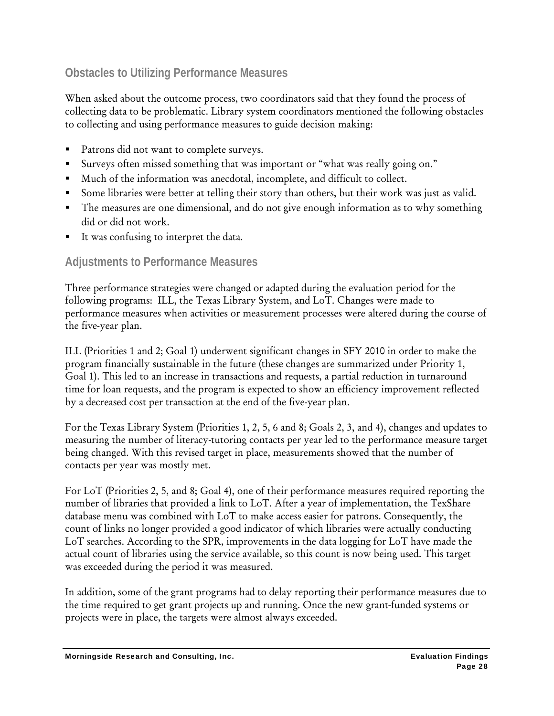#### **Obstacles to Utilizing Performance Measures**

When asked about the outcome process, two coordinators said that they found the process of collecting data to be problematic. Library system coordinators mentioned the following obstacles to collecting and using performance measures to guide decision making:

- Patrons did not want to complete surveys.
- Surveys often missed something that was important or "what was really going on."
- Much of the information was anecdotal, incomplete, and difficult to collect.
- Some libraries were better at telling their story than others, but their work was just as valid.
- The measures are one dimensional, and do not give enough information as to why something did or did not work.
- It was confusing to interpret the data.

#### **Adjustments to Performance Measures**

Three performance strategies were changed or adapted during the evaluation period for the following programs: ILL, the Texas Library System, and LoT. Changes were made to performance measures when activities or measurement processes were altered during the course of the five-year plan.

ILL (Priorities 1 and 2; Goal 1) underwent significant changes in SFY 2010 in order to make the program financially sustainable in the future (these changes are summarized under Priority 1, Goal 1). This led to an increase in transactions and requests, a partial reduction in turnaround time for loan requests, and the program is expected to show an efficiency improvement reflected by a decreased cost per transaction at the end of the five-year plan.

For the Texas Library System (Priorities 1, 2, 5, 6 and 8; Goals 2, 3, and 4), changes and updates to measuring the number of literacy-tutoring contacts per year led to the performance measure target being changed. With this revised target in place, measurements showed that the number of contacts per year was mostly met.

For LoT (Priorities 2, 5, and 8; Goal 4), one of their performance measures required reporting the number of libraries that provided a link to LoT. After a year of implementation, the TexShare database menu was combined with LoT to make access easier for patrons. Consequently, the count of links no longer provided a good indicator of which libraries were actually conducting LoT searches. According to the SPR, improvements in the data logging for LoT have made the actual count of libraries using the service available, so this count is now being used. This target was exceeded during the period it was measured.

In addition, some of the grant programs had to delay reporting their performance measures due to the time required to get grant projects up and running. Once the new grant-funded systems or projects were in place, the targets were almost always exceeded.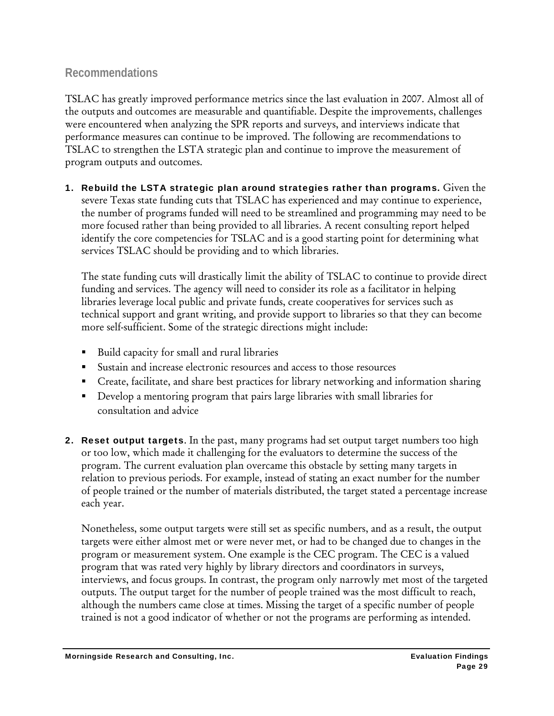#### **Recommendations**

TSLAC has greatly improved performance metrics since the last evaluation in 2007. Almost all of the outputs and outcomes are measurable and quantifiable. Despite the improvements, challenges were encountered when analyzing the SPR reports and surveys, and interviews indicate that performance measures can continue to be improved. The following are recommendations to TSLAC to strengthen the LSTA strategic plan and continue to improve the measurement of program outputs and outcomes.

1. Rebuild the LSTA strategic plan around strategies rather than programs. Given the severe Texas state funding cuts that TSLAC has experienced and may continue to experience, the number of programs funded will need to be streamlined and programming may need to be more focused rather than being provided to all libraries. A recent consulting report helped identify the core competencies for TSLAC and is a good starting point for determining what services TSLAC should be providing and to which libraries.

The state funding cuts will drastically limit the ability of TSLAC to continue to provide direct funding and services. The agency will need to consider its role as a facilitator in helping libraries leverage local public and private funds, create cooperatives for services such as technical support and grant writing, and provide support to libraries so that they can become more self-sufficient. Some of the strategic directions might include:

- Build capacity for small and rural libraries
- Sustain and increase electronic resources and access to those resources
- Create, facilitate, and share best practices for library networking and information sharing
- Develop a mentoring program that pairs large libraries with small libraries for consultation and advice
- **2. Reset output targets.** In the past, many programs had set output target numbers too high or too low, which made it challenging for the evaluators to determine the success of the program. The current evaluation plan overcame this obstacle by setting many targets in relation to previous periods. For example, instead of stating an exact number for the number of people trained or the number of materials distributed, the target stated a percentage increase each year.

Nonetheless, some output targets were still set as specific numbers, and as a result, the output targets were either almost met or were never met, or had to be changed due to changes in the program or measurement system. One example is the CEC program. The CEC is a valued program that was rated very highly by library directors and coordinators in surveys, interviews, and focus groups. In contrast, the program only narrowly met most of the targeted outputs. The output target for the number of people trained was the most difficult to reach, although the numbers came close at times. Missing the target of a specific number of people trained is not a good indicator of whether or not the programs are performing as intended.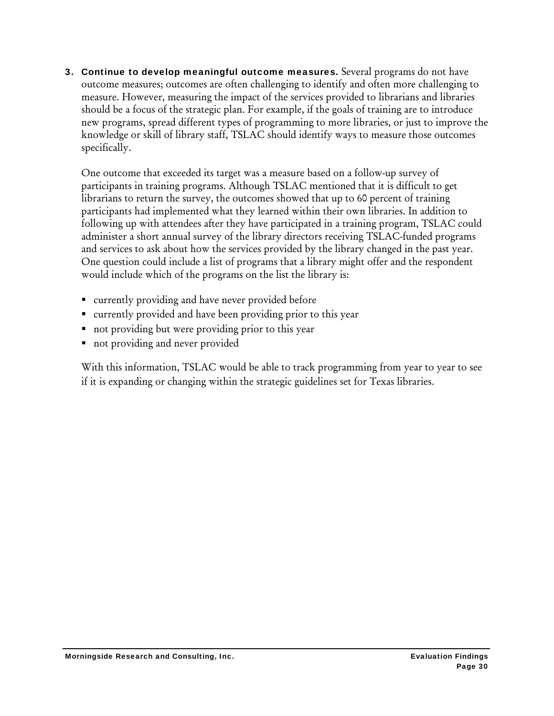3. Continue to develop meaningful outcome measures. Several programs do not have outcome measures; outcomes are often challenging to identify and often more challenging to measure. However, measuring the impact of the services provided to librarians and libraries should be a focus of the strategic plan. For example, if the goals of training are to introduce new programs, spread different types of programming to more libraries, or just to improve the knowledge or skill of library staff, TSLAC should identify ways to measure those outcomes specifically.

One outcome that exceeded its target was a measure based on a follow-up survey of participants in training programs. Although TSLAC mentioned that it is difficult to get librarians to return the survey, the outcomes showed that up to 60 percent of training participants had implemented what they learned within their own libraries. In addition to following up with attendees after they have participated in a training program, TSLAC could administer a short annual survey of the library directors receiving TSLAC-funded programs and services to ask about how the services provided by the library changed in the past year. One question could include a list of programs that a library might offer and the respondent would include which of the programs on the list the library is:

- currently providing and have never provided before
- currently provided and have been providing prior to this year
- not providing but were providing prior to this year
- not providing and never provided

With this information, TSLAC would be able to track programming from year to year to see if it is expanding or changing within the strategic guidelines set for Texas libraries.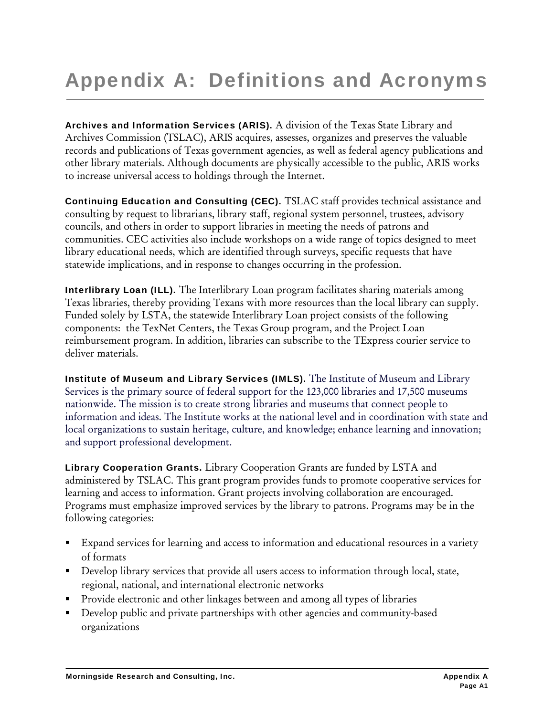# Appendix A: Definitions and Acronyms

Archives and Information Services (ARIS). A division of the Texas State Library and Archives Commission (TSLAC), ARIS acquires, assesses, organizes and preserves the valuable records and publications of Texas government agencies, as well as federal agency publications and other library materials. Although documents are physically accessible to the public, ARIS works to increase universal access to holdings through the Internet.

Continuing Education and Consulting (CEC). TSLAC staff provides technical assistance and consulting by request to librarians, library staff, regional system personnel, trustees, advisory councils, and others in order to support libraries in meeting the needs of patrons and communities. CEC activities also include workshops on a wide range of topics designed to meet library educational needs, which are identified through surveys, specific requests that have statewide implications, and in response to changes occurring in the profession.

Interlibrary Loan (ILL). The Interlibrary Loan program facilitates sharing materials among Texas libraries, thereby providing Texans with more resources than the local library can supply. Funded solely by LSTA, the statewide Interlibrary Loan project consists of the following components: the TexNet Centers, the Texas Group program, and the Project Loan reimbursement program. In addition, libraries can subscribe to the TExpress courier service to deliver materials.

Institute of Museum and Library Services (IMLS). The Institute of Museum and Library Services is the primary source of federal support for the 123,000 libraries and 17,500 museums nationwide. The mission is to create strong libraries and museums that connect people to information and ideas. The Institute works at the national level and in coordination with state and local organizations to sustain heritage, culture, and knowledge; enhance learning and innovation; and support professional development.

Library Cooperation Grants. Library Cooperation Grants are funded by LSTA and administered by TSLAC. This grant program provides funds to promote cooperative services for learning and access to information. Grant projects involving collaboration are encouraged. Programs must emphasize improved services by the library to patrons. Programs may be in the following categories:

- Expand services for learning and access to information and educational resources in a variety of formats
- Develop library services that provide all users access to information through local, state, regional, national, and international electronic networks
- **Provide electronic and other linkages between and among all types of libraries**
- Develop public and private partnerships with other agencies and community-based organizations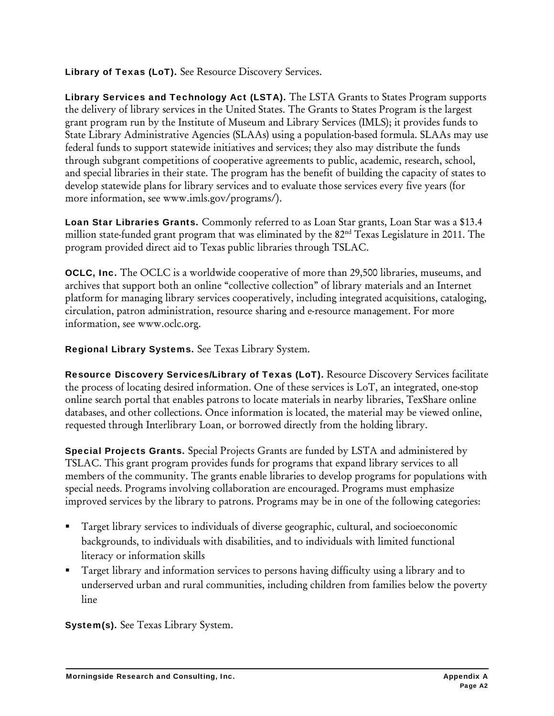Library of Texas (LoT). See Resource Discovery Services.

Library Services and Technology Act (LSTA). The LSTA Grants to States Program supports the delivery of library services in the United States. The Grants to States Program is the largest grant program run by the Institute of Museum and Library Services (IMLS); it provides funds to State Library Administrative Agencies (SLAAs) using a population-based formula. SLAAs may use federal funds to support statewide initiatives and services; they also may distribute the funds through subgrant competitions of cooperative agreements to public, academic, research, school, and special libraries in their state. The program has the benefit of building the capacity of states to develop statewide plans for library services and to evaluate those services every five years (for more information, see www.imls.gov/programs/).

Loan Star Libraries Grants. Commonly referred to as Loan Star grants, Loan Star was a \$13.4 million state-funded grant program that was eliminated by the 82<sup>nd</sup> Texas Legislature in 2011. The program provided direct aid to Texas public libraries through TSLAC.

OCLC, Inc. The OCLC is a worldwide cooperative of more than 29,500 libraries, museums, and archives that support both an online "collective collection" of library materials and an Internet platform for managing library services cooperatively, including integrated acquisitions, cataloging, circulation, patron administration, resource sharing and e-resource management. For more information, see www.oclc.org.

Regional Library Systems. See Texas Library System.

Resource Discovery Services/Library of Texas (LoT). Resource Discovery Services facilitate the process of locating desired information. One of these services is LoT, an integrated, one-stop online search portal that enables patrons to locate materials in nearby libraries, TexShare online databases, and other collections. Once information is located, the material may be viewed online, requested through Interlibrary Loan, or borrowed directly from the holding library.

Special Projects Grants. Special Projects Grants are funded by LSTA and administered by TSLAC. This grant program provides funds for programs that expand library services to all members of the community. The grants enable libraries to develop programs for populations with special needs. Programs involving collaboration are encouraged. Programs must emphasize improved services by the library to patrons. Programs may be in one of the following categories:

- Target library services to individuals of diverse geographic, cultural, and socioeconomic backgrounds, to individuals with disabilities, and to individuals with limited functional literacy or information skills
- Target library and information services to persons having difficulty using a library and to underserved urban and rural communities, including children from families below the poverty line

System(s). See Texas Library System.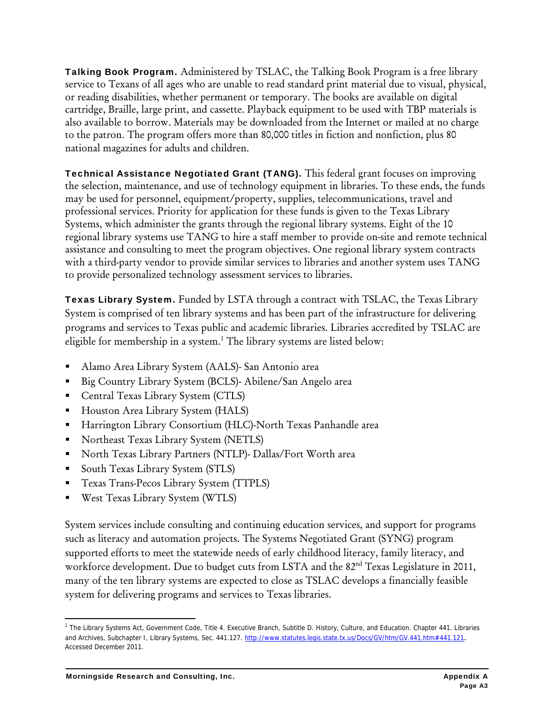Talking Book Program. Administered by TSLAC, the Talking Book Program is a free library service to Texans of all ages who are unable to read standard print material due to visual, physical, or reading disabilities, whether permanent or temporary. The books are available on digital cartridge, Braille, large print, and cassette. Playback equipment to be used with TBP materials is also available to borrow. Materials may be downloaded from the Internet or mailed at no charge to the patron. The program offers more than 80,000 titles in fiction and nonfiction, plus 80 national magazines for adults and children.

Technical Assistance Negotiated Grant (TANG). This federal grant focuses on improving the selection, maintenance, and use of technology equipment in libraries. To these ends, the funds may be used for personnel, equipment/property, supplies, telecommunications, travel and professional services. Priority for application for these funds is given to the Texas Library Systems, which administer the grants through the regional library systems. Eight of the 10 regional library systems use TANG to hire a staff member to provide on-site and remote technical assistance and consulting to meet the program objectives. One regional library system contracts with a third-party vendor to provide similar services to libraries and another system uses TANG to provide personalized technology assessment services to libraries.

Texas Library System. Funded by LSTA through a contract with TSLAC, the Texas Library System is comprised of ten library systems and has been part of the infrastructure for delivering programs and services to Texas public and academic libraries. Libraries accredited by TSLAC are eligible for membership in a system.<sup>1</sup> The library systems are listed below:

- Alamo Area Library System (AALS)- San Antonio area
- Big Country Library System (BCLS)- Abilene/San Angelo area
- **Central Texas Library System (CTLS)**
- **Houston Area Library System (HALS)**
- Harrington Library Consortium (HLC)-North Texas Panhandle area
- **Northeast Texas Library System (NETLS)**
- North Texas Library Partners (NTLP)- Dallas/Fort Worth area
- South Texas Library System (STLS)
- **Texas Trans-Pecos Library System (TTPLS)**
- West Texas Library System (WTLS)

System services include consulting and continuing education services, and support for programs such as literacy and automation projects. The Systems Negotiated Grant (SYNG) program supported efforts to meet the statewide needs of early childhood literacy, family literacy, and workforce development. Due to budget cuts from LSTA and the 82<sup>nd</sup> Texas Legislature in 2011, many of the ten library systems are expected to close as TSLAC develops a financially feasible system for delivering programs and services to Texas libraries.

 <sup>1</sup> The Library Systems Act, Government Code, Title 4. Executive Branch, Subtitle D. History, Culture, and Education. Chapter 441. Libraries and Archives, Subchapter I, Library Systems, Sec. 441.127. http://www.statutes.legis.state.tx.us/Docs/GV/htm/GV.441.htm#441.121. Accessed December 2011.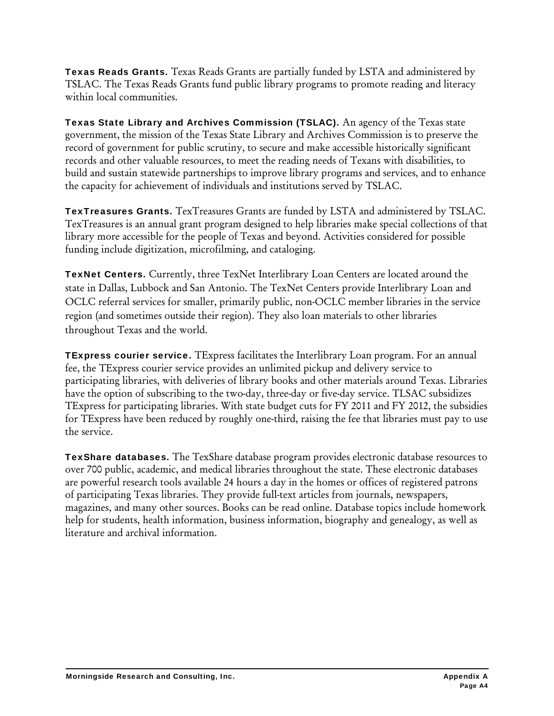Texas Reads Grants. Texas Reads Grants are partially funded by LSTA and administered by TSLAC. The Texas Reads Grants fund public library programs to promote reading and literacy within local communities.

Texas State Library and Archives Commission (TSLAC). An agency of the Texas state government, the mission of the Texas State Library and Archives Commission is to preserve the record of government for public scrutiny, to secure and make accessible historically significant records and other valuable resources, to meet the reading needs of Texans with disabilities, to build and sustain statewide partnerships to improve library programs and services, and to enhance the capacity for achievement of individuals and institutions served by TSLAC.

TexTreasures Grants. TexTreasures Grants are funded by LSTA and administered by TSLAC. TexTreasures is an annual grant program designed to help libraries make special collections of that library more accessible for the people of Texas and beyond. Activities considered for possible funding include digitization, microfilming, and cataloging.

TexNet Centers. Currently, three TexNet Interlibrary Loan Centers are located around the state in Dallas, Lubbock and San Antonio. The TexNet Centers provide Interlibrary Loan and OCLC referral services for smaller, primarily public, non-OCLC member libraries in the service region (and sometimes outside their region). They also loan materials to other libraries throughout Texas and the world.

TExpress courier service. TExpress facilitates the Interlibrary Loan program. For an annual fee, the TExpress courier service provides an unlimited pickup and delivery service to participating libraries, with deliveries of library books and other materials around Texas. Libraries have the option of subscribing to the two-day, three-day or five-day service. TLSAC subsidizes TExpress for participating libraries. With state budget cuts for FY 2011 and FY 2012, the subsidies for TExpress have been reduced by roughly one-third, raising the fee that libraries must pay to use the service.

TexShare databases. The TexShare database program provides electronic database resources to over 700 public, academic, and medical libraries throughout the state. These electronic databases are powerful research tools available 24 hours a day in the homes or offices of registered patrons of participating Texas libraries. They provide full-text articles from journals, newspapers, magazines, and many other sources. Books can be read online. Database topics include homework help for students, health information, business information, biography and genealogy, as well as literature and archival information.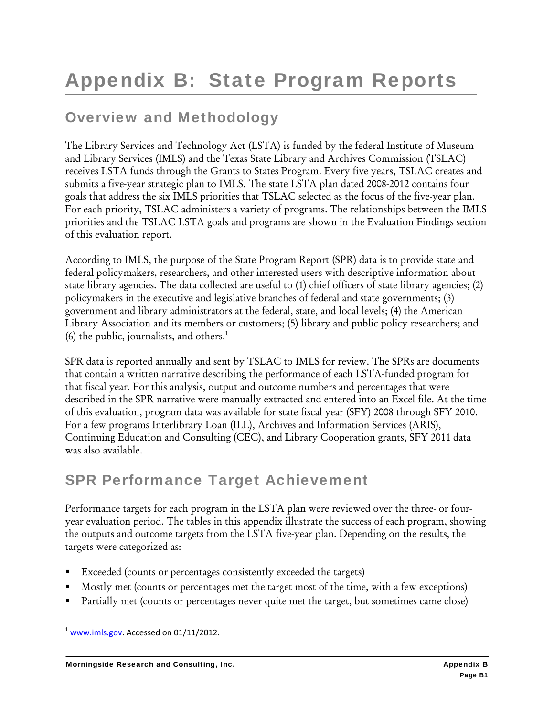# Overview and Methodology

The Library Services and Technology Act (LSTA) is funded by the federal Institute of Museum and Library Services (IMLS) and the Texas State Library and Archives Commission (TSLAC) receives LSTA funds through the Grants to States Program. Every five years, TSLAC creates and submits a five-year strategic plan to IMLS. The state LSTA plan dated 2008-2012 contains four goals that address the six IMLS priorities that TSLAC selected as the focus of the five-year plan. For each priority, TSLAC administers a variety of programs. The relationships between the IMLS priorities and the TSLAC LSTA goals and programs are shown in the Evaluation Findings section of this evaluation report.

According to IMLS, the purpose of the State Program Report (SPR) data is to provide state and federal policymakers, researchers, and other interested users with descriptive information about state library agencies. The data collected are useful to (1) chief officers of state library agencies; (2) policymakers in the executive and legislative branches of federal and state governments; (3) government and library administrators at the federal, state, and local levels; (4) the American Library Association and its members or customers; (5) library and public policy researchers; and (6) the public, journalists, and others. $<sup>1</sup>$ </sup>

SPR data is reported annually and sent by TSLAC to IMLS for review. The SPRs are documents that contain a written narrative describing the performance of each LSTA-funded program for that fiscal year. For this analysis, output and outcome numbers and percentages that were described in the SPR narrative were manually extracted and entered into an Excel file. At the time of this evaluation, program data was available for state fiscal year (SFY) 2008 through SFY 2010. For a few programs Interlibrary Loan (ILL), Archives and Information Services (ARIS), Continuing Education and Consulting (CEC), and Library Cooperation grants, SFY 2011 data was also available.

### SPR Performance Target Achievement

Performance targets for each program in the LSTA plan were reviewed over the three- or fouryear evaluation period. The tables in this appendix illustrate the success of each program, showing the outputs and outcome targets from the LSTA five-year plan. Depending on the results, the targets were categorized as:

- Exceeded (counts or percentages consistently exceeded the targets)
- Mostly met (counts or percentages met the target most of the time, with a few exceptions)
- Partially met (counts or percentages never quite met the target, but sometimes came close)

  $1$  www.imls.gov. Accessed on 01/11/2012.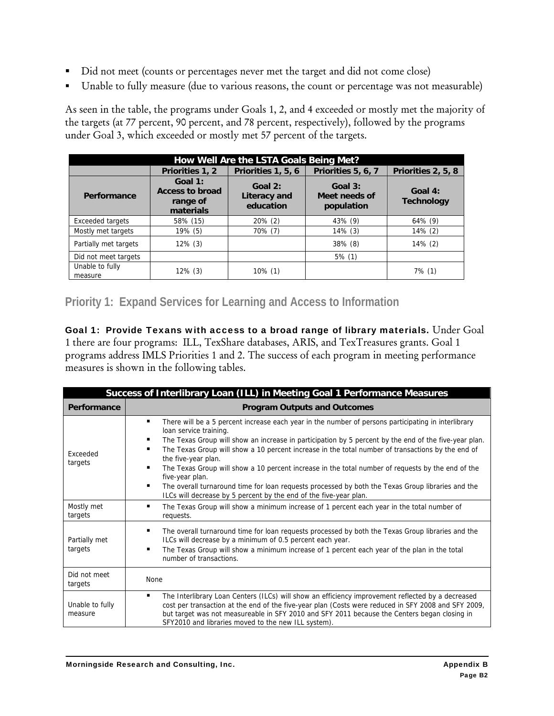- Did not meet (counts or percentages never met the target and did not come close)
- Unable to fully measure (due to various reasons, the count or percentage was not measurable)

As seen in the table, the programs under Goals 1, 2, and 4 exceeded or mostly met the majority of the targets (at 77 percent, 90 percent, and 78 percent, respectively), followed by the programs under Goal 3, which exceeded or mostly met 57 percent of the targets.

| How Well Are the LSTA Goals Being Met? |                                                            |                                      |                                          |                              |
|----------------------------------------|------------------------------------------------------------|--------------------------------------|------------------------------------------|------------------------------|
|                                        | Priorities 1, 2                                            | Priorities 1, 5, 6                   | Priorities 5, 6, 7                       | Priorities 2, 5, 8           |
| Performance                            | Goal 1:<br><b>Access to broad</b><br>range of<br>materials | Goal 2:<br>Literacy and<br>education | Goal $3:$<br>Meet needs of<br>population | Goal 4:<br><b>Technology</b> |
| Exceeded targets                       | 58% (15)                                                   | $20\%$ (2)                           | 43% (9)                                  | 64% (9)                      |
| Mostly met targets                     | 19% (5)                                                    | 70% (7)                              | $14\%$ (3)                               | $14\%$ (2)                   |
| Partially met targets                  | $12\%$ (3)                                                 |                                      | $38\%$ (8)                               | $14\%$ (2)                   |
| Did not meet targets                   |                                                            |                                      | $5\%$ (1)                                |                              |
| Unable to fully<br>measure             | $12\%$ (3)                                                 | $10\%$ (1)                           |                                          | 7% (1)                       |

#### **Priority 1: Expand Services for Learning and Access to Information**

Goal 1: Provide Texans with access to a broad range of library materials. Under Goal 1 there are four programs: ILL, TexShare databases, ARIS, and TexTreasures grants. Goal 1 programs address IMLS Priorities 1 and 2. The success of each program in meeting performance measures is shown in the following tables.

| Success of Interlibrary Loan (ILL) in Meeting Goal 1 Performance Measures |                                                                                                                                                                                                                                                                                                                                                                                                                                                                                                                                                                                                                                                                           |  |
|---------------------------------------------------------------------------|---------------------------------------------------------------------------------------------------------------------------------------------------------------------------------------------------------------------------------------------------------------------------------------------------------------------------------------------------------------------------------------------------------------------------------------------------------------------------------------------------------------------------------------------------------------------------------------------------------------------------------------------------------------------------|--|
| Performance                                                               | <b>Program Outputs and Outcomes</b>                                                                                                                                                                                                                                                                                                                                                                                                                                                                                                                                                                                                                                       |  |
| Exceeded<br>targets                                                       | ٠<br>There will be a 5 percent increase each year in the number of persons participating in interlibrary<br>loan service training.<br>The Texas Group will show an increase in participation by 5 percent by the end of the five-year plan.<br>The Texas Group will show a 10 percent increase in the total number of transactions by the end of<br>the five-year plan.<br>The Texas Group will show a 10 percent increase in the total number of requests by the end of the<br>five-year plan.<br>The overall turnaround time for loan requests processed by both the Texas Group libraries and the<br>ILCs will decrease by 5 percent by the end of the five-year plan. |  |
| Mostly met<br>targets                                                     | The Texas Group will show a minimum increase of 1 percent each year in the total number of<br>requests.                                                                                                                                                                                                                                                                                                                                                                                                                                                                                                                                                                   |  |
| Partially met<br>targets                                                  | The overall turnaround time for loan requests processed by both the Texas Group libraries and the<br>٠<br>ILCs will decrease by a minimum of 0.5 percent each year.<br>The Texas Group will show a minimum increase of 1 percent each year of the plan in the total<br>number of transactions.                                                                                                                                                                                                                                                                                                                                                                            |  |
| Did not meet<br>targets                                                   | <b>None</b>                                                                                                                                                                                                                                                                                                                                                                                                                                                                                                                                                                                                                                                               |  |
| Unable to fully<br>measure                                                | The Interlibrary Loan Centers (ILCs) will show an efficiency improvement reflected by a decreased<br>cost per transaction at the end of the five-year plan (Costs were reduced in SFY 2008 and SFY 2009,<br>but target was not measureable in SFY 2010 and SFY 2011 because the Centers began closing in<br>SFY2010 and libraries moved to the new ILL system).                                                                                                                                                                                                                                                                                                           |  |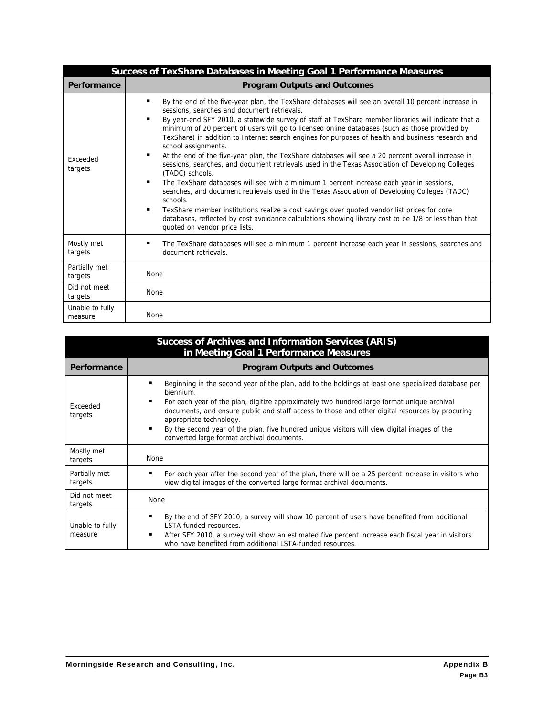|                            | <b>Success of TexShare Databases in Meeting Goal 1 Performance Measures</b>                                                                                                                                                                                                                                                                                                                                                                                                                                                                                                                                                                                                                                                                                                                                                                                                                                                                                                                                                                                                                                                                                           |
|----------------------------|-----------------------------------------------------------------------------------------------------------------------------------------------------------------------------------------------------------------------------------------------------------------------------------------------------------------------------------------------------------------------------------------------------------------------------------------------------------------------------------------------------------------------------------------------------------------------------------------------------------------------------------------------------------------------------------------------------------------------------------------------------------------------------------------------------------------------------------------------------------------------------------------------------------------------------------------------------------------------------------------------------------------------------------------------------------------------------------------------------------------------------------------------------------------------|
| Performance                | <b>Program Outputs and Outcomes</b>                                                                                                                                                                                                                                                                                                                                                                                                                                                                                                                                                                                                                                                                                                                                                                                                                                                                                                                                                                                                                                                                                                                                   |
| Exceeded<br>targets        | By the end of the five-year plan, the TexShare databases will see an overall 10 percent increase in<br>sessions, searches and document retrievals.<br>By year-end SFY 2010, a statewide survey of staff at TexShare member libraries will indicate that a<br>minimum of 20 percent of users will go to licensed online databases (such as those provided by<br>TexShare) in addition to Internet search engines for purposes of health and business research and<br>school assignments.<br>At the end of the five-year plan, the TexShare databases will see a 20 percent overall increase in<br>sessions, searches, and document retrievals used in the Texas Association of Developing Colleges<br>(TADC) schools.<br>The TexShare databases will see with a minimum 1 percent increase each year in sessions,<br>searches, and document retrievals used in the Texas Association of Developing Colleges (TADC)<br>schools.<br>TexShare member institutions realize a cost savings over quoted vendor list prices for core<br>databases, reflected by cost avoidance calculations showing library cost to be 1/8 or less than that<br>quoted on vendor price lists. |
| Mostly met<br>targets      | The TexShare databases will see a minimum 1 percent increase each year in sessions, searches and<br>document retrievals.                                                                                                                                                                                                                                                                                                                                                                                                                                                                                                                                                                                                                                                                                                                                                                                                                                                                                                                                                                                                                                              |
| Partially met<br>targets   | None                                                                                                                                                                                                                                                                                                                                                                                                                                                                                                                                                                                                                                                                                                                                                                                                                                                                                                                                                                                                                                                                                                                                                                  |
| Did not meet<br>targets    | None                                                                                                                                                                                                                                                                                                                                                                                                                                                                                                                                                                                                                                                                                                                                                                                                                                                                                                                                                                                                                                                                                                                                                                  |
| Unable to fully<br>measure | None                                                                                                                                                                                                                                                                                                                                                                                                                                                                                                                                                                                                                                                                                                                                                                                                                                                                                                                                                                                                                                                                                                                                                                  |

| <b>Success of Archives and Information Services (ARIS)</b><br>in Meeting Goal 1 Performance Measures |                                                                                                                                                                                                                                                                                                                                                                                                                                                                                            |  |
|------------------------------------------------------------------------------------------------------|--------------------------------------------------------------------------------------------------------------------------------------------------------------------------------------------------------------------------------------------------------------------------------------------------------------------------------------------------------------------------------------------------------------------------------------------------------------------------------------------|--|
| Performance                                                                                          | <b>Program Outputs and Outcomes</b>                                                                                                                                                                                                                                                                                                                                                                                                                                                        |  |
| Exceeded<br>targets                                                                                  | Beginning in the second year of the plan, add to the holdings at least one specialized database per<br>biennium.<br>For each year of the plan, digitize approximately two hundred large format unique archival<br>documents, and ensure public and staff access to those and other digital resources by procuring<br>appropriate technology.<br>By the second year of the plan, five hundred unique visitors will view digital images of the<br>converted large format archival documents. |  |
| Mostly met<br>targets                                                                                | <b>None</b>                                                                                                                                                                                                                                                                                                                                                                                                                                                                                |  |
| Partially met<br>targets                                                                             | For each year after the second year of the plan, there will be a 25 percent increase in visitors who<br>view digital images of the converted large format archival documents.                                                                                                                                                                                                                                                                                                              |  |
| Did not meet<br>targets                                                                              | None                                                                                                                                                                                                                                                                                                                                                                                                                                                                                       |  |
| Unable to fully<br>measure                                                                           | By the end of SFY 2010, a survey will show 10 percent of users have benefited from additional<br><b>LSTA-funded resources</b><br>After SFY 2010, a survey will show an estimated five percent increase each fiscal year in visitors<br>who have benefited from additional LSTA-funded resources.                                                                                                                                                                                           |  |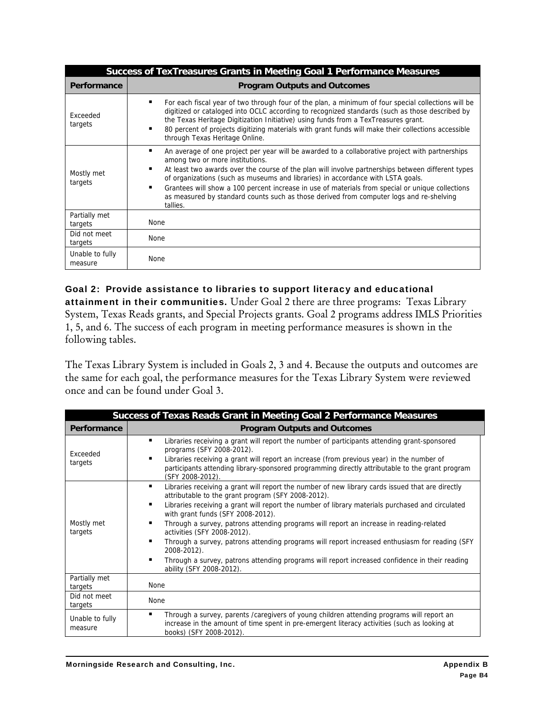| <b>Success of TexTreasures Grants in Meeting Goal 1 Performance Measures</b> |                                                                                                                                                                                                                                                                                                                                                                                                                                                                                                                                                      |  |
|------------------------------------------------------------------------------|------------------------------------------------------------------------------------------------------------------------------------------------------------------------------------------------------------------------------------------------------------------------------------------------------------------------------------------------------------------------------------------------------------------------------------------------------------------------------------------------------------------------------------------------------|--|
| <b>Performance</b>                                                           | <b>Program Outputs and Outcomes</b>                                                                                                                                                                                                                                                                                                                                                                                                                                                                                                                  |  |
| Exceeded<br>targets                                                          | For each fiscal year of two through four of the plan, a minimum of four special collections will be<br>п<br>digitized or cataloged into OCLC according to recognized standards (such as those described by<br>the Texas Heritage Digitization Initiative) using funds from a TexTreasures grant.<br>80 percent of projects digitizing materials with grant funds will make their collections accessible<br>п<br>through Texas Heritage Online.                                                                                                       |  |
| Mostly met<br>targets                                                        | An average of one project per year will be awarded to a collaborative project with partnerships<br>п<br>among two or more institutions.<br>п<br>At least two awards over the course of the plan will involve partnerships between different types<br>of organizations (such as museums and libraries) in accordance with LSTA goals.<br>п<br>Grantees will show a 100 percent increase in use of materials from special or unique collections<br>as measured by standard counts such as those derived from computer logs and re-shelving<br>tallies. |  |
| Partially met<br>targets                                                     | None                                                                                                                                                                                                                                                                                                                                                                                                                                                                                                                                                 |  |
| Did not meet<br>targets                                                      | None                                                                                                                                                                                                                                                                                                                                                                                                                                                                                                                                                 |  |
| Unable to fully<br>measure                                                   | None                                                                                                                                                                                                                                                                                                                                                                                                                                                                                                                                                 |  |

Goal 2: Provide assistance to libraries to support literacy and educational attainment in their communities. Under Goal 2 there are three programs: Texas Library System, Texas Reads grants, and Special Projects grants. Goal 2 programs address IMLS Priorities 1, 5, and 6. The success of each program in meeting performance measures is shown in the following tables.

The Texas Library System is included in Goals 2, 3 and 4. Because the outputs and outcomes are the same for each goal, the performance measures for the Texas Library System were reviewed once and can be found under Goal 3.

| Success of Texas Reads Grant in Meeting Goal 2 Performance Measures |                                                                                                                                                                                                                                                                                                                                                                                                                                                                                                                                                                                                                                                                                                   |  |
|---------------------------------------------------------------------|---------------------------------------------------------------------------------------------------------------------------------------------------------------------------------------------------------------------------------------------------------------------------------------------------------------------------------------------------------------------------------------------------------------------------------------------------------------------------------------------------------------------------------------------------------------------------------------------------------------------------------------------------------------------------------------------------|--|
| Performance                                                         | <b>Program Outputs and Outcomes</b>                                                                                                                                                                                                                                                                                                                                                                                                                                                                                                                                                                                                                                                               |  |
| Exceeded<br>targets                                                 | ٠<br>Libraries receiving a grant will report the number of participants attending grant-sponsored<br>programs (SFY 2008-2012).<br>Libraries receiving a grant will report an increase (from previous year) in the number of<br>٠<br>participants attending library-sponsored programming directly attributable to the grant program<br>(SFY 2008-2012).                                                                                                                                                                                                                                                                                                                                           |  |
| Mostly met<br>targets                                               | ٠<br>Libraries receiving a grant will report the number of new library cards issued that are directly<br>attributable to the grant program (SFY 2008-2012).<br>Libraries receiving a grant will report the number of library materials purchased and circulated<br>٠<br>with grant funds (SFY 2008-2012).<br>Through a survey, patrons attending programs will report an increase in reading-related<br>٠<br>activities (SFY 2008-2012).<br>٠<br>Through a survey, patrons attending programs will report increased enthusiasm for reading (SFY<br>2008-2012).<br>Through a survey, patrons attending programs will report increased confidence in their reading<br>٠<br>ability (SFY 2008-2012). |  |
| Partially met<br>targets                                            | <b>None</b>                                                                                                                                                                                                                                                                                                                                                                                                                                                                                                                                                                                                                                                                                       |  |
| Did not meet<br>targets                                             | None                                                                                                                                                                                                                                                                                                                                                                                                                                                                                                                                                                                                                                                                                              |  |
| Unable to fully<br>measure                                          | Through a survey, parents /caregivers of young children attending programs will report an<br>٠<br>increase in the amount of time spent in pre-emergent literacy activities (such as looking at<br>books) (SFY 2008-2012).                                                                                                                                                                                                                                                                                                                                                                                                                                                                         |  |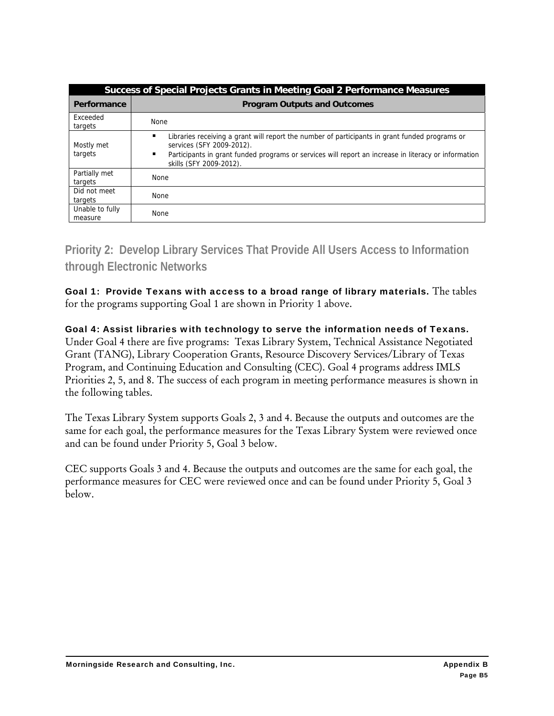| Success of Special Projects Grants in Meeting Goal 2 Performance Measures |                                                                                                                                                                                                                                                                          |  |
|---------------------------------------------------------------------------|--------------------------------------------------------------------------------------------------------------------------------------------------------------------------------------------------------------------------------------------------------------------------|--|
| Performance                                                               | <b>Program Outputs and Outcomes</b>                                                                                                                                                                                                                                      |  |
| Exceeded<br>targets                                                       | None                                                                                                                                                                                                                                                                     |  |
| Mostly met<br>targets                                                     | ٠<br>Libraries receiving a grant will report the number of participants in grant funded programs or<br>services (SFY 2009-2012).<br>٠<br>Participants in grant funded programs or services will report an increase in literacy or information<br>skills (SFY 2009-2012). |  |
| Partially met<br>targets                                                  | <b>None</b>                                                                                                                                                                                                                                                              |  |
| Did not meet<br>targets                                                   | <b>None</b>                                                                                                                                                                                                                                                              |  |
| Unable to fully<br>measure                                                | <b>None</b>                                                                                                                                                                                                                                                              |  |

**Priority 2: Develop Library Services That Provide All Users Access to Information through Electronic Networks** 

Goal 1: Provide Texans with access to a broad range of library materials. The tables for the programs supporting Goal 1 are shown in Priority 1 above.

Goal 4: Assist libraries with technology to serve the information needs of Texans. Under Goal 4 there are five programs: Texas Library System, Technical Assistance Negotiated Grant (TANG), Library Cooperation Grants, Resource Discovery Services/Library of Texas Program, and Continuing Education and Consulting (CEC). Goal 4 programs address IMLS Priorities 2, 5, and 8. The success of each program in meeting performance measures is shown in the following tables.

The Texas Library System supports Goals 2, 3 and 4. Because the outputs and outcomes are the same for each goal, the performance measures for the Texas Library System were reviewed once and can be found under Priority 5, Goal 3 below.

CEC supports Goals 3 and 4. Because the outputs and outcomes are the same for each goal, the performance measures for CEC were reviewed once and can be found under Priority 5, Goal 3 below.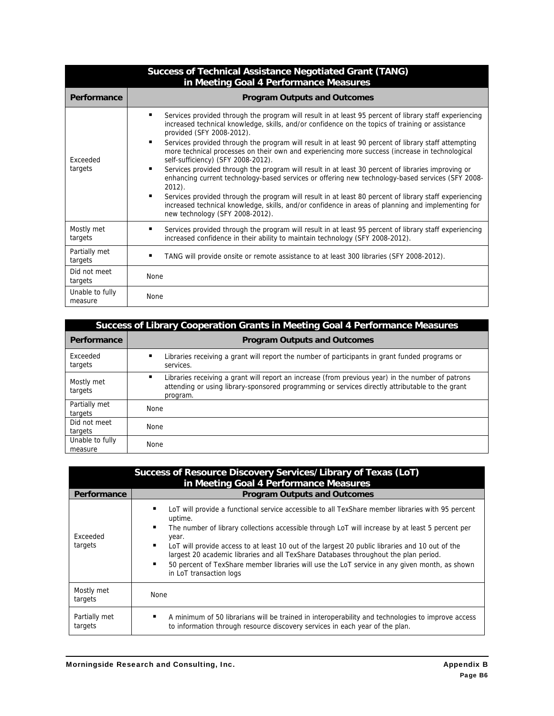|                            | <b>Success of Technical Assistance Negotiated Grant (TANG)</b><br>in Meeting Goal 4 Performance Measures                                                                                                                                                                                                                                                                                                                                                                                                                                                                                                                                                                                                                                                                                                                                                                                                                                                               |
|----------------------------|------------------------------------------------------------------------------------------------------------------------------------------------------------------------------------------------------------------------------------------------------------------------------------------------------------------------------------------------------------------------------------------------------------------------------------------------------------------------------------------------------------------------------------------------------------------------------------------------------------------------------------------------------------------------------------------------------------------------------------------------------------------------------------------------------------------------------------------------------------------------------------------------------------------------------------------------------------------------|
| Performance                | <b>Program Outputs and Outcomes</b>                                                                                                                                                                                                                                                                                                                                                                                                                                                                                                                                                                                                                                                                                                                                                                                                                                                                                                                                    |
| Exceeded<br>targets        | Services provided through the program will result in at least 95 percent of library staff experiencing<br>increased technical knowledge, skills, and/or confidence on the topics of training or assistance<br>provided (SFY 2008-2012).<br>Services provided through the program will result in at least 90 percent of library staff attempting<br>more technical processes on their own and experiencing more success (increase in technological<br>self-sufficiency) (SFY 2008-2012).<br>Services provided through the program will result in at least 30 percent of libraries improving or<br>enhancing current technology-based services or offering new technology-based services (SFY 2008-<br>$2012$ ).<br>Services provided through the program will result in at least 80 percent of library staff experiencing<br>٠<br>increased technical knowledge, skills, and/or confidence in areas of planning and implementing for<br>new technology (SFY 2008-2012). |
| Mostly met<br>targets      | Services provided through the program will result in at least 95 percent of library staff experiencing<br>increased confidence in their ability to maintain technology (SFY 2008-2012).                                                                                                                                                                                                                                                                                                                                                                                                                                                                                                                                                                                                                                                                                                                                                                                |
| Partially met<br>targets   | TANG will provide onsite or remote assistance to at least 300 libraries (SFY 2008-2012).                                                                                                                                                                                                                                                                                                                                                                                                                                                                                                                                                                                                                                                                                                                                                                                                                                                                               |
| Did not meet<br>targets    | <b>None</b>                                                                                                                                                                                                                                                                                                                                                                                                                                                                                                                                                                                                                                                                                                                                                                                                                                                                                                                                                            |
| Unable to fully<br>measure | None                                                                                                                                                                                                                                                                                                                                                                                                                                                                                                                                                                                                                                                                                                                                                                                                                                                                                                                                                                   |

| Success of Library Cooperation Grants in Meeting Goal 4 Performance Measures |                                                                                                                                                                                                                  |
|------------------------------------------------------------------------------|------------------------------------------------------------------------------------------------------------------------------------------------------------------------------------------------------------------|
| Performance                                                                  | <b>Program Outputs and Outcomes</b>                                                                                                                                                                              |
| Exceeded<br>targets                                                          | Libraries receiving a grant will report the number of participants in grant funded programs or<br>٠<br>services.                                                                                                 |
| Mostly met<br>targets                                                        | Libraries receiving a grant will report an increase (from previous year) in the number of patrons<br>attending or using library-sponsored programming or services directly attributable to the grant<br>program. |
| Partially met<br>targets                                                     | <b>None</b>                                                                                                                                                                                                      |
| Did not meet<br>targets                                                      | <b>None</b>                                                                                                                                                                                                      |
| Unable to fully<br>measure                                                   | <b>None</b>                                                                                                                                                                                                      |

|                          | Success of Resource Discovery Services/Library of Texas (LoT)<br>in Meeting Goal 4 Performance Measures                                                                                                                                                                                                                                                                                                                                                                                                                                                         |
|--------------------------|-----------------------------------------------------------------------------------------------------------------------------------------------------------------------------------------------------------------------------------------------------------------------------------------------------------------------------------------------------------------------------------------------------------------------------------------------------------------------------------------------------------------------------------------------------------------|
| Performance              | <b>Program Outputs and Outcomes</b>                                                                                                                                                                                                                                                                                                                                                                                                                                                                                                                             |
| Exceeded<br>targets      | LoT will provide a functional service accessible to all TexShare member libraries with 95 percent<br>uptime.<br>The number of library collections accessible through LoT will increase by at least 5 percent per<br>٠<br>year.<br>٠<br>LoT will provide access to at least 10 out of the largest 20 public libraries and 10 out of the<br>largest 20 academic libraries and all TexShare Databases throughout the plan period.<br>50 percent of TexShare member libraries will use the LoT service in any given month, as shown<br>٠<br>in LoT transaction logs |
| Mostly met<br>targets    | <b>None</b>                                                                                                                                                                                                                                                                                                                                                                                                                                                                                                                                                     |
| Partially met<br>targets | A minimum of 50 librarians will be trained in interoperability and technologies to improve access<br>to information through resource discovery services in each year of the plan.                                                                                                                                                                                                                                                                                                                                                                               |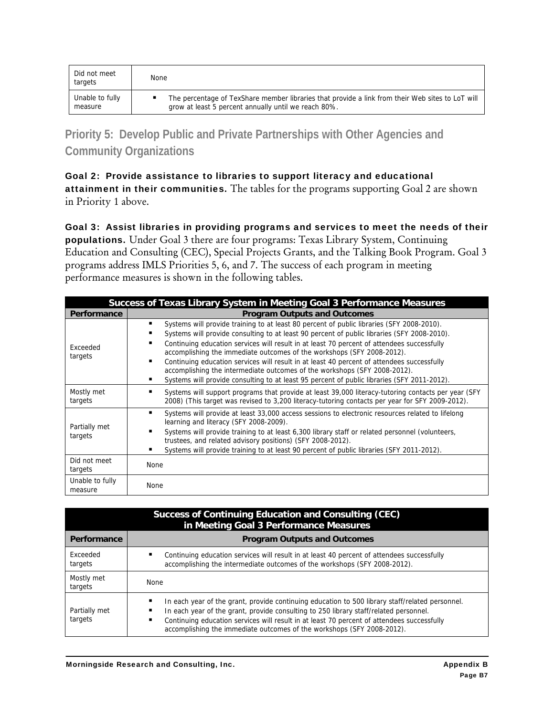| Did not meet<br>targets | None                                                                                             |
|-------------------------|--------------------------------------------------------------------------------------------------|
| Unable to fully         | The percentage of TexShare member libraries that provide a link from their Web sites to LoT will |
| measure                 | grow at least 5 percent annually until we reach 80%.                                             |

**Priority 5: Develop Public and Private Partnerships with Other Agencies and Community Organizations** 

Goal 2: Provide assistance to libraries to support literacy and educational attainment in their communities. The tables for the programs supporting Goal 2 are shown in Priority 1 above.

Goal 3: Assist libraries in providing programs and services to meet the needs of their populations. Under Goal 3 there are four programs: Texas Library System, Continuing Education and Consulting (CEC), Special Projects Grants, and the Talking Book Program. Goal 3 programs address IMLS Priorities 5, 6, and 7. The success of each program in meeting performance measures is shown in the following tables.

| Success of Texas Library System in Meeting Goal 3 Performance Measures |                                                                                                                                                                                                                                                                                                                                                                                                                                                                                                                                                                                                                                                 |  |
|------------------------------------------------------------------------|-------------------------------------------------------------------------------------------------------------------------------------------------------------------------------------------------------------------------------------------------------------------------------------------------------------------------------------------------------------------------------------------------------------------------------------------------------------------------------------------------------------------------------------------------------------------------------------------------------------------------------------------------|--|
| Performance                                                            | <b>Program Outputs and Outcomes</b>                                                                                                                                                                                                                                                                                                                                                                                                                                                                                                                                                                                                             |  |
| Exceeded<br>targets                                                    | Systems will provide training to at least 80 percent of public libraries (SFY 2008-2010).<br>٠<br>Systems will provide consulting to at least 90 percent of public libraries (SFY 2008-2010).<br>Continuing education services will result in at least 70 percent of attendees successfully<br>accomplishing the immediate outcomes of the workshops (SFY 2008-2012).<br>Continuing education services will result in at least 40 percent of attendees successfully<br>accomplishing the intermediate outcomes of the workshops (SFY 2008-2012).<br>Systems will provide consulting to at least 95 percent of public libraries (SFY 2011-2012). |  |
| Mostly met<br>targets                                                  | Systems will support programs that provide at least 39,000 literacy-tutoring contacts per year (SFY<br>2008) (This target was revised to 3,200 literacy-tutoring contacts per year for SFY 2009-2012).                                                                                                                                                                                                                                                                                                                                                                                                                                          |  |
| Partially met<br>targets                                               | Systems will provide at least 33,000 access sessions to electronic resources related to lifelong<br>learning and literacy (SFY 2008-2009).<br>Systems will provide training to at least 6,300 library staff or related personnel (volunteers,<br>trustees, and related advisory positions) (SFY 2008-2012).<br>Systems will provide training to at least 90 percent of public libraries (SFY 2011-2012).                                                                                                                                                                                                                                        |  |
| Did not meet<br>targets                                                | None                                                                                                                                                                                                                                                                                                                                                                                                                                                                                                                                                                                                                                            |  |
| Unable to fully<br>measure                                             | <b>None</b>                                                                                                                                                                                                                                                                                                                                                                                                                                                                                                                                                                                                                                     |  |

| Success of Continuing Education and Consulting (CEC)<br>in Meeting Goal 3 Performance Measures |                                                                                                                                                                                                                                                                                                                                                                  |  |  |  |
|------------------------------------------------------------------------------------------------|------------------------------------------------------------------------------------------------------------------------------------------------------------------------------------------------------------------------------------------------------------------------------------------------------------------------------------------------------------------|--|--|--|
| Performance                                                                                    | <b>Program Outputs and Outcomes</b>                                                                                                                                                                                                                                                                                                                              |  |  |  |
| Exceeded<br>targets                                                                            | Continuing education services will result in at least 40 percent of attendees successfully<br>accomplishing the intermediate outcomes of the workshops (SFY 2008-2012).                                                                                                                                                                                          |  |  |  |
| Mostly met<br>targets                                                                          | <b>None</b>                                                                                                                                                                                                                                                                                                                                                      |  |  |  |
| Partially met<br>targets                                                                       | In each year of the grant, provide continuing education to 500 library staff/related personnel.<br>In each year of the grant, provide consulting to 250 library staff/related personnel.<br>Continuing education services will result in at least 70 percent of attendees successfully<br>accomplishing the immediate outcomes of the workshops (SFY 2008-2012). |  |  |  |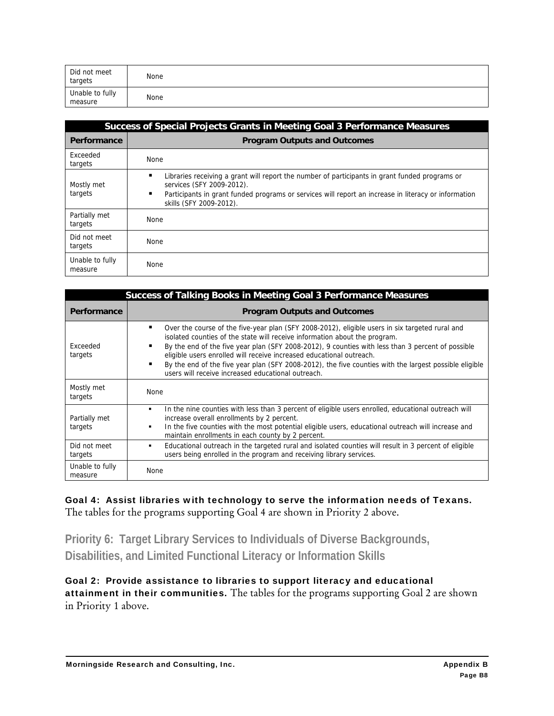| Did not meet<br>targets    | None |
|----------------------------|------|
| Unable to fully<br>measure | None |

|                            | Success of Special Projects Grants in Meeting Goal 3 Performance Measures                                                                                                                                                                                      |  |  |  |
|----------------------------|----------------------------------------------------------------------------------------------------------------------------------------------------------------------------------------------------------------------------------------------------------------|--|--|--|
| Performance                | <b>Program Outputs and Outcomes</b>                                                                                                                                                                                                                            |  |  |  |
| Exceeded<br>targets        | <b>None</b>                                                                                                                                                                                                                                                    |  |  |  |
| Mostly met<br>targets      | Libraries receiving a grant will report the number of participants in grant funded programs or<br>services (SFY 2009-2012).<br>Participants in grant funded programs or services will report an increase in literacy or information<br>skills (SFY 2009-2012). |  |  |  |
| Partially met<br>targets   | <b>None</b>                                                                                                                                                                                                                                                    |  |  |  |
| Did not meet<br>targets    | <b>None</b>                                                                                                                                                                                                                                                    |  |  |  |
| Unable to fully<br>measure | <b>None</b>                                                                                                                                                                                                                                                    |  |  |  |

| Success of Talking Books in Meeting Goal 3 Performance Measures |                                                                                                                                                                                                                                                                                                                                                                                                                                                                                                                                 |  |  |  |  |
|-----------------------------------------------------------------|---------------------------------------------------------------------------------------------------------------------------------------------------------------------------------------------------------------------------------------------------------------------------------------------------------------------------------------------------------------------------------------------------------------------------------------------------------------------------------------------------------------------------------|--|--|--|--|
| Performance                                                     | <b>Program Outputs and Outcomes</b>                                                                                                                                                                                                                                                                                                                                                                                                                                                                                             |  |  |  |  |
| Exceeded<br>targets                                             | Over the course of the five-year plan (SFY 2008-2012), eligible users in six targeted rural and<br>٠<br>isolated counties of the state will receive information about the program.<br>By the end of the five year plan (SFY 2008-2012), 9 counties with less than 3 percent of possible<br>eligible users enrolled will receive increased educational outreach.<br>By the end of the five year plan (SFY 2008-2012), the five counties with the largest possible eligible<br>users will receive increased educational outreach. |  |  |  |  |
| Mostly met<br>targets                                           | <b>None</b>                                                                                                                                                                                                                                                                                                                                                                                                                                                                                                                     |  |  |  |  |
| Partially met<br>targets                                        | In the nine counties with less than 3 percent of eligible users enrolled, educational outreach will<br>$\blacksquare$<br>increase overall enrollments by 2 percent.<br>In the five counties with the most potential eligible users, educational outreach will increase and<br>٠<br>maintain enrollments in each county by 2 percent.                                                                                                                                                                                            |  |  |  |  |
| Did not meet<br>targets                                         | Educational outreach in the targeted rural and isolated counties will result in 3 percent of eligible<br>٠<br>users being enrolled in the program and receiving library services.                                                                                                                                                                                                                                                                                                                                               |  |  |  |  |
| Unable to fully<br>measure                                      | None                                                                                                                                                                                                                                                                                                                                                                                                                                                                                                                            |  |  |  |  |

Goal 4: Assist libraries with technology to serve the information needs of Texans. The tables for the programs supporting Goal 4 are shown in Priority 2 above.

**Priority 6: Target Library Services to Individuals of Diverse Backgrounds, Disabilities, and Limited Functional Literacy or Information Skills** 

Goal 2: Provide assistance to libraries to support literacy and educational attainment in their communities. The tables for the programs supporting Goal 2 are shown in Priority 1 above.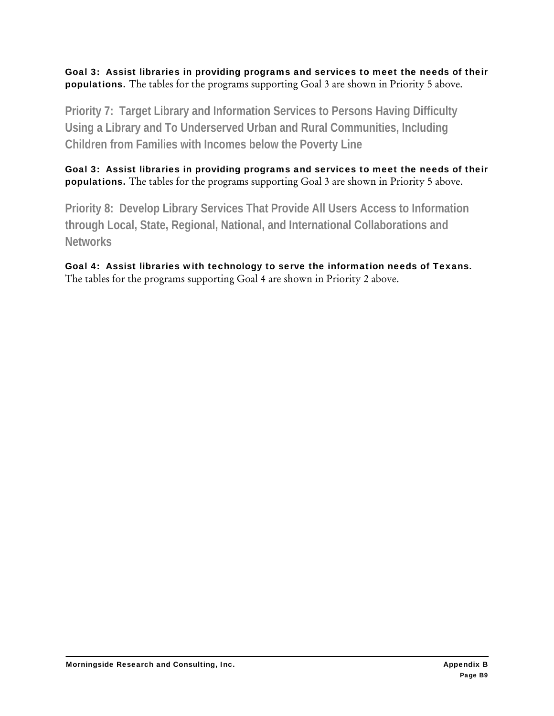Goal 3: Assist libraries in providing programs and services to meet the needs of their populations. The tables for the programs supporting Goal 3 are shown in Priority 5 above.

**Priority 7: Target Library and Information Services to Persons Having Difficulty Using a Library and To Underserved Urban and Rural Communities, Including Children from Families with Incomes below the Poverty Line** 

Goal 3: Assist libraries in providing programs and services to meet the needs of their populations. The tables for the programs supporting Goal 3 are shown in Priority 5 above.

**Priority 8: Develop Library Services That Provide All Users Access to Information through Local, State, Regional, National, and International Collaborations and Networks** 

Goal 4: Assist libraries with technology to serve the information needs of Texans. The tables for the programs supporting Goal 4 are shown in Priority 2 above.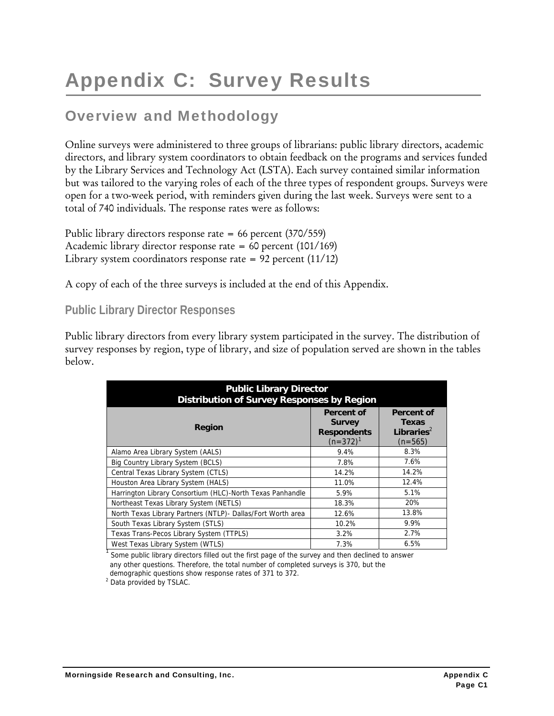# Appendix C: Survey Results

### Overview and Methodology

Online surveys were administered to three groups of librarians: public library directors, academic directors, and library system coordinators to obtain feedback on the programs and services funded by the Library Services and Technology Act (LSTA). Each survey contained similar information but was tailored to the varying roles of each of the three types of respondent groups. Surveys were open for a two-week period, with reminders given during the last week. Surveys were sent to a total of 740 individuals. The response rates were as follows:

Public library directors response rate = 66 percent (370/559) Academic library director response rate = 60 percent (101/169) Library system coordinators response rate =  $92$  percent (11/12)

A copy of each of the three surveys is included at the end of this Appendix.

#### **Public Library Director Responses**

Public library directors from every library system participated in the survey. The distribution of survey responses by region, type of library, and size of population served are shown in the tables below.

| <b>Public Library Director</b><br><b>Distribution of Survey Responses by Region</b> |                                                                    |                                                                   |  |  |  |
|-------------------------------------------------------------------------------------|--------------------------------------------------------------------|-------------------------------------------------------------------|--|--|--|
| <b>Region</b>                                                                       | Percent of<br><b>Survey</b><br><b>Respondents</b><br>$(n=372)^{1}$ | <b>Percent of</b><br>Texas<br>Libraries <sup>2</sup><br>$(n=565)$ |  |  |  |
| Alamo Area Library System (AALS)                                                    | 9.4%                                                               | 8.3%                                                              |  |  |  |
| Big Country Library System (BCLS)                                                   | 7.8%                                                               | 7.6%                                                              |  |  |  |
| Central Texas Library System (CTLS)                                                 | 14.2%                                                              | 14.2%                                                             |  |  |  |
| Houston Area Library System (HALS)                                                  | 11.0%                                                              | 12.4%                                                             |  |  |  |
| Harrington Library Consortium (HLC)-North Texas Panhandle                           | 5.9%                                                               | 5.1%                                                              |  |  |  |
| Northeast Texas Library System (NETLS)                                              | 18.3%                                                              | 20%                                                               |  |  |  |
| North Texas Library Partners (NTLP) - Dallas/Fort Worth area                        | 12.6%                                                              | 13.8%                                                             |  |  |  |
| South Texas Library System (STLS)                                                   | 10.2%                                                              | 9.9%                                                              |  |  |  |
| Texas Trans-Pecos Library System (TTPLS)                                            | 3.2%                                                               | 2.7%                                                              |  |  |  |
| West Texas Library System (WTLS)                                                    | 7.3%                                                               | 6.5%                                                              |  |  |  |

<sup>1</sup> Some public library directors filled out the first page of the survey and then declined to answer any other questions. Therefore, the total number of completed surveys is 370, but the demographic questions show response rates of 371 to 372.

<sup>2</sup> Data provided by TSLAC.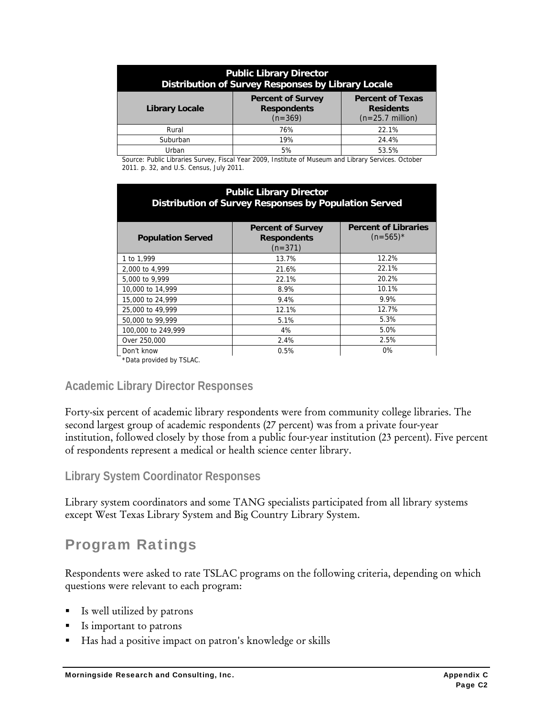| <b>Public Library Director</b><br><b>Distribution of Survey Responses by Library Locale</b>                                                                       |     |       |  |  |  |
|-------------------------------------------------------------------------------------------------------------------------------------------------------------------|-----|-------|--|--|--|
| <b>Percent of Survey</b><br><b>Percent of Texas</b><br><b>Respondents</b><br><b>Library Locale</b><br><b>Residents</b><br>$(n=369)$<br>$(n=25.7 \text{ million})$ |     |       |  |  |  |
| Rural                                                                                                                                                             | 76% | 22.1% |  |  |  |
| Suburban                                                                                                                                                          | 19% | 24.4% |  |  |  |
| Urban                                                                                                                                                             | 5%  | 53.5% |  |  |  |

Source: Public Libraries Survey, Fiscal Year 2009, Institute of Museum and Library Services. October 2011. p. 32, and U.S. Census, July 2011.

| <b>Public Library Director</b><br><b>Distribution of Survey Responses by Population Served</b> |                                                             |                                            |  |  |  |
|------------------------------------------------------------------------------------------------|-------------------------------------------------------------|--------------------------------------------|--|--|--|
| <b>Population Served</b>                                                                       | <b>Percent of Survey</b><br><b>Respondents</b><br>$(n=371)$ | <b>Percent of Libraries</b><br>$(n=565)^*$ |  |  |  |
| 1 to 1,999                                                                                     | 13.7%                                                       | 12.2%                                      |  |  |  |
| 2,000 to 4,999                                                                                 | 21.6%                                                       | 22.1%                                      |  |  |  |
| 5,000 to 9,999                                                                                 | 22.1%                                                       | 20.2%                                      |  |  |  |
| 10,000 to 14,999                                                                               | 8.9%                                                        | 10.1%                                      |  |  |  |
| 15,000 to 24,999                                                                               | 9.4%                                                        | 9.9%                                       |  |  |  |
| 25,000 to 49,999                                                                               | 12.1%                                                       | 12.7%                                      |  |  |  |
| 50,000 to 99,999                                                                               | 5.1%                                                        | 5.3%                                       |  |  |  |
| 100,000 to 249,999                                                                             | 4%                                                          | 5.0%                                       |  |  |  |
| Over 250,000                                                                                   | 2.4%                                                        | 2.5%                                       |  |  |  |
| Don't know                                                                                     | 0.5%                                                        | $0\%$                                      |  |  |  |
| $\overline{z}$                                                                                 |                                                             |                                            |  |  |  |

\*Data provided by TSLAC.

#### **Academic Library Director Responses**

Forty-six percent of academic library respondents were from community college libraries. The second largest group of academic respondents (27 percent) was from a private four-year institution, followed closely by those from a public four-year institution (23 percent). Five percent of respondents represent a medical or health science center library.

#### **Library System Coordinator Responses**

Library system coordinators and some TANG specialists participated from all library systems except West Texas Library System and Big Country Library System.

# Program Ratings

Respondents were asked to rate TSLAC programs on the following criteria, depending on which questions were relevant to each program:

- Is well utilized by patrons
- Is important to patrons
- Has had a positive impact on patron's knowledge or skills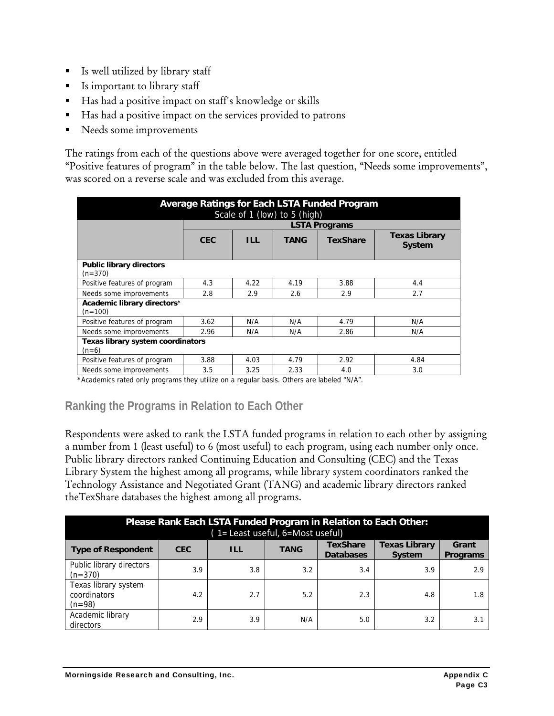- Is well utilized by library staff
- Is important to library staff
- Has had a positive impact on staff's knowledge or skills
- Has had a positive impact on the services provided to patrons
- Needs some improvements

The ratings from each of the questions above were averaged together for one score, entitled "Positive features of program" in the table below. The last question, "Needs some improvements", was scored on a reverse scale and was excluded from this average.

| Average Ratings for Each LSTA Funded Program<br>Scale of 1 (low) to 5 (high) |            |                      |      |                 |                                       |  |
|------------------------------------------------------------------------------|------------|----------------------|------|-----------------|---------------------------------------|--|
|                                                                              |            | <b>LSTA Programs</b> |      |                 |                                       |  |
|                                                                              | <b>CEC</b> | <b>ILL</b>           | TANG | <b>TexShare</b> | <b>Texas Library</b><br><b>System</b> |  |
| <b>Public library directors</b><br>$(n=370)$                                 |            |                      |      |                 |                                       |  |
| Positive features of program                                                 | 4.3        | 4.22                 | 4.19 | 3.88            | 4.4                                   |  |
| Needs some improvements                                                      | 2.8        | 2.9                  | 2.6  | 2.9             | 2.7                                   |  |
| Academic library directors*<br>$(n=100)$                                     |            |                      |      |                 |                                       |  |
| Positive features of program                                                 | 3.62       | N/A                  | N/A  | 4.79            | N/A                                   |  |
| Needs some improvements                                                      | 2.96       | N/A                  | N/A  | 2.86            | N/A                                   |  |
| <b>Texas library system coordinators</b><br>$(n=6)$                          |            |                      |      |                 |                                       |  |
| Positive features of program                                                 | 3.88       | 4.03                 | 4.79 | 2.92            | 4.84                                  |  |
| Needs some improvements                                                      | 3.5        | 3.25                 | 2.33 | 4.0             | 3.0                                   |  |

\*Academics rated only programs they utilize on a regular basis. Others are labeled "N/A".

### **Ranking the Programs in Relation to Each Other**

Respondents were asked to rank the LSTA funded programs in relation to each other by assigning a number from 1 (least useful) to 6 (most useful) to each program, using each number only once. Public library directors ranked Continuing Education and Consulting (CEC) and the Texas Library System the highest among all programs, while library system coordinators ranked the Technology Assistance and Negotiated Grant (TANG) and academic library directors ranked theTexShare databases the highest among all programs.

| Please Rank Each LSTA Funded Program in Relation to Each Other: |            |            |             |                                     |                                       |                          |  |
|-----------------------------------------------------------------|------------|------------|-------------|-------------------------------------|---------------------------------------|--------------------------|--|
| (1= Least useful, 6=Most useful)                                |            |            |             |                                     |                                       |                          |  |
| <b>Type of Respondent</b>                                       | <b>CEC</b> | <b>ILL</b> | <b>TANG</b> | <b>TexShare</b><br><b>Databases</b> | <b>Texas Library</b><br><b>System</b> | Grant<br><b>Programs</b> |  |
| Public library directors<br>$(n=370)$                           | 3.9        | 3.8        | 3.2         | 3.4                                 | 3.9                                   | 2.9                      |  |
| Texas library system<br>coordinators<br>$(n=98)$                | 4.2        | 2.7        | 5.2         | 2.3                                 | 4.8                                   | 1.8                      |  |
| Academic library<br>directors                                   | 2.9        | 3.9        | N/A         | 5.0                                 | 3.2                                   | 3.7                      |  |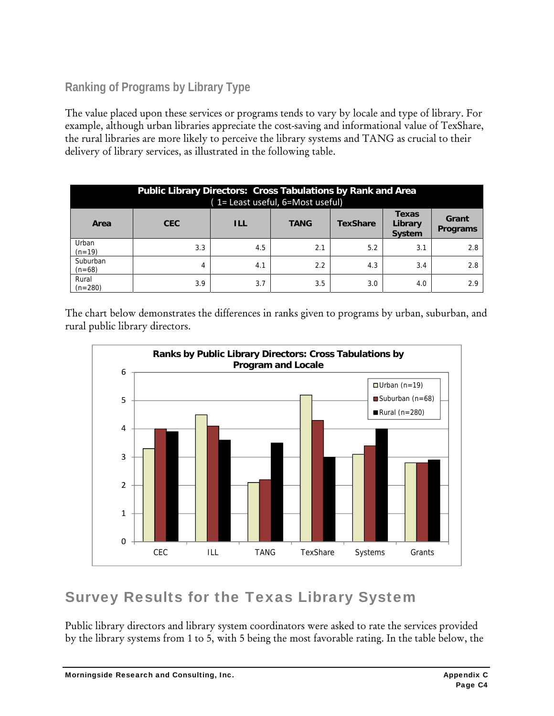### **Ranking of Programs by Library Type**

The value placed upon these services or programs tends to vary by locale and type of library. For example, although urban libraries appreciate the cost-saving and informational value of TexShare, the rural libraries are more likely to perceive the library systems and TANG as crucial to their delivery of library services, as illustrated in the following table.

| <b>Public Library Directors: Cross Tabulations by Rank and Area</b><br>(1= Least useful, 6=Most useful) |     |     |     |     |     |                          |
|---------------------------------------------------------------------------------------------------------|-----|-----|-----|-----|-----|--------------------------|
| <b>Texas</b><br><b>CEC</b><br>ILL<br><b>TANG</b><br>Library<br><b>TexShare</b><br>Area<br><b>System</b> |     |     |     |     |     | Grant<br><b>Programs</b> |
| Urban<br>$(n=19)$                                                                                       | 3.3 | 4.5 | 2.1 | 5.2 | 3.1 | 2.8                      |
| Suburban<br>$(n=68)$                                                                                    | 4   | 4.1 | 2.2 | 4.3 | 3.4 | 2.8                      |
| Rural<br>$(n=280)$                                                                                      | 3.9 | 3.7 | 3.5 | 3.0 | 4.0 | 2.9                      |

The chart below demonstrates the differences in ranks given to programs by urban, suburban, and rural public library directors.



### Survey Results for the Texas Library System

Public library directors and library system coordinators were asked to rate the services provided by the library systems from 1 to 5, with 5 being the most favorable rating. In the table below, the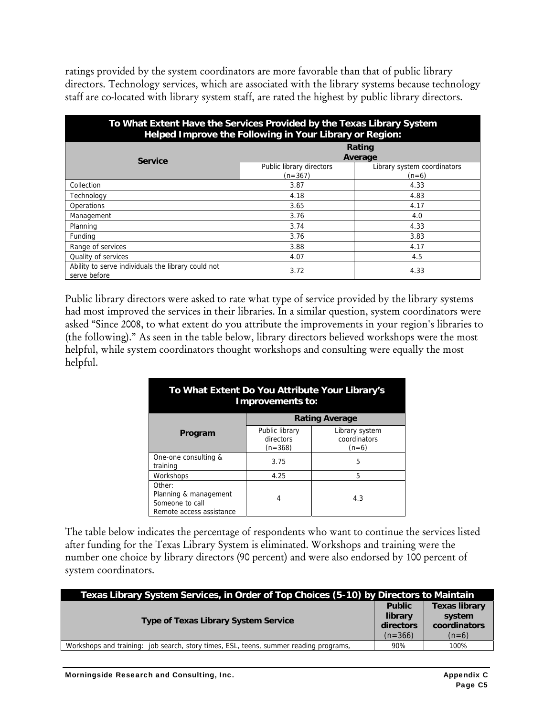ratings provided by the system coordinators are more favorable than that of public library directors. Technology services, which are associated with the library systems because technology staff are co-located with library system staff, are rated the highest by public library directors.

| To What Extent Have the Services Provided by the Texas Library System<br>Helped Improve the Following in Your Library or Region: |                                       |                                        |  |  |  |
|----------------------------------------------------------------------------------------------------------------------------------|---------------------------------------|----------------------------------------|--|--|--|
| <b>Service</b>                                                                                                                   | Rating<br>Average                     |                                        |  |  |  |
|                                                                                                                                  | Public library directors<br>$(n=367)$ | Library system coordinators<br>$(n=6)$ |  |  |  |
| Collection                                                                                                                       | 3.87                                  | 4.33                                   |  |  |  |
| Technology                                                                                                                       | 4.18                                  | 4.83                                   |  |  |  |
| Operations                                                                                                                       | 3.65                                  | 4.17                                   |  |  |  |
| Management                                                                                                                       | 3.76                                  | 4.0                                    |  |  |  |
| Planning                                                                                                                         | 3.74                                  | 4.33                                   |  |  |  |
| Funding                                                                                                                          | 3.76                                  | 3.83                                   |  |  |  |
| Range of services                                                                                                                | 3.88                                  | 4.17                                   |  |  |  |
| Quality of services                                                                                                              | 4.07                                  | 4.5                                    |  |  |  |
| Ability to serve individuals the library could not<br>serve before                                                               | 3.72                                  | 4.33                                   |  |  |  |

Public library directors were asked to rate what type of service provided by the library systems had most improved the services in their libraries. In a similar question, system coordinators were asked "Since 2008, to what extent do you attribute the improvements in your region's libraries to (the following)." As seen in the table below, library directors believed workshops were the most helpful, while system coordinators thought workshops and consulting were equally the most helpful.

| To What Extent Do You Attribute Your Library's<br>Improvements to:             |                                          |                                           |  |  |  |
|--------------------------------------------------------------------------------|------------------------------------------|-------------------------------------------|--|--|--|
| <b>Rating Average</b>                                                          |                                          |                                           |  |  |  |
| Program                                                                        | Public library<br>directors<br>$(n=368)$ | Library system<br>coordinators<br>$(n=6)$ |  |  |  |
| One-one consulting &<br>training                                               | 3.75                                     | 5                                         |  |  |  |
| Workshops                                                                      | 4.25                                     | 5                                         |  |  |  |
| Other:<br>Planning & management<br>Someone to call<br>Remote access assistance | 4                                        | 4.3                                       |  |  |  |

The table below indicates the percentage of respondents who want to continue the services listed after funding for the Texas Library System is eliminated. Workshops and training were the number one choice by library directors (90 percent) and were also endorsed by 100 percent of system coordinators.

| Texas Library System Services, in Order of Top Choices (5-10) by Directors to Maintain |                                                    |                                                           |
|----------------------------------------------------------------------------------------|----------------------------------------------------|-----------------------------------------------------------|
| <b>Type of Texas Library System Service</b>                                            | <b>Public</b><br>library<br>directors<br>$(n=366)$ | <b>Texas library</b><br>system<br>coordinators<br>$(n=6)$ |
| Workshops and training: job search, story times, ESL, teens, summer reading programs,  | 90%                                                | 100%                                                      |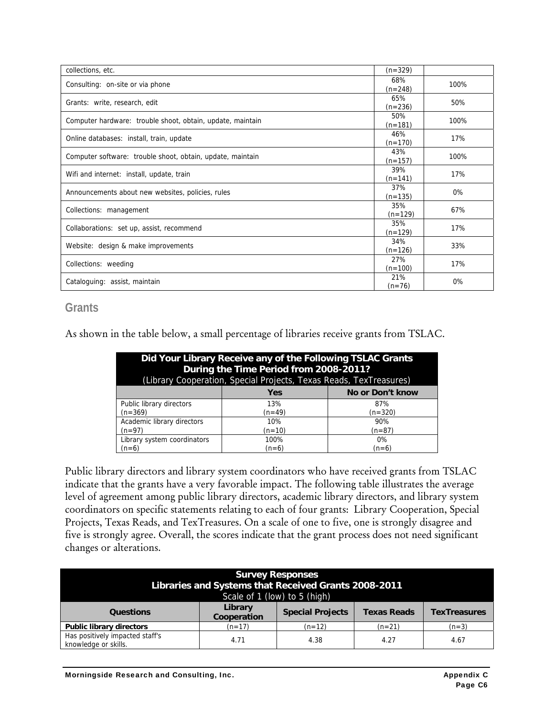| collections, etc.                                          | $(n=329)$        |      |
|------------------------------------------------------------|------------------|------|
| Consulting: on-site or via phone                           | 68%<br>$(n=248)$ | 100% |
| Grants: write, research, edit                              | 65%<br>$(n=236)$ | 50%  |
| Computer hardware: trouble shoot, obtain, update, maintain | 50%<br>$(n=181)$ | 100% |
| Online databases: install, train, update                   | 46%<br>$(n=170)$ | 17%  |
| Computer software: trouble shoot, obtain, update, maintain | 43%<br>$(n=157)$ | 100% |
| Wifi and internet: install, update, train                  | 39%<br>$(n=141)$ | 17%  |
| Announcements about new websites, policies, rules          | 37%<br>$(n=135)$ | 0%   |
| Collections: management                                    | 35%<br>$(n=129)$ | 67%  |
| Collaborations: set up, assist, recommend                  | 35%<br>$(n=129)$ | 17%  |
| Website: design & make improvements                        | 34%<br>$(n=126)$ | 33%  |
| Collections: weeding                                       | 27%<br>$(n=100)$ | 17%  |
| Cataloguing: assist, maintain                              | 21%<br>$(n=76)$  | 0%   |

#### **Grants**

As shown in the table below, a small percentage of libraries receive grants from TSLAC.

| Did Your Library Receive any of the Following TSLAC Grants<br>During the Time Period from 2008-2011?<br>(Library Cooperation, Special Projects, Texas Reads, TexTreasures) |         |                  |
|----------------------------------------------------------------------------------------------------------------------------------------------------------------------------|---------|------------------|
|                                                                                                                                                                            | Yes     | No or Don't know |
| Public library directors                                                                                                                                                   | 13%     | 87%              |
| $(n=369)$                                                                                                                                                                  | (n=49)  | $(n=320)$        |
| Academic library directors                                                                                                                                                 | 10%     | 90%              |
| (n=97)                                                                                                                                                                     | (n=10)  | (n=87)           |
| Library system coordinators                                                                                                                                                | 100%    | $0\%$            |
| $(n=6)$                                                                                                                                                                    | $(n=6)$ | $(n=6)$          |

Public library directors and library system coordinators who have received grants from TSLAC indicate that the grants have a very favorable impact. The following table illustrates the average level of agreement among public library directors, academic library directors, and library system coordinators on specific statements relating to each of four grants: Library Cooperation, Special Projects, Texas Reads, and TexTreasures. On a scale of one to five, one is strongly disagree and five is strongly agree. Overall, the scores indicate that the grant process does not need significant changes or alterations.

| <b>Survey Responses</b><br>Libraries and Systems that Received Grants 2008-2011<br>Scale of 1 (low) to 5 (high) |                        |                         |                    |                     |
|-----------------------------------------------------------------------------------------------------------------|------------------------|-------------------------|--------------------|---------------------|
| <b>Questions</b>                                                                                                | Library<br>Cooperation | <b>Special Projects</b> | <b>Texas Reads</b> | <b>TexTreasures</b> |
| <b>Public library directors</b>                                                                                 | $(n=17)$               | $(n=12)$                | $(n=21)$           | $(n=3)$             |
| Has positively impacted staff's<br>knowledge or skills.                                                         | 4.71                   | 4.38                    | 4.27               | 4.67                |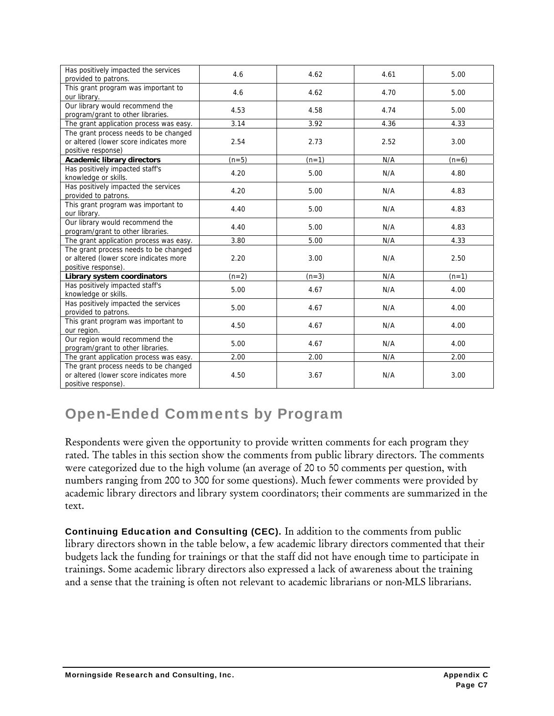| Has positively impacted the services<br>provided to patrons.                                           | 4.6     | 4.62    | 4.61 | 5.00    |
|--------------------------------------------------------------------------------------------------------|---------|---------|------|---------|
| This grant program was important to<br>our library.                                                    | 4.6     | 4.62    | 4.70 | 5.00    |
| Our library would recommend the<br>program/grant to other libraries.                                   | 4.53    | 4.58    | 4.74 | 5.00    |
| The grant application process was easy.                                                                | 3.14    | 3.92    | 4.36 | 4.33    |
| The grant process needs to be changed<br>or altered (lower score indicates more<br>positive response)  | 2.54    | 2.73    | 2.52 | 3.00    |
| <b>Academic library directors</b>                                                                      | $(n=5)$ | $(n=1)$ | N/A  | $(n=6)$ |
| Has positively impacted staff's<br>knowledge or skills.                                                | 4.20    | 5.00    | N/A  | 4.80    |
| Has positively impacted the services<br>provided to patrons.                                           | 4.20    | 5.00    | N/A  | 4.83    |
| This grant program was important to<br>our library.                                                    | 4.40    | 5.00    | N/A  | 4.83    |
| Our library would recommend the<br>program/grant to other libraries.                                   | 4.40    | 5.00    | N/A  | 4.83    |
| The grant application process was easy.                                                                | 3.80    | 5.00    | N/A  | 4.33    |
| The grant process needs to be changed<br>or altered (lower score indicates more<br>positive response). | 2.20    | 3.00    | N/A  | 2.50    |
| Library system coordinators                                                                            | $(n=2)$ | $(n=3)$ | N/A  | $(n=1)$ |
| Has positively impacted staff's<br>knowledge or skills.                                                | 5.00    | 4.67    | N/A  | 4.00    |
| Has positively impacted the services<br>provided to patrons.                                           | 5.00    | 4.67    | N/A  | 4.00    |
| This grant program was important to<br>our region.                                                     | 4.50    | 4.67    | N/A  | 4.00    |
| Our region would recommend the<br>program/grant to other libraries.                                    | 5.00    | 4.67    | N/A  | 4.00    |
| The grant application process was easy.                                                                | 2.00    | 2.00    | N/A  | 2.00    |
| The grant process needs to be changed<br>or altered (lower score indicates more<br>positive response). | 4.50    | 3.67    | N/A  | 3.00    |

# Open-Ended Comments by Program

Respondents were given the opportunity to provide written comments for each program they rated. The tables in this section show the comments from public library directors. The comments were categorized due to the high volume (an average of 20 to 50 comments per question, with numbers ranging from 200 to 300 for some questions). Much fewer comments were provided by academic library directors and library system coordinators; their comments are summarized in the text.

Continuing Education and Consulting (CEC). In addition to the comments from public library directors shown in the table below, a few academic library directors commented that their budgets lack the funding for trainings or that the staff did not have enough time to participate in trainings. Some academic library directors also expressed a lack of awareness about the training and a sense that the training is often not relevant to academic librarians or non-MLS librarians.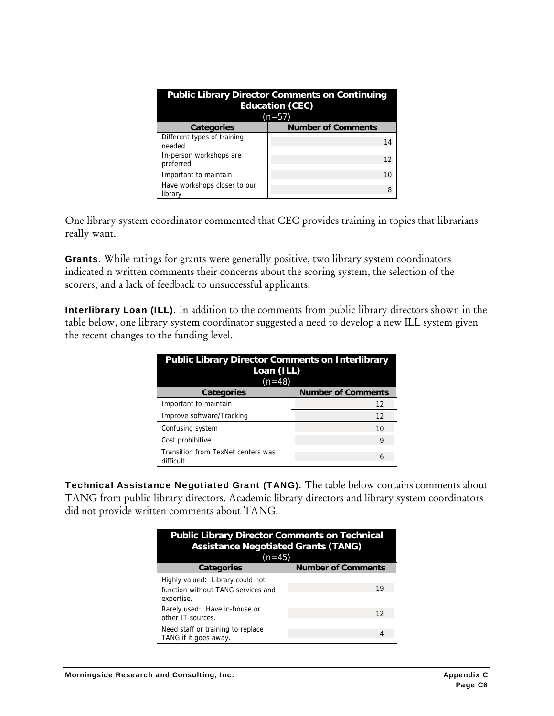| <b>Public Library Director Comments on Continuing</b><br><b>Education (CEC)</b><br>$(n=57)$ |                           |
|---------------------------------------------------------------------------------------------|---------------------------|
| <b>Categories</b>                                                                           | <b>Number of Comments</b> |
| Different types of training<br>needed                                                       | 14                        |
| In-person workshops are<br>preferred                                                        | 12                        |
| Important to maintain                                                                       | 10                        |
| Have workshops closer to our<br>library                                                     | 8                         |

One library system coordinator commented that CEC provides training in topics that librarians really want.

Grants. While ratings for grants were generally positive, two library system coordinators indicated n written comments their concerns about the scoring system, the selection of the scorers, and a lack of feedback to unsuccessful applicants.

Interlibrary Loan (ILL). In addition to the comments from public library directors shown in the table below, one library system coordinator suggested a need to develop a new ILL system given the recent changes to the funding level.

| <b>Public Library Director Comments on Interlibrary</b><br>Loan (ILL)<br>$(n=48)$ |                           |
|-----------------------------------------------------------------------------------|---------------------------|
| <b>Categories</b>                                                                 | <b>Number of Comments</b> |
| Important to maintain                                                             | 12                        |
| Improve software/Tracking                                                         | 12                        |
| Confusing system                                                                  | 10                        |
| Cost prohibitive                                                                  | 9                         |
| Transition from TexNet centers was<br>difficult                                   | 6                         |

Technical Assistance Negotiated Grant (TANG). The table below contains comments about TANG from public library directors. Academic library directors and library system coordinators did not provide written comments about TANG.

| <b>Public Library Director Comments on Technical</b><br><b>Assistance Negotiated Grants (TANG)</b><br>$(n=45)$ |                           |
|----------------------------------------------------------------------------------------------------------------|---------------------------|
| <b>Categories</b>                                                                                              | <b>Number of Comments</b> |
| Highly valued: Library could not<br>function without TANG services and<br>expertise.                           | 19                        |
| Rarely used: Have in-house or<br>other IT sources.                                                             | 12                        |
| Need staff or training to replace<br>TANG if it goes away.                                                     |                           |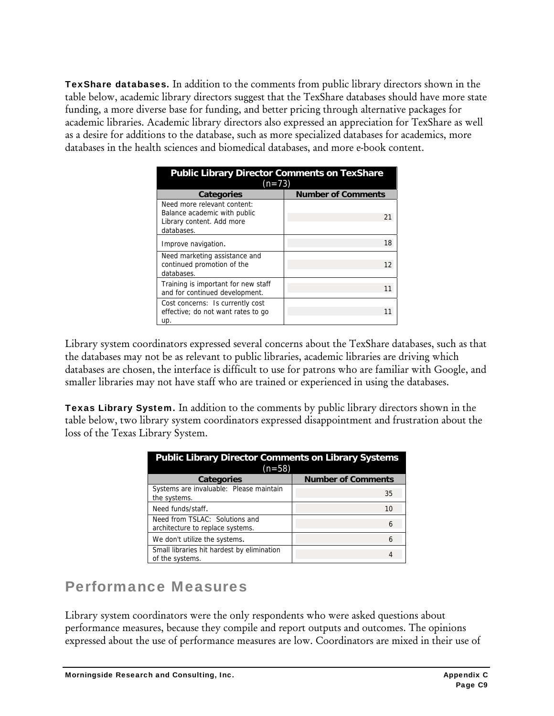TexShare databases. In addition to the comments from public library directors shown in the table below, academic library directors suggest that the TexShare databases should have more state funding, a more diverse base for funding, and better pricing through alternative packages for academic libraries. Academic library directors also expressed an appreciation for TexShare as well as a desire for additions to the database, such as more specialized databases for academics, more databases in the health sciences and biomedical databases, and more e-book content.

| <b>Public Library Director Comments on TexShare</b><br>$(n=73)$                                        |                           |
|--------------------------------------------------------------------------------------------------------|---------------------------|
| <b>Categories</b>                                                                                      | <b>Number of Comments</b> |
| Need more relevant content:<br>Balance academic with public<br>Library content. Add more<br>databases. | 21                        |
| Improve navigation.                                                                                    | 18                        |
| Need marketing assistance and<br>continued promotion of the<br>databases.                              | 12                        |
| Training is important for new staff<br>and for continued development.                                  | 11                        |
| Cost concerns: Is currently cost<br>effective; do not want rates to go<br>up.                          |                           |

Library system coordinators expressed several concerns about the TexShare databases, such as that the databases may not be as relevant to public libraries, academic libraries are driving which databases are chosen, the interface is difficult to use for patrons who are familiar with Google, and smaller libraries may not have staff who are trained or experienced in using the databases.

Texas Library System. In addition to the comments by public library directors shown in the table below, two library system coordinators expressed disappointment and frustration about the loss of the Texas Library System.

| <b>Public Library Director Comments on Library Systems</b><br>$(n=58)$ |                           |
|------------------------------------------------------------------------|---------------------------|
| <b>Categories</b>                                                      | <b>Number of Comments</b> |
| Systems are invaluable: Please maintain<br>the systems.                | 35                        |
| Need funds/staff.                                                      | 10                        |
| Need from TSLAC: Solutions and<br>architecture to replace systems.     | 6                         |
| We don't utilize the systems.                                          | 6                         |
| Small libraries hit hardest by elimination<br>of the systems.          |                           |

### Performance Measures

Library system coordinators were the only respondents who were asked questions about performance measures, because they compile and report outputs and outcomes. The opinions expressed about the use of performance measures are low. Coordinators are mixed in their use of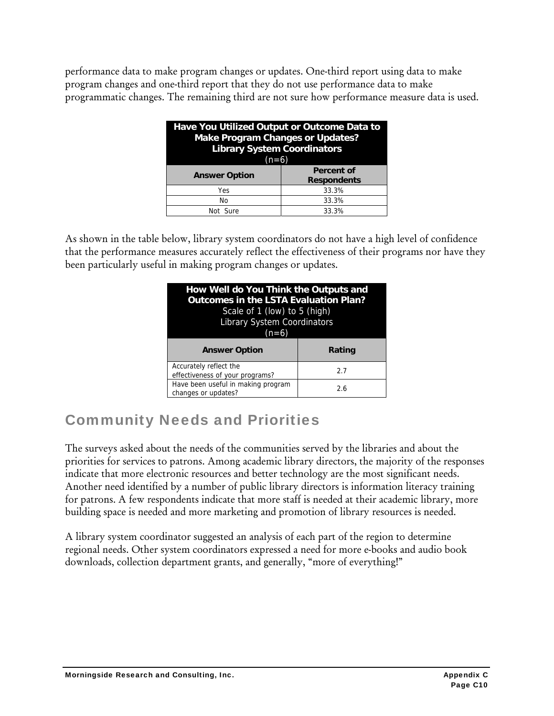performance data to make program changes or updates. One-third report using data to make program changes and one-third report that they do not use performance data to make programmatic changes. The remaining third are not sure how performance measure data is used.

| Have You Utilized Output or Outcome Data to<br><b>Make Program Changes or Updates?</b><br><b>Library System Coordinators</b><br>$(n=6)$ |                                         |  |
|-----------------------------------------------------------------------------------------------------------------------------------------|-----------------------------------------|--|
| <b>Answer Option</b>                                                                                                                    | <b>Percent of</b><br><b>Respondents</b> |  |
| Yes                                                                                                                                     | 33.3%                                   |  |
| No                                                                                                                                      | 33.3%                                   |  |
| Not Sure                                                                                                                                | 33.3%                                   |  |

As shown in the table below, library system coordinators do not have a high level of confidence that the performance measures accurately reflect the effectiveness of their programs nor have they been particularly useful in making program changes or updates.

| How Well do You Think the Outputs and<br>Outcomes in the LSTA Evaluation Plan?<br>Scale of 1 (low) to 5 (high)<br><b>Library System Coordinators</b><br>$(n=6)$ |        |  |
|-----------------------------------------------------------------------------------------------------------------------------------------------------------------|--------|--|
| <b>Answer Option</b>                                                                                                                                            | Rating |  |
|                                                                                                                                                                 |        |  |
| Accurately reflect the<br>effectiveness of your programs?                                                                                                       | 2.7    |  |

# Community Needs and Priorities

The surveys asked about the needs of the communities served by the libraries and about the priorities for services to patrons. Among academic library directors, the majority of the responses indicate that more electronic resources and better technology are the most significant needs. Another need identified by a number of public library directors is information literacy training for patrons. A few respondents indicate that more staff is needed at their academic library, more building space is needed and more marketing and promotion of library resources is needed.

A library system coordinator suggested an analysis of each part of the region to determine regional needs. Other system coordinators expressed a need for more e-books and audio book downloads, collection department grants, and generally, "more of everything!"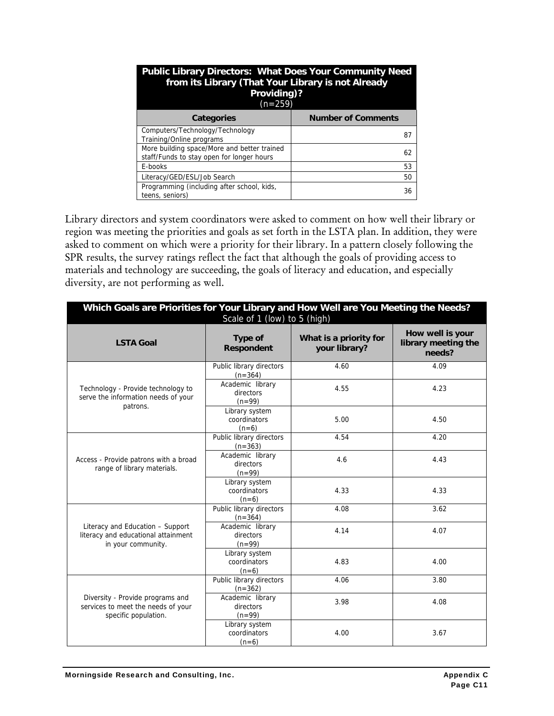| <b>Public Library Directors: What Does Your Community Need</b><br>from its Library (That Your Library is not Already<br>Providing)?<br>$(n=259)$ |                           |  |  |  |
|--------------------------------------------------------------------------------------------------------------------------------------------------|---------------------------|--|--|--|
| Categories                                                                                                                                       | <b>Number of Comments</b> |  |  |  |
| Computers/Technology/Technology<br>Training/Online programs                                                                                      | 87                        |  |  |  |
| More building space/More and better trained<br>staff/Funds to stay open for longer hours                                                         | 62                        |  |  |  |
| E-books                                                                                                                                          | 53                        |  |  |  |
| Literacy/GED/ESL/Job Search                                                                                                                      | 50                        |  |  |  |
| Programming (including after school, kids,<br>teens, seniors)                                                                                    | 36                        |  |  |  |

Library directors and system coordinators were asked to comment on how well their library or region was meeting the priorities and goals as set forth in the LSTA plan. In addition, they were asked to comment on which were a priority for their library. In a pattern closely following the SPR results, the survey ratings reflect the fact that although the goals of providing access to materials and technology are succeeding, the goals of literacy and education, and especially diversity, are not performing as well.

| Which Goals are Priorities for Your Library and How Well are You Meeting the Needs?<br>Scale of 1 (low) to 5 (high) |                                           |                                         |                                                   |  |  |  |  |
|---------------------------------------------------------------------------------------------------------------------|-------------------------------------------|-----------------------------------------|---------------------------------------------------|--|--|--|--|
| <b>LSTA Goal</b>                                                                                                    | Type of<br><b>Respondent</b>              | What is a priority for<br>your library? | How well is your<br>library meeting the<br>needs? |  |  |  |  |
|                                                                                                                     | Public library directors<br>$(n=364)$     | 4.60                                    | 4.09                                              |  |  |  |  |
| Technology - Provide technology to<br>serve the information needs of your<br>patrons.                               | Academic library<br>directors<br>$(n=99)$ | 4.55                                    | 4.23                                              |  |  |  |  |
|                                                                                                                     | Library system<br>coordinators<br>$(n=6)$ | 5.00                                    | 4.50                                              |  |  |  |  |
|                                                                                                                     | Public library directors<br>$(n=363)$     | 4.54                                    | 4.20                                              |  |  |  |  |
| Access - Provide patrons with a broad<br>range of library materials.                                                | Academic library<br>directors<br>$(n=99)$ | 4.6                                     | 4.43                                              |  |  |  |  |
|                                                                                                                     | Library system<br>coordinators<br>$(n=6)$ | 4.33                                    | 4.33                                              |  |  |  |  |
|                                                                                                                     | Public library directors<br>$(n=364)$     | 4.08                                    | 3.62                                              |  |  |  |  |
| Literacy and Education - Support<br>literacy and educational attainment<br>in your community.                       | Academic library<br>directors<br>$(n=99)$ | 4.14                                    | 4.07                                              |  |  |  |  |
|                                                                                                                     | Library system<br>coordinators<br>$(n=6)$ | 4.83                                    | 4.00                                              |  |  |  |  |
|                                                                                                                     | Public library directors<br>$(n=362)$     | 4.06                                    | 3.80                                              |  |  |  |  |
| Diversity - Provide programs and<br>services to meet the needs of your<br>specific population.                      | Academic library<br>directors<br>$(n=99)$ | 3.98                                    | 4.08                                              |  |  |  |  |
|                                                                                                                     | Library system<br>coordinators<br>$(n=6)$ | 4.00                                    | 3.67                                              |  |  |  |  |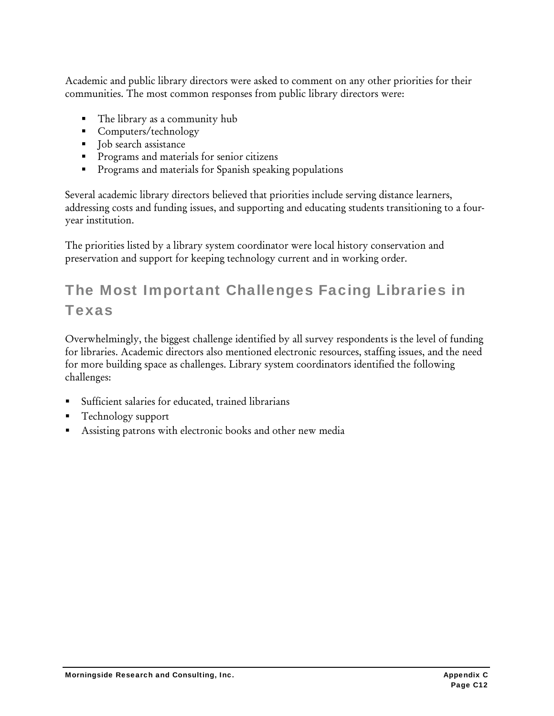Academic and public library directors were asked to comment on any other priorities for their communities. The most common responses from public library directors were:

- The library as a community hub
- Computers/technology
- Job search assistance
- **Programs and materials for senior citizens**
- **Programs and materials for Spanish speaking populations**

Several academic library directors believed that priorities include serving distance learners, addressing costs and funding issues, and supporting and educating students transitioning to a fouryear institution.

The priorities listed by a library system coordinator were local history conservation and preservation and support for keeping technology current and in working order.

# The Most Important Challenges Facing Libraries in Texas

Overwhelmingly, the biggest challenge identified by all survey respondents is the level of funding for libraries. Academic directors also mentioned electronic resources, staffing issues, and the need for more building space as challenges. Library system coordinators identified the following challenges:

- Sufficient salaries for educated, trained librarians
- Technology support
- Assisting patrons with electronic books and other new media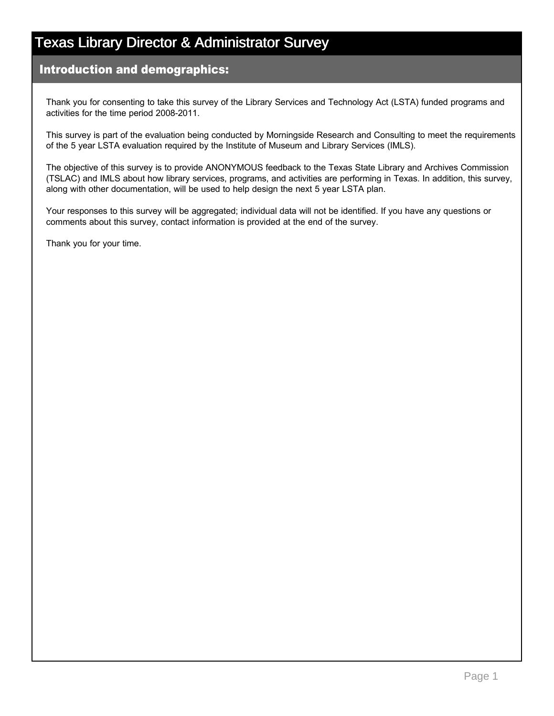#### Introduction and demographics:

Thank you for consenting to take this survey of the Library Services and Technology Act (LSTA) funded programs and activities for the time period 2008-2011.

This survey is part of the evaluation being conducted by Morningside Research and Consulting to meet the requirements of the 5 year LSTA evaluation required by the Institute of Museum and Library Services (IMLS).

The objective of this survey is to provide ANONYMOUS feedback to the Texas State Library and Archives Commission (TSLAC) and IMLS about how library services, programs, and activities are performing in Texas. In addition, this survey, along with other documentation, will be used to help design the next 5 year LSTA plan.

Your responses to this survey will be aggregated; individual data will not be identified. If you have any questions or comments about this survey, contact information is provided at the end of the survey.

Thank you for your time.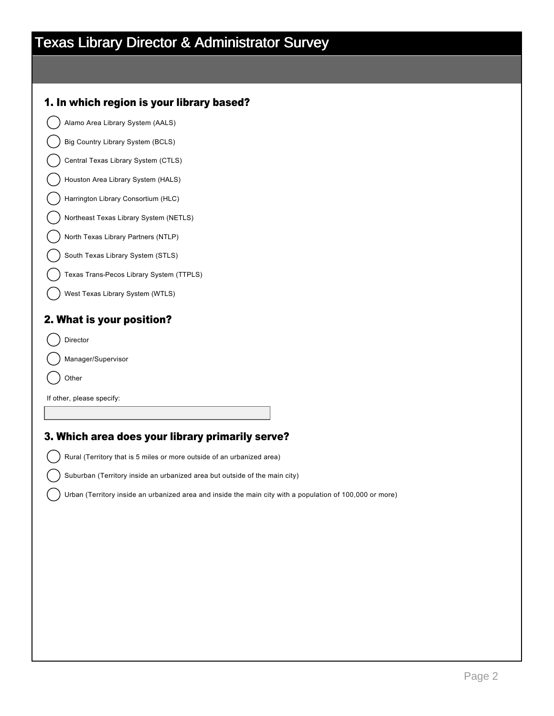#### 1. In which region is your library based?

Alamo Area Library System (AALS)

Big Country Library System (BCLS)

Central Texas Library System (CTLS)

Houston Area Library System (HALS)

Harrington Library Consortium (HLC)

Northeast Texas Library System (NETLS)

North Texas Library Partners (NTLP)

South Texas Library System (STLS)

Texas Trans-Pecos Library System (TTPLS)

West Texas Library System (WTLS)

#### 2. What is your position?

Director

Manager/Supervisor

Other

If other, please specify:

#### 3. Which area does your library primarily serve?

Rural (Territory that is 5 miles or more outside of an urbanized area)

Suburban (Territory inside an urbanized area but outside of the main city)

Urban (Territory inside an urbanized area and inside the main city with a population of 100,000 or more)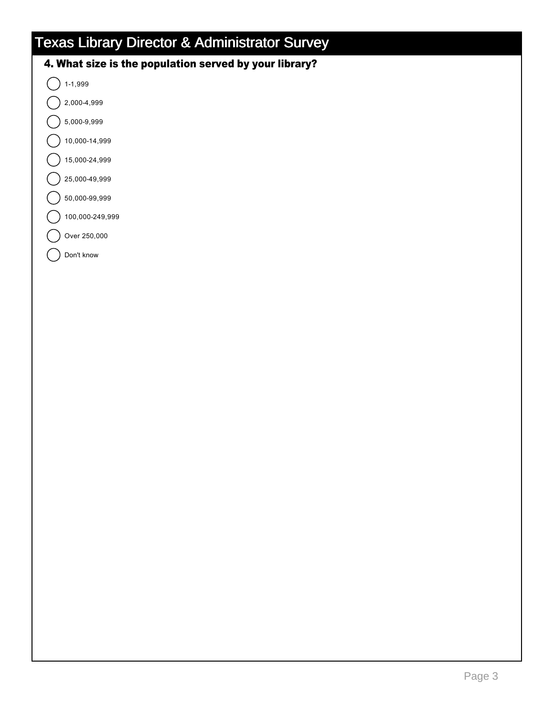#### 4. What size is the population served by your library?

 $\bigcap$  1-1,999

- nmlkj 2,0004,999
- nmlkj 5,0009,999
- 10,000-14,999
- 15,000-24,999
- nmlkj 25,00049,999
- nmlkj 50,00099,999
- 100,000-249,999
- Over 250,000

Don't know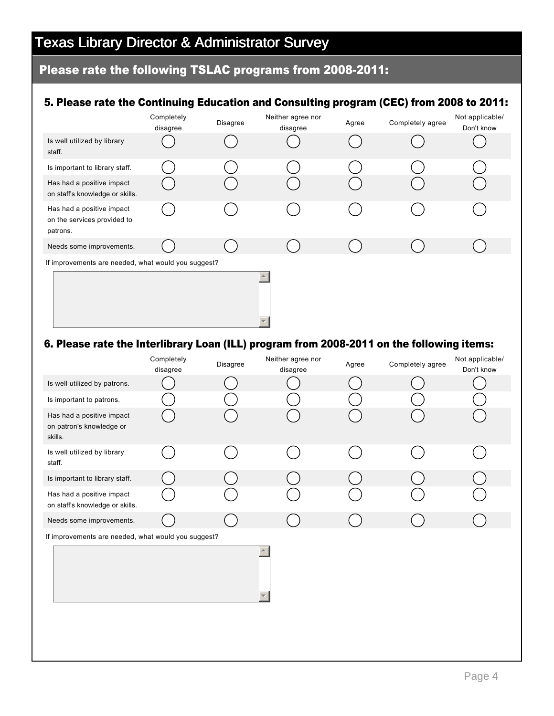#### Please rate the following TSLAC programs from 2008-2011:

#### 5. Please rate the Continuing Education and Consulting program (CEC) from 2008 to 2011:

|                                                                      | Completely<br>disagree | Disagree | Neither agree nor<br>disagree | Agree | Completely agree | Not applicable/<br>Don't know |
|----------------------------------------------------------------------|------------------------|----------|-------------------------------|-------|------------------|-------------------------------|
| Is well utilized by library<br>staff.                                |                        |          |                               |       |                  |                               |
| Is important to library staff.                                       |                        |          |                               |       |                  |                               |
| Has had a positive impact<br>on staff's knowledge or skills.         |                        |          |                               |       |                  |                               |
| Has had a positive impact<br>on the services provided to<br>patrons. |                        |          |                               |       |                  |                               |
| Needs some improvements.                                             |                        |          |                               |       |                  |                               |
| If improvements are needed, what would you suggest?                  |                        |          |                               |       |                  |                               |
|                                                                      |                        |          |                               |       |                  |                               |

#### 6. Please rate the Interlibrary Loan (ILL) program from 2008-2011 on the following items:

|                                                                  | Completely<br>disagree | Disagree | Neither agree nor<br>disagree | Agree | Completely agree | Not applicable/<br>Don't know |
|------------------------------------------------------------------|------------------------|----------|-------------------------------|-------|------------------|-------------------------------|
| Is well utilized by patrons.                                     |                        |          |                               |       |                  |                               |
| Is important to patrons.                                         |                        |          |                               |       |                  |                               |
| Has had a positive impact<br>on patron's knowledge or<br>skills. |                        |          |                               |       |                  |                               |
| Is well utilized by library<br>staff.                            |                        |          |                               |       |                  |                               |
| Is important to library staff.                                   |                        |          |                               |       |                  |                               |
| Has had a positive impact<br>on staff's knowledge or skills.     |                        |          |                               |       |                  |                               |
| Needs some improvements.                                         |                        |          |                               |       |                  |                               |
| If improvements are needed, what would you suggest?              |                        |          |                               |       |                  |                               |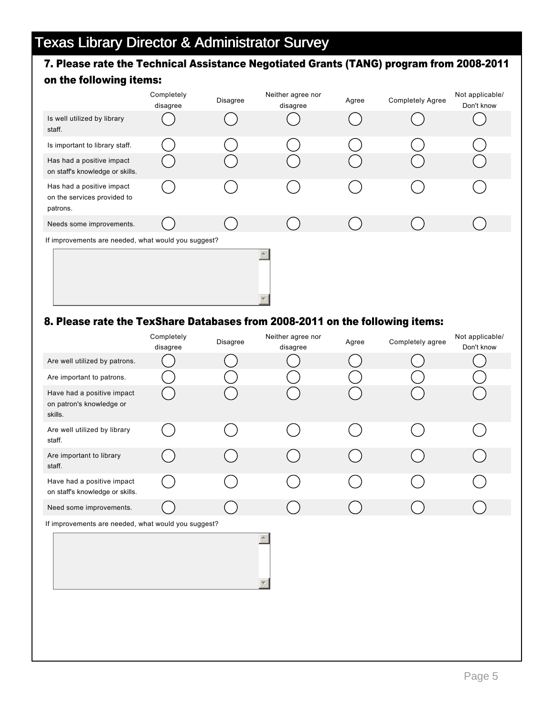### 7. Please rate the Technical Assistance Negotiated Grants (TANG) program from 2008-2011

#### on the following items:

|                                                                      | Completely<br>disagree | Disagree | Neither agree nor<br>disagree | Agree | <b>Completely Agree</b> | Not applicable/<br>Don't know |  |
|----------------------------------------------------------------------|------------------------|----------|-------------------------------|-------|-------------------------|-------------------------------|--|
| Is well utilized by library<br>staff.                                |                        |          |                               |       |                         |                               |  |
| Is important to library staff.                                       |                        |          |                               |       |                         |                               |  |
| Has had a positive impact<br>on staff's knowledge or skills.         |                        |          |                               |       |                         |                               |  |
| Has had a positive impact<br>on the services provided to<br>patrons. |                        |          |                               |       |                         |                               |  |
| Needs some improvements.                                             |                        |          |                               |       |                         |                               |  |
| If improvements are needed, what would you suggest?                  |                        |          |                               |       |                         |                               |  |
|                                                                      |                        |          |                               |       |                         |                               |  |

#### 8. Please rate the TexShare Databases from 2008-2011 on the following items:

|                                                                   | Completely<br>disagree | Disagree | Neither agree nor<br>disagree | Agree | Completely agree | Not applicable/<br>Don't know |
|-------------------------------------------------------------------|------------------------|----------|-------------------------------|-------|------------------|-------------------------------|
| Are well utilized by patrons.                                     |                        |          |                               |       |                  |                               |
| Are important to patrons.                                         |                        |          |                               |       |                  |                               |
| Have had a positive impact<br>on patron's knowledge or<br>skills. |                        |          |                               |       |                  |                               |
| Are well utilized by library<br>staff.                            |                        |          |                               |       |                  |                               |
| Are important to library<br>staff.                                |                        |          |                               |       |                  |                               |
| Have had a positive impact<br>on staff's knowledge or skills.     |                        |          |                               |       |                  |                               |
| Need some improvements.                                           |                        |          |                               |       |                  |                               |
| If improvements are needed, what would you suggest?               |                        |          | $\blacktriangle$              |       |                  |                               |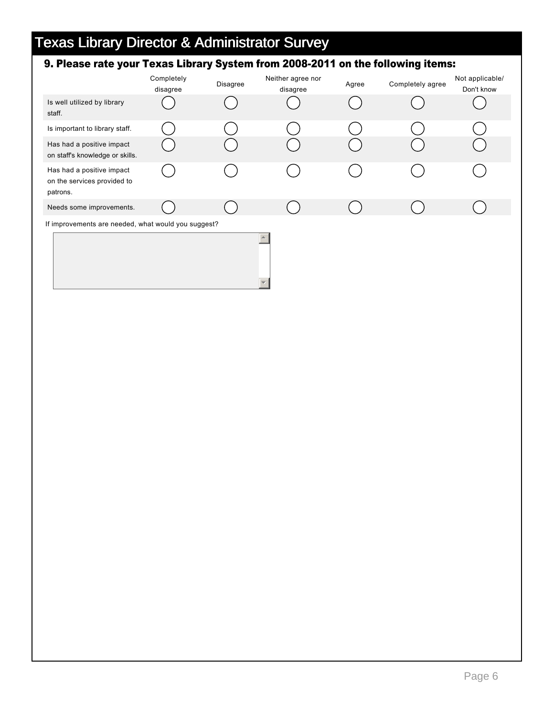### 9. Please rate your Texas Library System from 2008-2011 on the following items:

|                                                                      | Completely<br>disagree | Disagree | Neither agree nor<br>disagree | Agree | Completely agree | Not applicable/<br>Don't know |
|----------------------------------------------------------------------|------------------------|----------|-------------------------------|-------|------------------|-------------------------------|
| Is well utilized by library<br>staff.                                |                        |          |                               |       |                  |                               |
| Is important to library staff.                                       |                        |          |                               |       |                  |                               |
| Has had a positive impact<br>on staff's knowledge or skills.         |                        |          |                               |       |                  |                               |
| Has had a positive impact<br>on the services provided to<br>patrons. |                        |          |                               |       |                  |                               |
| Needs some improvements.                                             |                        |          |                               |       |                  |                               |
| If improvements are needed, what would you suggest?                  |                        |          |                               |       |                  |                               |
|                                                                      |                        |          |                               |       |                  |                               |

6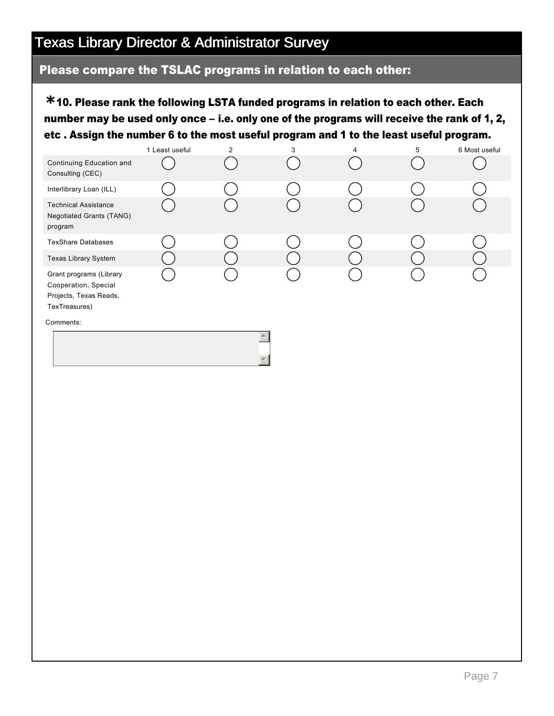#### Please compare the TSLAC programs in relation to each other:

10. Please rank the following LSTA funded programs in relation to each other. Each **\*** number may be used only once – i.e. only one of the programs will receive the rank of 1, 2, etc . Assign the number 6 to the most useful program and 1 to the least useful program.

|                                                                                            | 1 Least useful | $\overline{2}$ | 3 | 4 | 5 | 6 Most useful |
|--------------------------------------------------------------------------------------------|----------------|----------------|---|---|---|---------------|
| Continuing Education and<br>Consulting (CEC)                                               |                |                |   |   |   |               |
| Interlibrary Loan (ILL)                                                                    |                |                |   |   |   |               |
| <b>Technical Assistance</b><br><b>Negotiated Grants (TANG)</b><br>program                  |                |                |   |   |   |               |
| <b>TexShare Databases</b>                                                                  |                |                |   |   |   |               |
| Texas Library System                                                                       |                |                |   |   |   |               |
| Grant programs (Library<br>Cooperation, Special<br>Projects, Texas Reads,<br>TexTreasures) |                |                |   |   |   |               |
| Comments:                                                                                  |                |                |   |   |   |               |
|                                                                                            |                |                |   |   |   |               |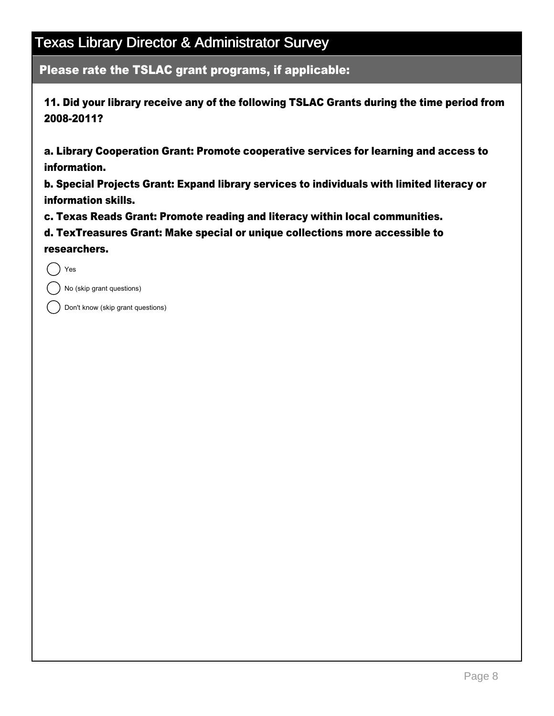Please rate the TSLAC grant programs, if applicable:

11. Did your library receive any of the following TSLAC Grants during the time period from 2008-2011?

a. Library Cooperation Grant: Promote cooperative services for learning and access to information.

b. Special Projects Grant: Expand library services to individuals with limited literacy or information skills.

c. Texas Reads Grant: Promote reading and literacy within local communities.

d. TexTreasures Grant: Make special or unique collections more accessible to researchers.

Yes

No (skip grant questions)

Don't know (skip grant questions)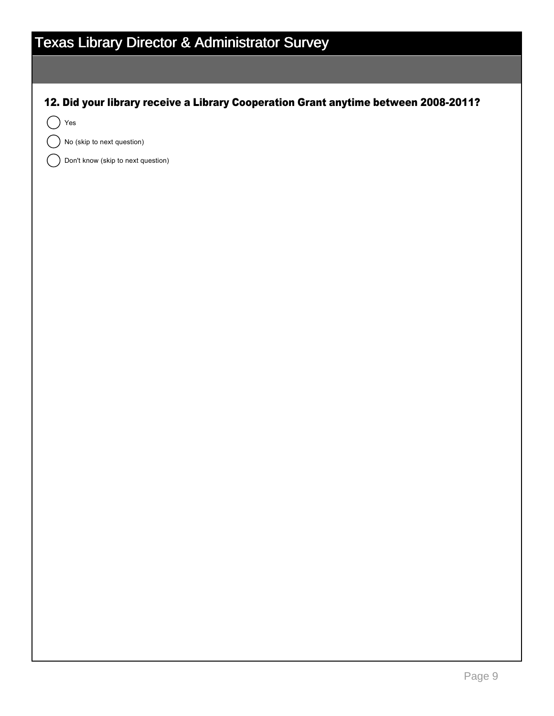| <b>Texas Library Director &amp; Administrator Survey</b>                            |  |  |  |  |  |  |
|-------------------------------------------------------------------------------------|--|--|--|--|--|--|
|                                                                                     |  |  |  |  |  |  |
| 12. Did your library receive a Library Cooperation Grant anytime between 2008-2011? |  |  |  |  |  |  |
| Yes                                                                                 |  |  |  |  |  |  |
| No (skip to next question)                                                          |  |  |  |  |  |  |
| Don't know (skip to next question)                                                  |  |  |  |  |  |  |
|                                                                                     |  |  |  |  |  |  |
|                                                                                     |  |  |  |  |  |  |
|                                                                                     |  |  |  |  |  |  |
|                                                                                     |  |  |  |  |  |  |
|                                                                                     |  |  |  |  |  |  |
|                                                                                     |  |  |  |  |  |  |
|                                                                                     |  |  |  |  |  |  |
|                                                                                     |  |  |  |  |  |  |
|                                                                                     |  |  |  |  |  |  |
|                                                                                     |  |  |  |  |  |  |
|                                                                                     |  |  |  |  |  |  |
|                                                                                     |  |  |  |  |  |  |
|                                                                                     |  |  |  |  |  |  |
|                                                                                     |  |  |  |  |  |  |
|                                                                                     |  |  |  |  |  |  |
|                                                                                     |  |  |  |  |  |  |
|                                                                                     |  |  |  |  |  |  |
|                                                                                     |  |  |  |  |  |  |
|                                                                                     |  |  |  |  |  |  |
|                                                                                     |  |  |  |  |  |  |
|                                                                                     |  |  |  |  |  |  |
|                                                                                     |  |  |  |  |  |  |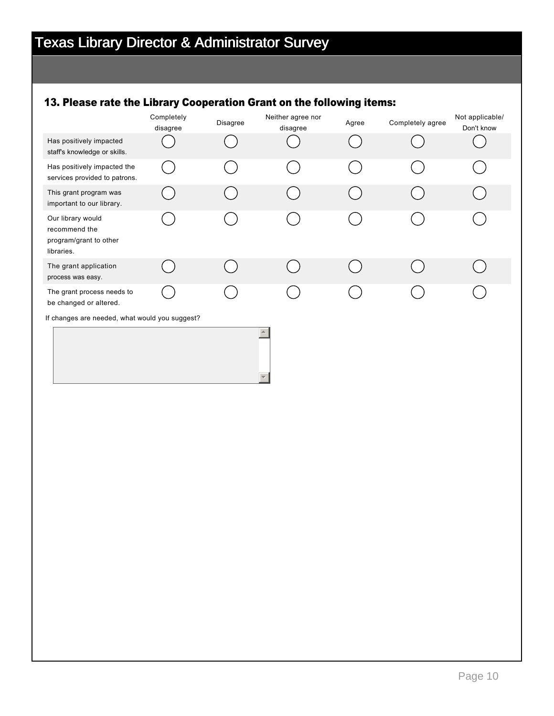### 13. Please rate the Library Cooperation Grant on the following items:

|                                                                            | Completely<br>disagree | Disagree | Neither agree nor<br>disagree | Agree | Completely agree | Not applicable/<br>Don't know |
|----------------------------------------------------------------------------|------------------------|----------|-------------------------------|-------|------------------|-------------------------------|
| Has positively impacted<br>staff's knowledge or skills.                    |                        |          |                               |       |                  |                               |
| Has positively impacted the<br>services provided to patrons.               |                        |          |                               |       |                  |                               |
| This grant program was<br>important to our library.                        |                        |          |                               |       |                  |                               |
| Our library would<br>recommend the<br>program/grant to other<br>libraries. |                        |          |                               |       |                  |                               |
| The grant application<br>process was easy.                                 |                        |          |                               |       |                  |                               |
| The grant process needs to<br>be changed or altered.                       |                        |          |                               |       |                  |                               |
| If changes are needed, what would you suggest?                             |                        |          |                               |       |                  |                               |
|                                                                            |                        |          | $\blacktriangle$              |       |                  |                               |
|                                                                            |                        |          |                               |       |                  |                               |
|                                                                            |                        |          |                               |       |                  |                               |
|                                                                            |                        |          |                               |       |                  |                               |
|                                                                            |                        |          |                               |       |                  |                               |
|                                                                            |                        |          |                               |       |                  |                               |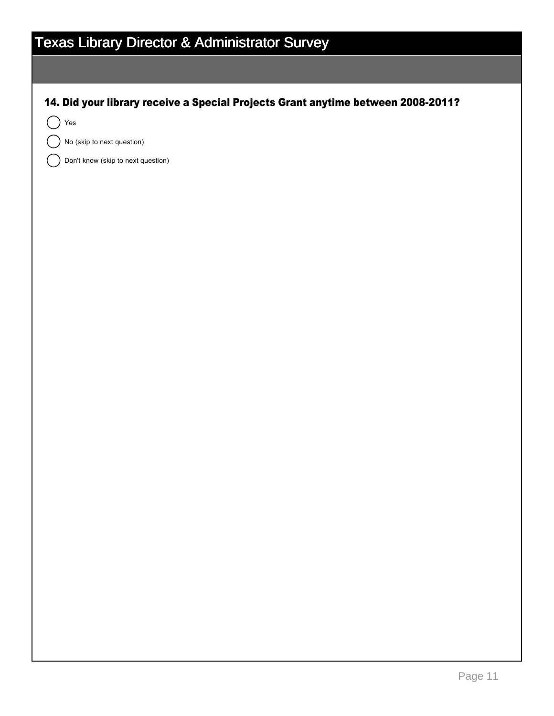| <b>Texas Library Director &amp; Administrator Survey</b>                         |  |  |  |  |  |  |
|----------------------------------------------------------------------------------|--|--|--|--|--|--|
|                                                                                  |  |  |  |  |  |  |
|                                                                                  |  |  |  |  |  |  |
| 14. Did your library receive a Special Projects Grant anytime between 2008-2011? |  |  |  |  |  |  |
| Yes<br>No (skip to next question)                                                |  |  |  |  |  |  |
| Don't know (skip to next question)                                               |  |  |  |  |  |  |
|                                                                                  |  |  |  |  |  |  |
|                                                                                  |  |  |  |  |  |  |
|                                                                                  |  |  |  |  |  |  |
|                                                                                  |  |  |  |  |  |  |
|                                                                                  |  |  |  |  |  |  |
|                                                                                  |  |  |  |  |  |  |
|                                                                                  |  |  |  |  |  |  |
|                                                                                  |  |  |  |  |  |  |
|                                                                                  |  |  |  |  |  |  |
|                                                                                  |  |  |  |  |  |  |
|                                                                                  |  |  |  |  |  |  |
|                                                                                  |  |  |  |  |  |  |
|                                                                                  |  |  |  |  |  |  |
|                                                                                  |  |  |  |  |  |  |
|                                                                                  |  |  |  |  |  |  |
|                                                                                  |  |  |  |  |  |  |
|                                                                                  |  |  |  |  |  |  |
|                                                                                  |  |  |  |  |  |  |
|                                                                                  |  |  |  |  |  |  |
|                                                                                  |  |  |  |  |  |  |
|                                                                                  |  |  |  |  |  |  |
|                                                                                  |  |  |  |  |  |  |
|                                                                                  |  |  |  |  |  |  |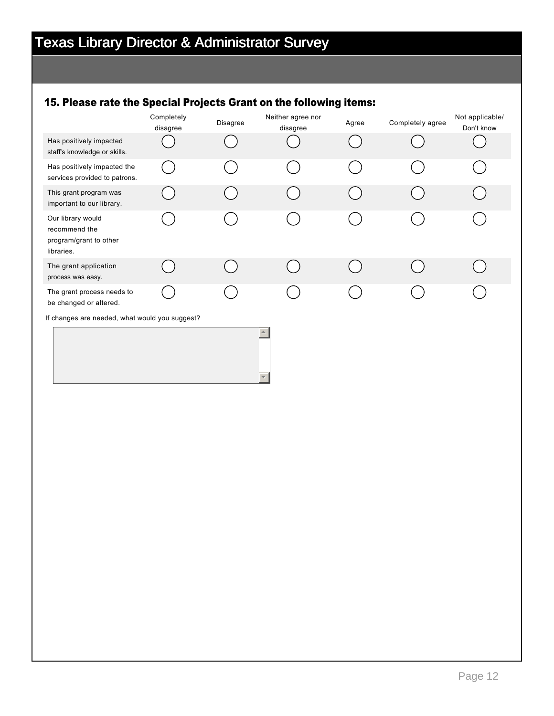### 15. Please rate the Special Projects Grant on the following items:

|                                                                            | Completely<br>disagree | Disagree | Neither agree nor<br>disagree | Agree | Completely agree | Not applicable/<br>Don't know |
|----------------------------------------------------------------------------|------------------------|----------|-------------------------------|-------|------------------|-------------------------------|
| Has positively impacted<br>staff's knowledge or skills.                    |                        |          |                               |       |                  |                               |
| Has positively impacted the<br>services provided to patrons.               |                        |          |                               |       |                  |                               |
| This grant program was<br>important to our library.                        |                        |          |                               |       |                  |                               |
| Our library would<br>recommend the<br>program/grant to other<br>libraries. |                        |          |                               |       |                  |                               |
| The grant application<br>process was easy.                                 |                        |          |                               |       |                  |                               |
| The grant process needs to<br>be changed or altered.                       |                        |          |                               |       |                  |                               |
| If changes are needed, what would you suggest?                             |                        |          |                               |       |                  |                               |
| $\blacktriangle$                                                           |                        |          |                               |       |                  |                               |
|                                                                            |                        |          |                               |       |                  |                               |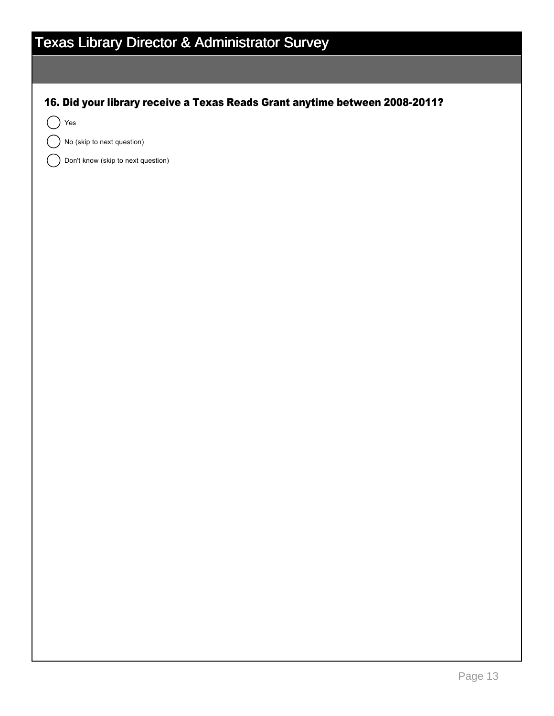| <b>Texas Library Director &amp; Administrator Survey</b>                    |  |  |  |  |  |  |  |
|-----------------------------------------------------------------------------|--|--|--|--|--|--|--|
|                                                                             |  |  |  |  |  |  |  |
| 16. Did your library receive a Texas Reads Grant anytime between 2008-2011? |  |  |  |  |  |  |  |
| $\operatorname{\mathsf{Yes}}$                                               |  |  |  |  |  |  |  |
| No (skip to next question)                                                  |  |  |  |  |  |  |  |
| Don't know (skip to next question)                                          |  |  |  |  |  |  |  |
|                                                                             |  |  |  |  |  |  |  |
|                                                                             |  |  |  |  |  |  |  |
|                                                                             |  |  |  |  |  |  |  |
|                                                                             |  |  |  |  |  |  |  |
|                                                                             |  |  |  |  |  |  |  |
|                                                                             |  |  |  |  |  |  |  |
|                                                                             |  |  |  |  |  |  |  |
|                                                                             |  |  |  |  |  |  |  |
|                                                                             |  |  |  |  |  |  |  |
|                                                                             |  |  |  |  |  |  |  |
|                                                                             |  |  |  |  |  |  |  |
|                                                                             |  |  |  |  |  |  |  |
|                                                                             |  |  |  |  |  |  |  |
|                                                                             |  |  |  |  |  |  |  |
|                                                                             |  |  |  |  |  |  |  |
|                                                                             |  |  |  |  |  |  |  |
|                                                                             |  |  |  |  |  |  |  |
|                                                                             |  |  |  |  |  |  |  |
|                                                                             |  |  |  |  |  |  |  |
|                                                                             |  |  |  |  |  |  |  |
|                                                                             |  |  |  |  |  |  |  |
|                                                                             |  |  |  |  |  |  |  |
|                                                                             |  |  |  |  |  |  |  |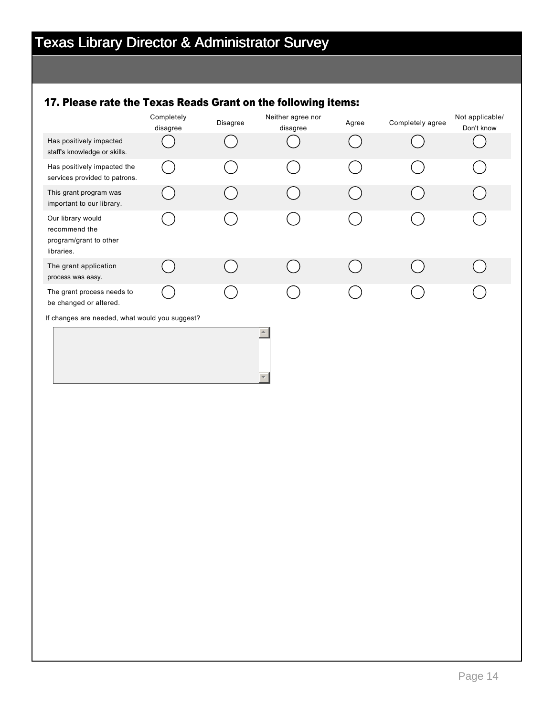### 17. Please rate the Texas Reads Grant on the following items:

| disagree                                       | Disagree | Neither agree nor<br>disagree | Agree | Completely agree | Not applicable/<br>Don't know |  |  |  |
|------------------------------------------------|----------|-------------------------------|-------|------------------|-------------------------------|--|--|--|
|                                                |          |                               |       |                  |                               |  |  |  |
|                                                |          |                               |       |                  |                               |  |  |  |
|                                                |          |                               |       |                  |                               |  |  |  |
|                                                |          |                               |       |                  |                               |  |  |  |
|                                                |          |                               |       |                  |                               |  |  |  |
|                                                |          |                               |       |                  |                               |  |  |  |
| If changes are needed, what would you suggest? |          |                               |       |                  |                               |  |  |  |
| $\blacktriangle$                               |          |                               |       |                  |                               |  |  |  |
|                                                |          |                               |       |                  |                               |  |  |  |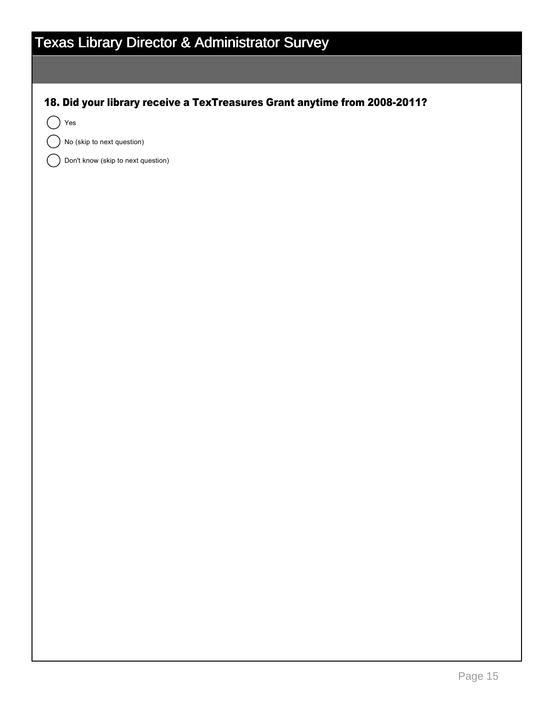| <b>Texas Library Director &amp; Administrator Survey</b>                  |  |  |  |  |  |  |  |
|---------------------------------------------------------------------------|--|--|--|--|--|--|--|
|                                                                           |  |  |  |  |  |  |  |
| 18. Did your library receive a TexTreasures Grant anytime from 2008-2011? |  |  |  |  |  |  |  |
| Yes                                                                       |  |  |  |  |  |  |  |
| No (skip to next question)                                                |  |  |  |  |  |  |  |
| Don't know (skip to next question)                                        |  |  |  |  |  |  |  |
|                                                                           |  |  |  |  |  |  |  |
|                                                                           |  |  |  |  |  |  |  |
|                                                                           |  |  |  |  |  |  |  |
|                                                                           |  |  |  |  |  |  |  |
|                                                                           |  |  |  |  |  |  |  |
|                                                                           |  |  |  |  |  |  |  |
|                                                                           |  |  |  |  |  |  |  |
|                                                                           |  |  |  |  |  |  |  |
|                                                                           |  |  |  |  |  |  |  |
|                                                                           |  |  |  |  |  |  |  |
|                                                                           |  |  |  |  |  |  |  |
|                                                                           |  |  |  |  |  |  |  |
|                                                                           |  |  |  |  |  |  |  |
|                                                                           |  |  |  |  |  |  |  |
|                                                                           |  |  |  |  |  |  |  |
|                                                                           |  |  |  |  |  |  |  |
|                                                                           |  |  |  |  |  |  |  |
|                                                                           |  |  |  |  |  |  |  |
|                                                                           |  |  |  |  |  |  |  |
|                                                                           |  |  |  |  |  |  |  |
|                                                                           |  |  |  |  |  |  |  |
|                                                                           |  |  |  |  |  |  |  |
|                                                                           |  |  |  |  |  |  |  |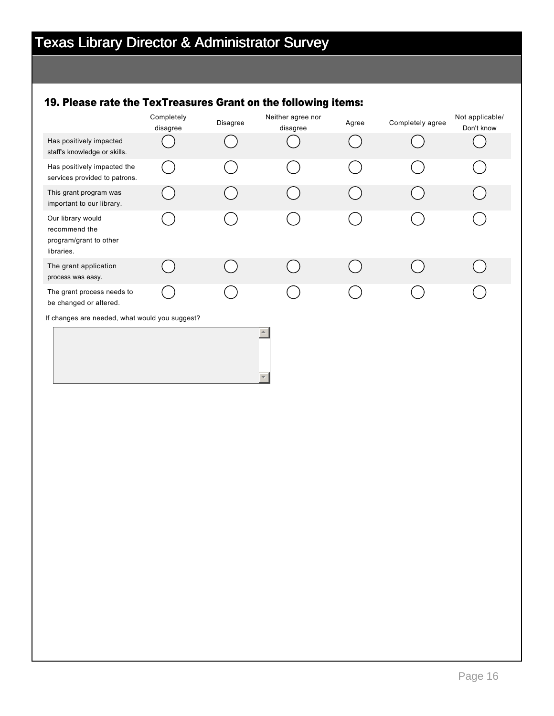## 19. Please rate the TexTreasures Grant on the following items:

|                                                                            | Completely<br>disagree | Disagree | Neither agree nor<br>disagree | Agree | Completely agree | Not applicable/<br>Don't know |  |
|----------------------------------------------------------------------------|------------------------|----------|-------------------------------|-------|------------------|-------------------------------|--|
| Has positively impacted<br>staff's knowledge or skills.                    |                        |          |                               |       |                  |                               |  |
| Has positively impacted the<br>services provided to patrons.               |                        |          |                               |       |                  |                               |  |
| This grant program was<br>important to our library.                        |                        |          |                               |       |                  |                               |  |
| Our library would<br>recommend the<br>program/grant to other<br>libraries. |                        |          |                               |       |                  |                               |  |
| The grant application<br>process was easy.                                 |                        |          |                               |       |                  |                               |  |
| The grant process needs to<br>be changed or altered.                       |                        |          |                               |       |                  |                               |  |
| If changes are needed, what would you suggest?                             |                        |          |                               |       |                  |                               |  |
| $\blacktriangle$                                                           |                        |          |                               |       |                  |                               |  |
|                                                                            |                        |          |                               |       |                  |                               |  |
|                                                                            |                        |          |                               |       |                  |                               |  |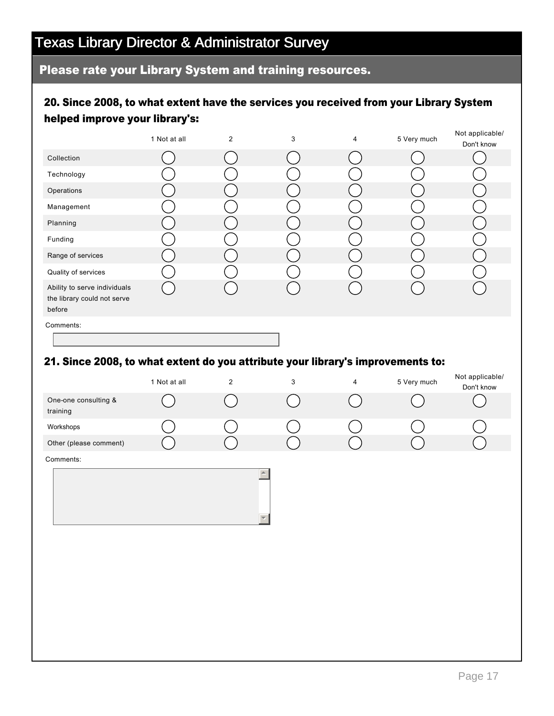## Texas Library Director & Administrator Survey

### Please rate your Library System and training resources.

### 20. Since 2008, to what extent have the services you received from your Library System helped improve your library's:

|                                                                       | 1 Not at all | $\overline{2}$ | 3 | 4 | 5 Very much | Not applicable/ |
|-----------------------------------------------------------------------|--------------|----------------|---|---|-------------|-----------------|
|                                                                       |              |                |   |   |             | Don't know      |
| Collection                                                            |              |                |   |   |             |                 |
| Technology                                                            |              |                |   |   |             |                 |
| Operations                                                            |              |                |   |   |             |                 |
| Management                                                            |              |                |   |   |             |                 |
| Planning                                                              |              |                |   |   |             |                 |
| Funding                                                               |              |                |   |   |             |                 |
| Range of services                                                     |              |                |   |   |             |                 |
| Quality of services                                                   |              |                |   |   |             |                 |
| Ability to serve individuals<br>the library could not serve<br>before |              |                |   |   |             |                 |
| Comments:                                                             |              |                |   |   |             |                 |

### 21. Since 2008, to what extent do you attribute your library's improvements to:

|                                  | 1 Not at all | $\sqrt{2}$ | $\ensuremath{\mathsf{3}}$                    | $\overline{4}$ | 5 Very much | Not applicable/<br>Don't know |
|----------------------------------|--------------|------------|----------------------------------------------|----------------|-------------|-------------------------------|
| One-one consulting &<br>training |              |            |                                              |                |             |                               |
| Workshops                        |              |            |                                              |                |             |                               |
| Other (please comment)           |              |            |                                              |                |             |                               |
| Comments:                        |              |            |                                              |                |             |                               |
|                                  |              |            | $\blacktriangle$<br>$\overline{\phantom{a}}$ |                |             |                               |
|                                  |              |            |                                              |                |             |                               |
|                                  |              |            |                                              |                |             |                               |
|                                  |              |            |                                              |                |             |                               |
|                                  |              |            |                                              |                |             |                               |
|                                  |              |            |                                              |                |             |                               |
|                                  |              |            |                                              |                |             |                               |
|                                  |              |            |                                              |                |             |                               |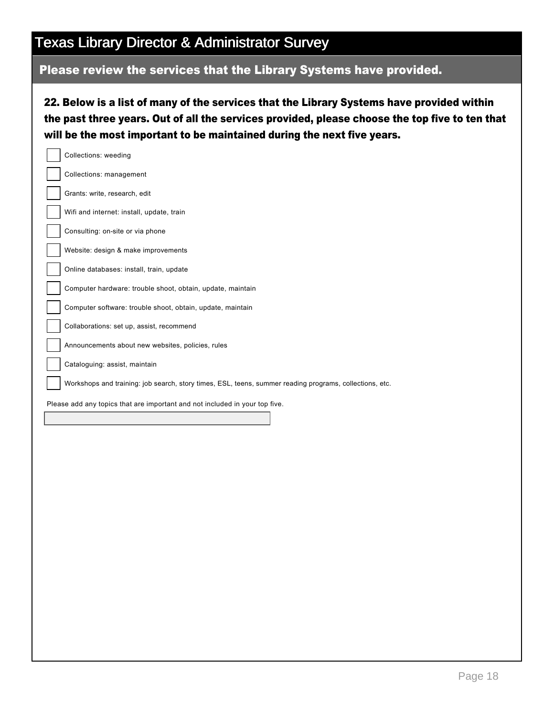## Texas Library Director & Administrator Survey

## Please review the services that the Library Systems have provided.

22. Below is a list of many of the services that the Library Systems have provided within the past three years. Out of all the services provided, please choose the top five to ten that will be the most important to be maintained during the next five years.

| Collections: weeding                                                                                    |
|---------------------------------------------------------------------------------------------------------|
| Collections: management                                                                                 |
| Grants: write, research, edit                                                                           |
| Wifi and internet: install, update, train                                                               |
| Consulting: on-site or via phone                                                                        |
| Website: design & make improvements                                                                     |
| Online databases: install, train, update                                                                |
| Computer hardware: trouble shoot, obtain, update, maintain                                              |
| Computer software: trouble shoot, obtain, update, maintain                                              |
| Collaborations: set up, assist, recommend                                                               |
| Announcements about new websites, policies, rules                                                       |
| Cataloguing: assist, maintain                                                                           |
| Workshops and training: job search, story times, ESL, teens, summer reading programs, collections, etc. |
| Please add any topics that are important and not included in your top five.                             |
|                                                                                                         |
|                                                                                                         |
|                                                                                                         |
|                                                                                                         |
|                                                                                                         |
|                                                                                                         |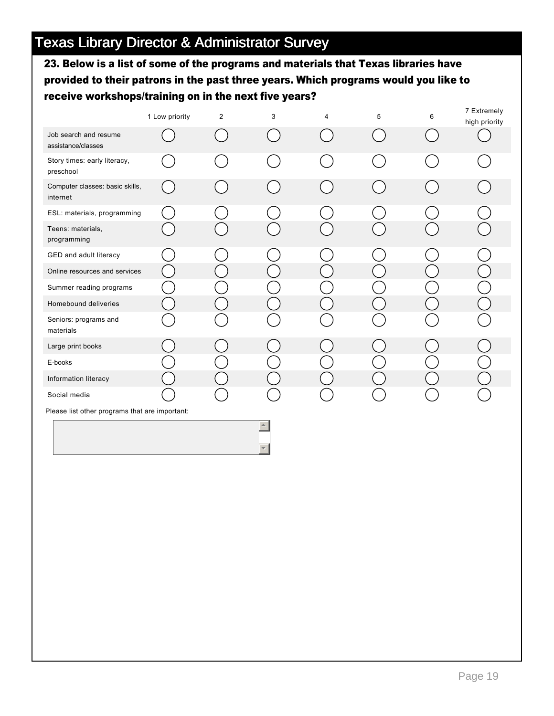23. Below is a list of some of the programs and materials that Texas libraries have provided to their patrons in the past three years. Which programs would you like to receive workshops/training on in the next five years?

|                                                | 1 Low priority | $\overline{2}$ | 3 | 4 | 5 | 6 | 7 Extremely<br>high priority |  |  |
|------------------------------------------------|----------------|----------------|---|---|---|---|------------------------------|--|--|
| Job search and resume<br>assistance/classes    |                |                |   |   |   |   |                              |  |  |
| Story times: early literacy,<br>preschool      |                |                |   |   |   |   |                              |  |  |
| Computer classes: basic skills,<br>internet    |                |                |   |   |   |   |                              |  |  |
| ESL: materials, programming                    |                |                |   |   |   |   |                              |  |  |
| Teens: materials,<br>programming               |                |                |   |   |   |   |                              |  |  |
| GED and adult literacy                         |                |                |   |   |   |   |                              |  |  |
| Online resources and services                  |                |                |   |   |   |   |                              |  |  |
| Summer reading programs                        |                |                |   |   |   |   |                              |  |  |
| Homebound deliveries                           |                |                |   |   |   |   |                              |  |  |
| Seniors: programs and<br>materials             |                |                |   |   |   |   |                              |  |  |
| Large print books                              |                |                |   |   |   |   |                              |  |  |
| E-books                                        |                |                |   |   |   |   |                              |  |  |
| Information literacy                           |                |                |   |   |   |   |                              |  |  |
| Social media                                   |                |                |   |   |   |   |                              |  |  |
| Please list other programs that are important: |                |                |   |   |   |   |                              |  |  |
|                                                |                |                |   |   |   |   |                              |  |  |

 $\overline{\phantom{a}}$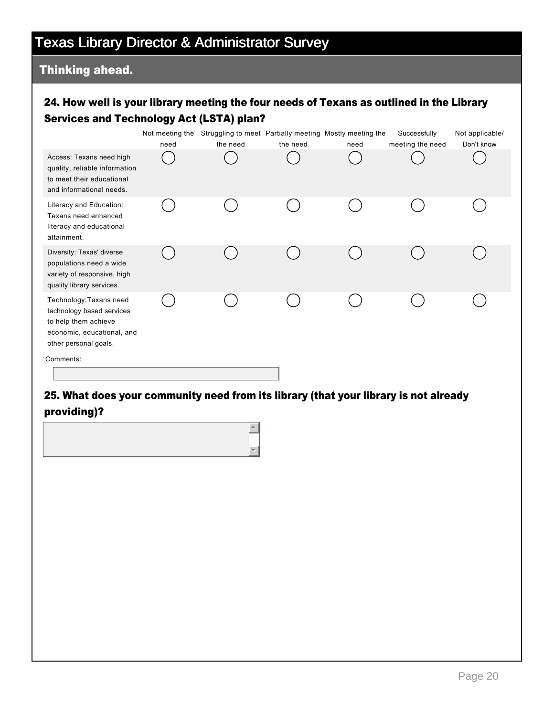# Texas Library Director & Administrator Survey

### Thinking ahead.

### 24. How well is your library meeting the four needs of Texans as outlined in the Library Services and Technology Act (LSTA) plan?

|                                                                                                                                     | need | Not meeting the Struggling to meet Partially meeting Mostly meeting the<br>the need | the need | need | Successfully<br>meeting the need | Not applicable/<br>Don't know |
|-------------------------------------------------------------------------------------------------------------------------------------|------|-------------------------------------------------------------------------------------|----------|------|----------------------------------|-------------------------------|
| Access: Texans need high<br>quality, reliable information<br>to meet their educational<br>and informational needs.                  |      |                                                                                     |          |      |                                  |                               |
| Literacy and Education:<br>Texans need enhanced<br>literacy and educational<br>attainment.                                          |      |                                                                                     |          |      |                                  |                               |
| Diversity: Texas' diverse<br>populations need a wide<br>variety of responsive, high<br>quality library services.                    |      |                                                                                     |          |      |                                  |                               |
| Technology: Texans need<br>technology based services<br>to help them achieve<br>economic, educational, and<br>other personal goals. |      |                                                                                     |          |      |                                  |                               |
| Comments:                                                                                                                           |      |                                                                                     |          |      |                                  |                               |

### 25. What does your community need from its library (that your library is not already providing)?

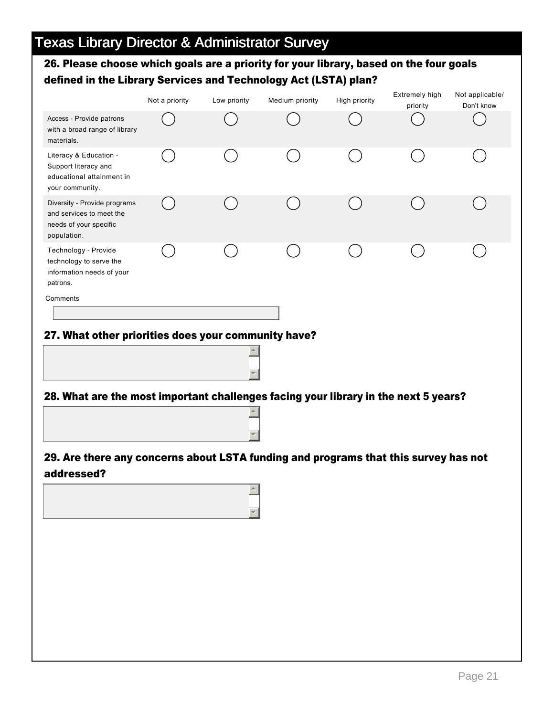### 26. Please choose which goals are a priority for your library, based on the four goals defined in the Library Services and Technology Act (LSTA) plan?

|                                                                                                                                            | Not a priority | Low priority     | Medium priority | High priority | Extremely high<br>priority | Not applicable/<br>Don't know |  |  |
|--------------------------------------------------------------------------------------------------------------------------------------------|----------------|------------------|-----------------|---------------|----------------------------|-------------------------------|--|--|
| Access - Provide patrons<br>with a broad range of library<br>materials.                                                                    |                |                  |                 |               |                            |                               |  |  |
| Literacy & Education -<br>Support literacy and<br>educational attainment in<br>your community.                                             |                |                  |                 |               |                            |                               |  |  |
| Diversity - Provide programs<br>and services to meet the<br>needs of your specific<br>population.                                          |                |                  |                 |               |                            |                               |  |  |
| Technology - Provide<br>technology to serve the<br>information needs of your<br>patrons.<br>Comments                                       |                |                  |                 |               |                            |                               |  |  |
|                                                                                                                                            |                |                  |                 |               |                            |                               |  |  |
| 27. What other priorities does your community have?<br>28. What are the most important challenges facing your library in the next 5 years? |                |                  |                 |               |                            |                               |  |  |
|                                                                                                                                            |                | $\blacktriangle$ |                 |               |                            |                               |  |  |

### 29. Are there any concerns about LSTA funding and programs that this survey has not addressed?

 $\overline{\mathbf{v}}$ 

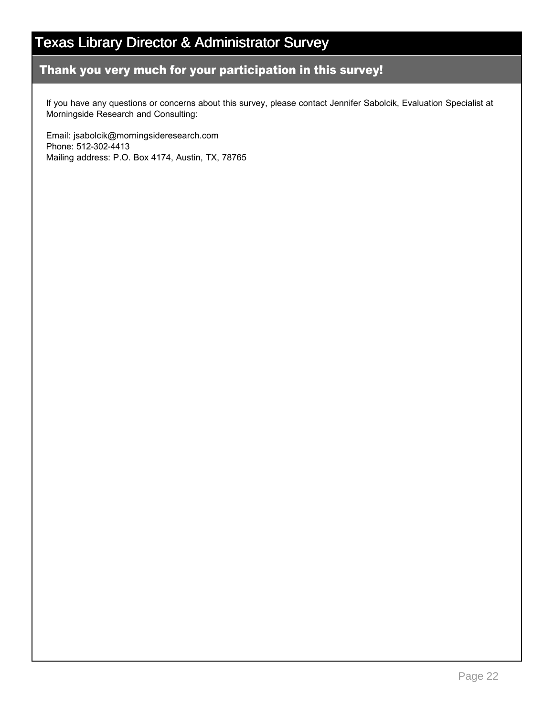# Texas Library Director & Administrator Survey

### Thank you very much for your participation in this survey!

If you have any questions or concerns about this survey, please contact Jennifer Sabolcik, Evaluation Specialist at Morningside Research and Consulting:

Email: jsabolcik@morningsideresearch.com Phone: 512-302-4413 Mailing address: P.O. Box 4174, Austin, TX, 78765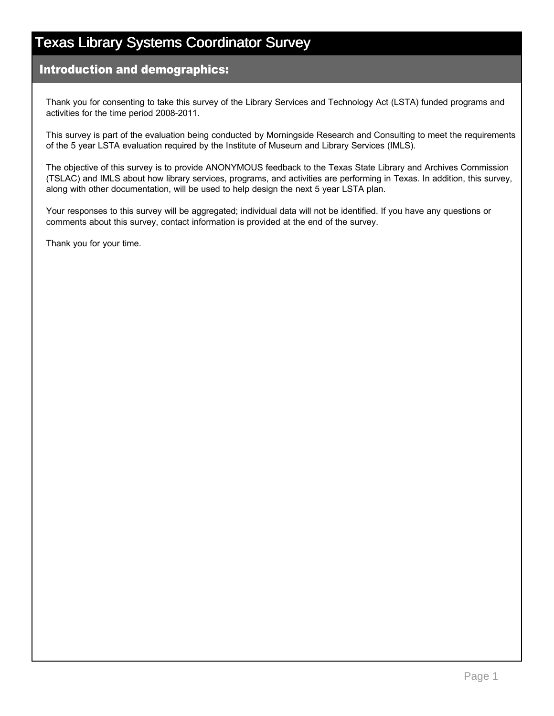### Introduction and demographics:

Thank you for consenting to take this survey of the Library Services and Technology Act (LSTA) funded programs and activities for the time period 2008-2011.

This survey is part of the evaluation being conducted by Morningside Research and Consulting to meet the requirements of the 5 year LSTA evaluation required by the Institute of Museum and Library Services (IMLS).

The objective of this survey is to provide ANONYMOUS feedback to the Texas State Library and Archives Commission (TSLAC) and IMLS about how library services, programs, and activities are performing in Texas. In addition, this survey, along with other documentation, will be used to help design the next 5 year LSTA plan.

Your responses to this survey will be aggregated; individual data will not be identified. If you have any questions or comments about this survey, contact information is provided at the end of the survey.

Thank you for your time.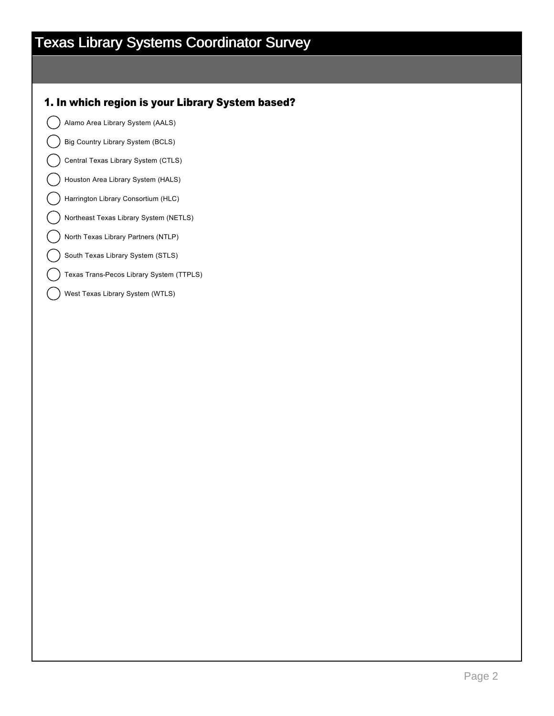#### 1. In which region is your Library System based?

Alamo Area Library System (AALS)

Big Country Library System (BCLS)

Central Texas Library System (CTLS)

Houston Area Library System (HALS)

Harrington Library Consortium (HLC)

Northeast Texas Library System (NETLS)

North Texas Library Partners (NTLP)

South Texas Library System (STLS)

Texas Trans-Pecos Library System (TTPLS)

West Texas Library System (WTLS)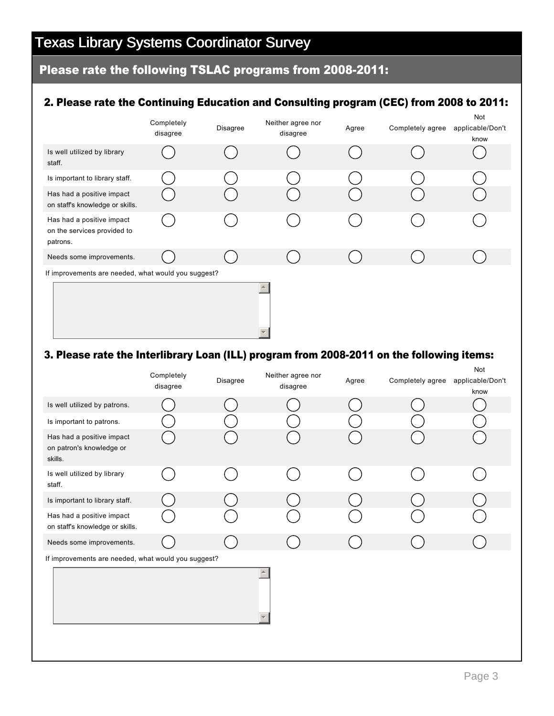## Please rate the following TSLAC programs from 2008-2011:

### 2. Please rate the Continuing Education and Consulting program (CEC) from 2008 to 2011:

|                                                                      | Completely<br>disagree | Disagree | Neither agree nor<br>disagree | Agree | Completely agree | Not<br>applicable/Don't<br>know |  |  |  |
|----------------------------------------------------------------------|------------------------|----------|-------------------------------|-------|------------------|---------------------------------|--|--|--|
| Is well utilized by library<br>staff.                                |                        |          |                               |       |                  |                                 |  |  |  |
| Is important to library staff.                                       |                        |          |                               |       |                  |                                 |  |  |  |
| Has had a positive impact<br>on staff's knowledge or skills.         |                        |          |                               |       |                  |                                 |  |  |  |
| Has had a positive impact<br>on the services provided to<br>patrons. |                        |          |                               |       |                  |                                 |  |  |  |
| Needs some improvements.                                             |                        |          |                               |       |                  |                                 |  |  |  |
| If improvements are needed, what would you suggest?                  |                        |          |                               |       |                  |                                 |  |  |  |
|                                                                      |                        |          |                               |       |                  |                                 |  |  |  |

### 3. Please rate the Interlibrary Loan (ILL) program from 2008-2011 on the following items:

|                                                                  | Completely<br>disagree | Disagree | Neither agree nor<br>disagree | Agree | Completely agree | Not<br>applicable/Don't<br>know |
|------------------------------------------------------------------|------------------------|----------|-------------------------------|-------|------------------|---------------------------------|
| Is well utilized by patrons.                                     |                        |          |                               |       |                  |                                 |
| Is important to patrons.                                         |                        |          |                               |       |                  |                                 |
| Has had a positive impact<br>on patron's knowledge or<br>skills. |                        |          |                               |       |                  |                                 |
| Is well utilized by library<br>staff.                            |                        |          |                               |       |                  |                                 |
| Is important to library staff.                                   |                        |          |                               |       |                  |                                 |
| Has had a positive impact<br>on staff's knowledge or skills.     |                        |          |                               |       |                  |                                 |
| Needs some improvements.                                         |                        |          |                               |       |                  |                                 |
| If improvements are needed, what would you suggest?              |                        |          |                               |       |                  |                                 |
|                                                                  |                        |          | $\overline{\phantom{a}}$      |       |                  |                                 |
|                                                                  |                        |          |                               |       |                  |                                 |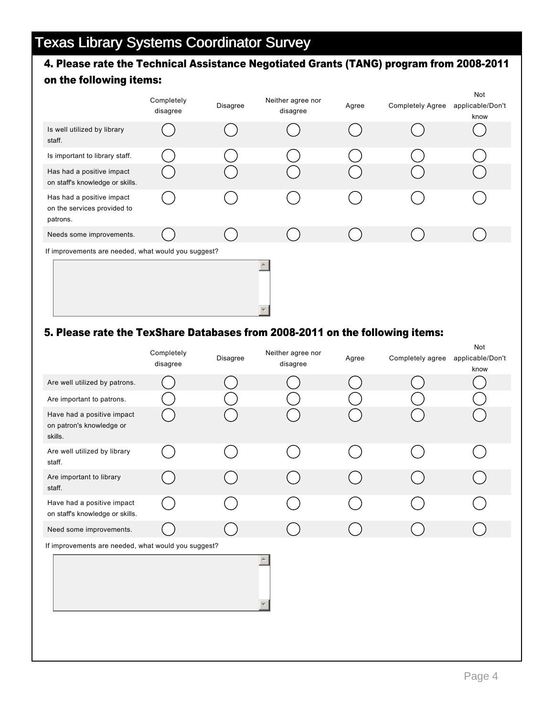### 4. Please rate the Technical Assistance Negotiated Grants (TANG) program from 2008-2011 on the following items:

|                                                                      | Completely<br>disagree | Disagree | Neither agree nor<br>disagree | Agree | <b>Completely Agree</b> | Not<br>applicable/Don't<br>know |
|----------------------------------------------------------------------|------------------------|----------|-------------------------------|-------|-------------------------|---------------------------------|
| Is well utilized by library<br>staff.                                |                        |          |                               |       |                         |                                 |
| Is important to library staff.                                       |                        |          |                               |       |                         |                                 |
| Has had a positive impact<br>on staff's knowledge or skills.         |                        |          |                               |       |                         |                                 |
| Has had a positive impact<br>on the services provided to<br>patrons. |                        |          |                               |       |                         |                                 |
| Needs some improvements.                                             |                        |          |                               |       |                         |                                 |
| If improvements are needed, what would you suggest?                  |                        |          |                               |       |                         |                                 |
|                                                                      |                        |          |                               |       |                         |                                 |

#### 5. Please rate the TexShare Databases from 2008-2011 on the following items:

|                                                                   | Completely<br>disagree | Disagree | Neither agree nor<br>disagree | Agree | Completely agree | Not<br>applicable/Don't<br>know |
|-------------------------------------------------------------------|------------------------|----------|-------------------------------|-------|------------------|---------------------------------|
| Are well utilized by patrons.                                     |                        |          |                               |       |                  |                                 |
| Are important to patrons.                                         |                        |          |                               |       |                  |                                 |
| Have had a positive impact<br>on patron's knowledge or<br>skills. |                        |          |                               |       |                  |                                 |
| Are well utilized by library<br>staff.                            |                        |          |                               |       |                  |                                 |
| Are important to library<br>staff.                                |                        |          |                               |       |                  |                                 |
| Have had a positive impact<br>on staff's knowledge or skills.     |                        |          |                               |       |                  |                                 |
| Need some improvements.                                           |                        |          |                               |       |                  |                                 |
| If improvements are needed, what would you suggest?               |                        |          |                               |       |                  |                                 |
|                                                                   |                        |          |                               |       |                  |                                 |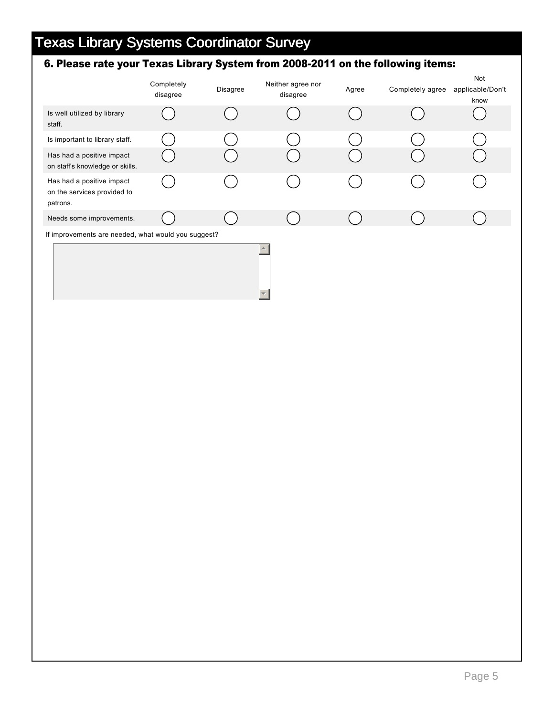## 6. Please rate your Texas Library System from 2008-2011 on the following items:

|                                                                      | Completely<br>disagree | <b>Disagree</b> | Neither agree nor<br>disagree | Agree | Completely agree | Not<br>applicable/Don't<br>know |
|----------------------------------------------------------------------|------------------------|-----------------|-------------------------------|-------|------------------|---------------------------------|
| Is well utilized by library<br>staff.                                |                        |                 |                               |       |                  |                                 |
| Is important to library staff.                                       |                        |                 |                               |       |                  |                                 |
| Has had a positive impact<br>on staff's knowledge or skills.         |                        |                 |                               |       |                  |                                 |
| Has had a positive impact<br>on the services provided to<br>patrons. |                        |                 |                               |       |                  |                                 |
| Needs some improvements.                                             |                        |                 |                               |       |                  |                                 |
| If improvements are needed, what would you suggest?                  |                        |                 |                               |       |                  |                                 |
|                                                                      |                        |                 |                               |       |                  |                                 |

 $\overline{\phantom{a}}$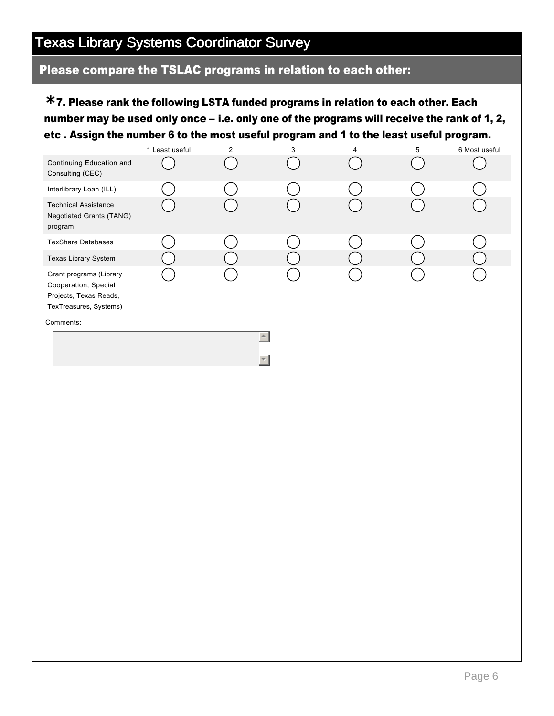### Please compare the TSLAC programs in relation to each other:

7. Please rank the following LSTA funded programs in relation to each other. Each **\*** number may be used only once – i.e. only one of the programs will receive the rank of 1, 2, etc . Assign the number 6 to the most useful program and 1 to the least useful program.

|                                                                                                     | 1 Least useful | $\overline{2}$ | 3 | 4 | 5 | 6 Most useful |
|-----------------------------------------------------------------------------------------------------|----------------|----------------|---|---|---|---------------|
| Continuing Education and<br>Consulting (CEC)                                                        |                |                |   |   |   |               |
| Interlibrary Loan (ILL)                                                                             |                |                |   |   |   |               |
| <b>Technical Assistance</b><br><b>Negotiated Grants (TANG)</b><br>program                           |                |                |   |   |   |               |
| <b>TexShare Databases</b>                                                                           |                |                |   |   |   |               |
| Texas Library System                                                                                |                |                |   |   |   |               |
| Grant programs (Library<br>Cooperation, Special<br>Projects, Texas Reads,<br>TexTreasures, Systems) |                |                |   |   |   |               |
| Comments:                                                                                           |                |                |   |   |   |               |
|                                                                                                     |                |                |   |   |   |               |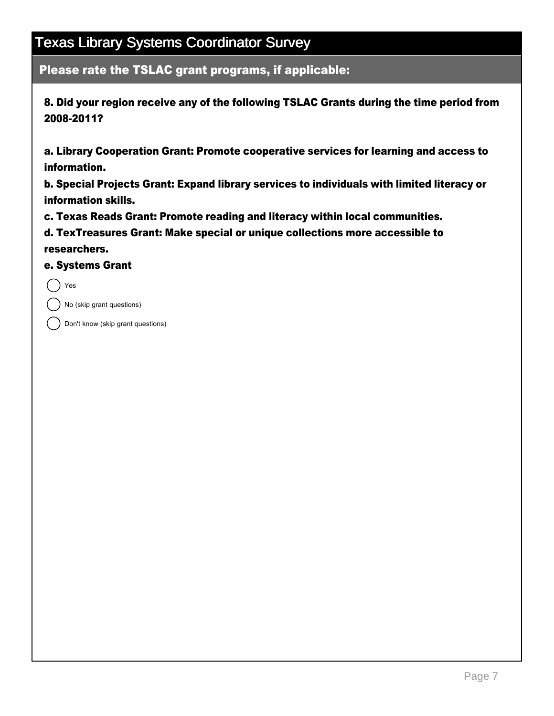Please rate the TSLAC grant programs, if applicable:

8. Did your region receive any of the following TSLAC Grants during the time period from 2008-2011?

a. Library Cooperation Grant: Promote cooperative services for learning and access to information.

b. Special Projects Grant: Expand library services to individuals with limited literacy or information skills.

c. Texas Reads Grant: Promote reading and literacy within local communities.

d. TexTreasures Grant: Make special or unique collections more accessible to researchers.

e. Systems Grant

( ) Yes

No (skip grant questions)

Don't know (skip grant questions)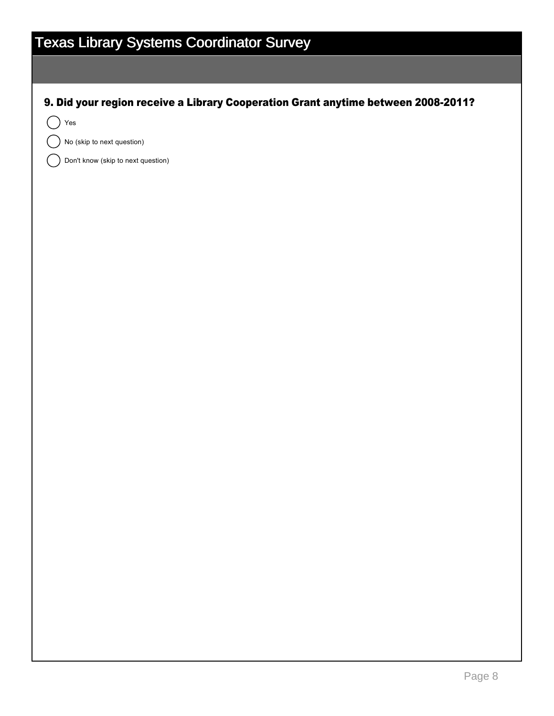9. Did your region receive a Library Cooperation Grant anytime between 2008-2011?

Yes

No (skip to next question)

Don't know (skip to next question)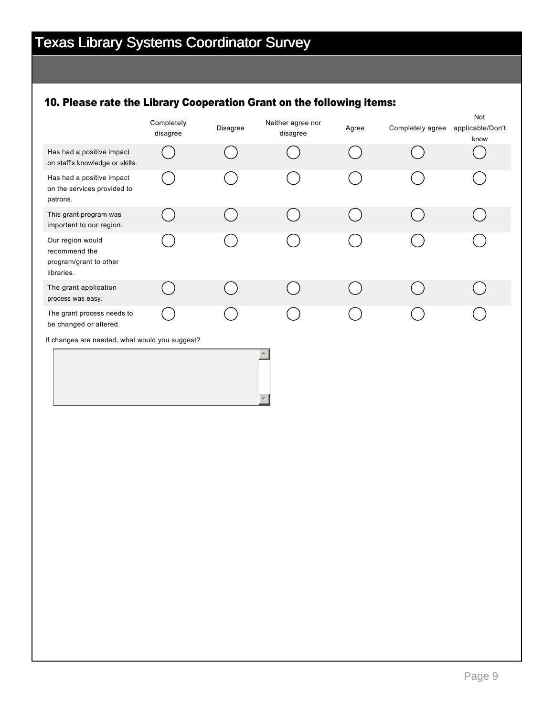## 10. Please rate the Library Cooperation Grant on the following items:

|                                                                           | Completely<br>disagree | Disagree | Neither agree nor<br>disagree | Agree | Completely agree | Not<br>applicable/Don't<br>know |
|---------------------------------------------------------------------------|------------------------|----------|-------------------------------|-------|------------------|---------------------------------|
| Has had a positive impact<br>on staff's knowledge or skills.              |                        |          |                               |       |                  |                                 |
| Has had a positive impact<br>on the services provided to<br>patrons.      |                        |          |                               |       |                  |                                 |
| This grant program was<br>important to our region.                        |                        |          |                               |       |                  |                                 |
| Our region would<br>recommend the<br>program/grant to other<br>libraries. |                        |          |                               |       |                  |                                 |
| The grant application<br>process was easy.                                |                        |          |                               |       |                  |                                 |
| The grant process needs to<br>be changed or altered.                      |                        |          |                               |       |                  |                                 |
| If changes are needed, what would you suggest?                            |                        |          |                               |       |                  |                                 |
|                                                                           |                        |          | $\blacktriangle$              |       |                  |                                 |

 $\overline{\mathbf{v}}$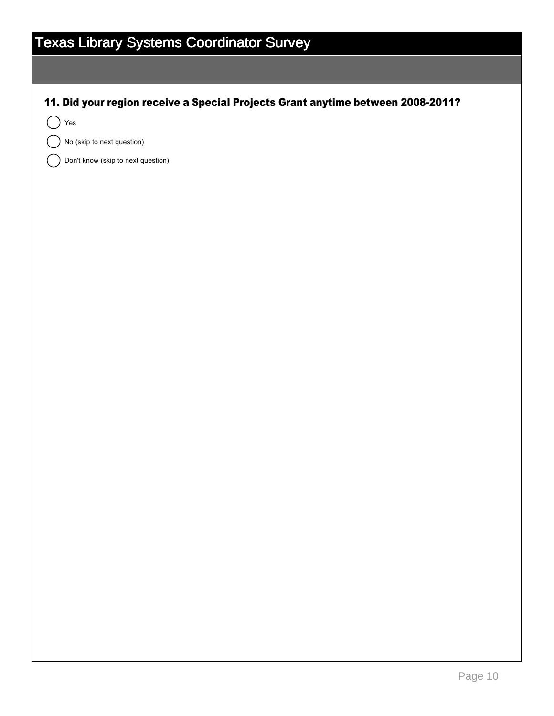11. Did your region receive a Special Projects Grant anytime between 2008-2011?

Yes

No (skip to next question)

Don't know (skip to next question)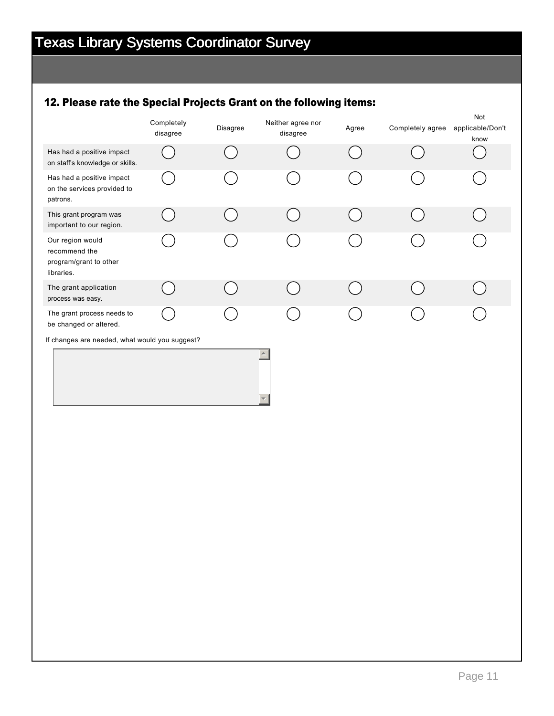## 12. Please rate the Special Projects Grant on the following items:

|                                                                           | Completely<br>disagree | Disagree | Neither agree nor<br>disagree | Agree | Completely agree | <b>Not</b><br>applicable/Don't<br>know |
|---------------------------------------------------------------------------|------------------------|----------|-------------------------------|-------|------------------|----------------------------------------|
| Has had a positive impact<br>on staff's knowledge or skills.              |                        |          |                               |       |                  |                                        |
| Has had a positive impact<br>on the services provided to<br>patrons.      |                        |          |                               |       |                  |                                        |
| This grant program was<br>important to our region.                        |                        |          |                               |       |                  |                                        |
| Our region would<br>recommend the<br>program/grant to other<br>libraries. |                        |          |                               |       |                  |                                        |
| The grant application<br>process was easy.                                |                        |          |                               |       |                  |                                        |
| The grant process needs to<br>be changed or altered.                      |                        |          |                               |       |                  |                                        |
| If changes are needed, what would you suggest?                            |                        |          | $\triangle$                   |       |                  |                                        |
|                                                                           |                        |          |                               |       |                  |                                        |

 $\overline{\mathbf{v}}$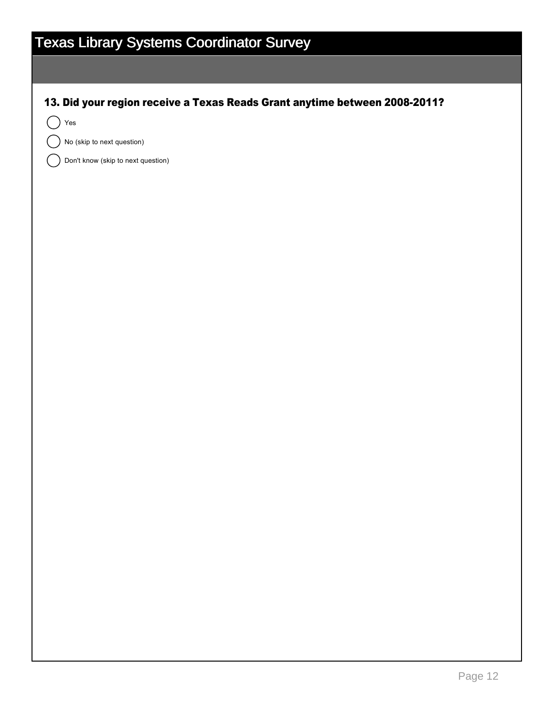13. Did your region receive a Texas Reads Grant anytime between 2008-2011?

 $($   $)$  Yes

No (skip to next question)

Don't know (skip to next question)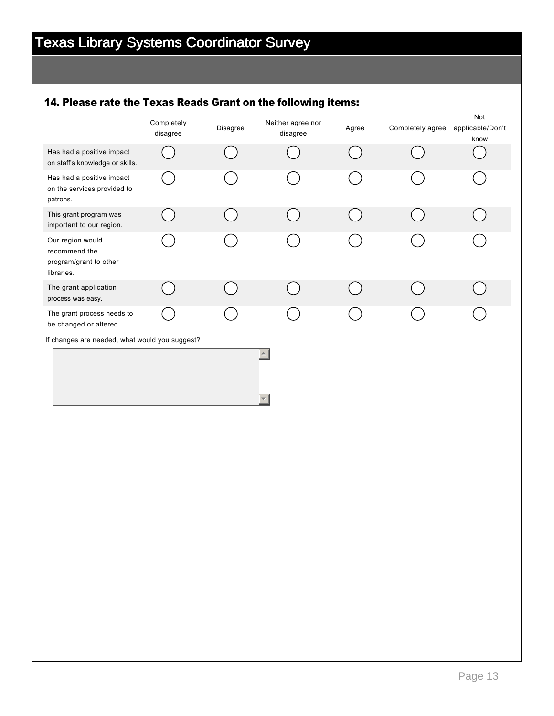### 14. Please rate the Texas Reads Grant on the following items:

|                                                                           | Completely<br>disagree | <b>Disagree</b> | Neither agree nor<br>disagree | Agree | Completely agree | Not<br>applicable/Don't<br>know |
|---------------------------------------------------------------------------|------------------------|-----------------|-------------------------------|-------|------------------|---------------------------------|
| Has had a positive impact<br>on staff's knowledge or skills.              |                        |                 |                               |       |                  |                                 |
| Has had a positive impact<br>on the services provided to<br>patrons.      |                        |                 |                               |       |                  |                                 |
| This grant program was<br>important to our region.                        |                        |                 |                               |       |                  |                                 |
| Our region would<br>recommend the<br>program/grant to other<br>libraries. |                        |                 |                               |       |                  |                                 |
| The grant application<br>process was easy.                                |                        |                 |                               |       |                  |                                 |
| The grant process needs to<br>be changed or altered.                      |                        |                 |                               |       |                  |                                 |
| If changes are needed, what would you suggest?                            |                        |                 | $\blacktriangle$              |       |                  |                                 |
|                                                                           |                        |                 |                               |       |                  |                                 |

 $\overline{\mathbf{v}}$ 

Page 13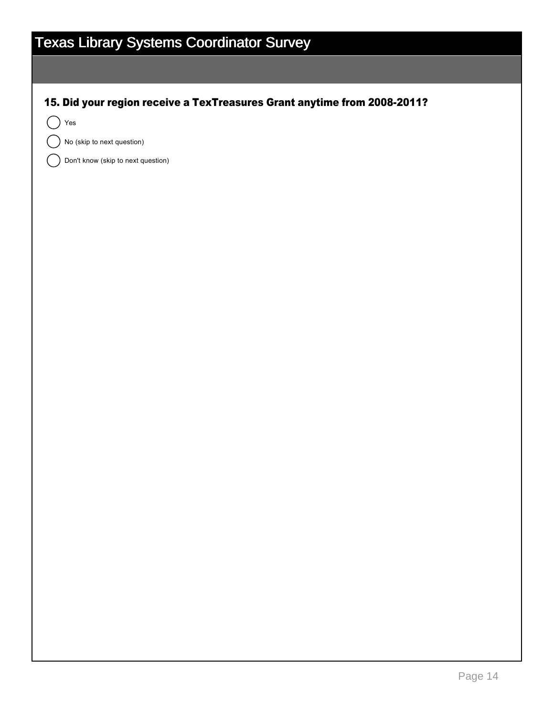15. Did your region receive a TexTreasures Grant anytime from 2008-2011?

 $($   $)$  Yes

No (skip to next question)

Don't know (skip to next question)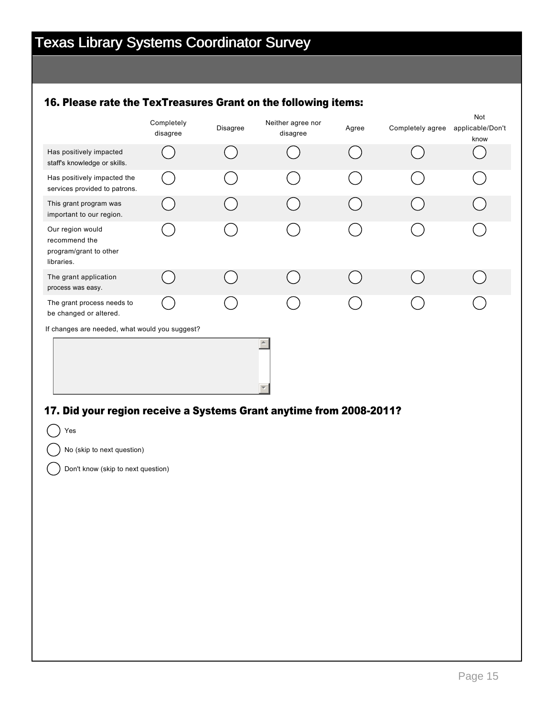### 16. Please rate the TexTreasures Grant on the following items:

|                                                                           | Completely<br>disagree | Disagree | Neither agree nor<br>disagree | Agree | Completely agree | Not<br>applicable/Don't<br>know |
|---------------------------------------------------------------------------|------------------------|----------|-------------------------------|-------|------------------|---------------------------------|
| Has positively impacted<br>staff's knowledge or skills.                   |                        |          |                               |       |                  |                                 |
| Has positively impacted the<br>services provided to patrons.              |                        |          |                               |       |                  |                                 |
| This grant program was<br>important to our region.                        |                        |          |                               |       |                  |                                 |
| Our region would<br>recommend the<br>program/grant to other<br>libraries. |                        |          |                               |       |                  |                                 |
| The grant application<br>process was easy.                                |                        |          |                               |       |                  |                                 |
| The grant process needs to<br>be changed or altered.                      |                        |          |                               |       |                  |                                 |
| If changes are needed, what would you suggest?                            |                        |          |                               |       |                  |                                 |
|                                                                           |                        |          |                               |       |                  |                                 |

### 17. Did your region receive a Systems Grant anytime from 2008-2011?

Yes No (skip to next question) Don't know (skip to next question)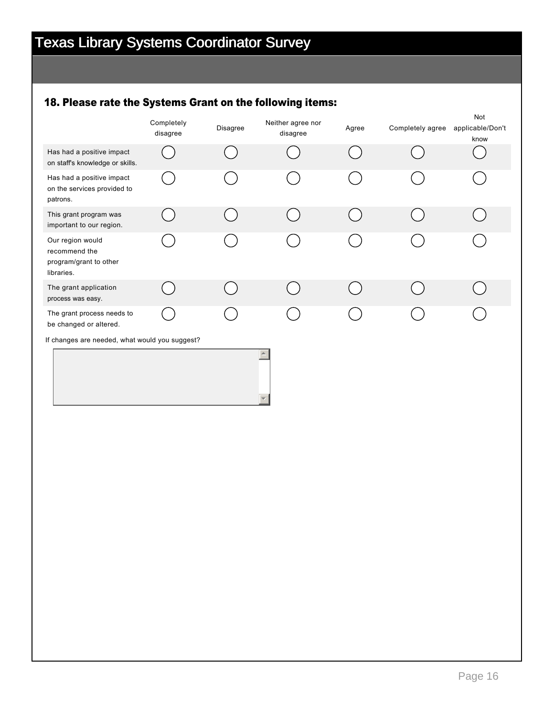## 18. Please rate the Systems Grant on the following items:

|                                                                           | Completely<br>disagree | <b>Disagree</b> | Neither agree nor<br>disagree | Agree | Completely agree | Not<br>applicable/Don't<br>know |
|---------------------------------------------------------------------------|------------------------|-----------------|-------------------------------|-------|------------------|---------------------------------|
| Has had a positive impact<br>on staff's knowledge or skills.              |                        |                 |                               |       |                  |                                 |
| Has had a positive impact<br>on the services provided to<br>patrons.      |                        |                 |                               |       |                  |                                 |
| This grant program was<br>important to our region.                        |                        |                 |                               |       |                  |                                 |
| Our region would<br>recommend the<br>program/grant to other<br>libraries. |                        |                 |                               |       |                  |                                 |
| The grant application<br>process was easy.                                |                        |                 |                               |       |                  |                                 |
| The grant process needs to<br>be changed or altered.                      |                        |                 |                               |       |                  |                                 |
| If changes are needed, what would you suggest?                            |                        |                 | $\triangle$                   |       |                  |                                 |

 $\overline{\mathbf{v}}$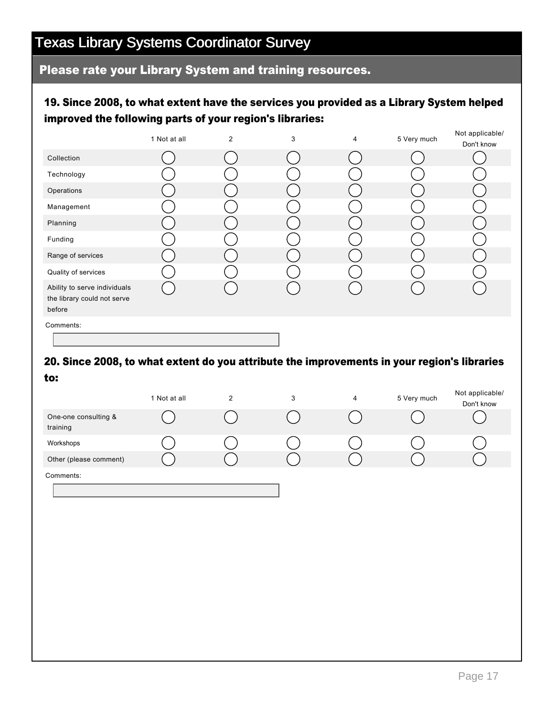### Please rate your Library System and training resources.

### 19. Since 2008, to what extent have the services you provided as a Library System helped improved the following parts of your region's libraries:

|                                                                       | 1 Not at all | 2 | 3 | 4 | 5 Very much | Not applicable/<br>Don't know |
|-----------------------------------------------------------------------|--------------|---|---|---|-------------|-------------------------------|
| Collection                                                            |              |   |   |   |             |                               |
| Technology                                                            |              |   |   |   |             |                               |
| Operations                                                            |              |   |   |   |             |                               |
| Management                                                            |              |   |   |   |             |                               |
| Planning                                                              |              |   |   |   |             |                               |
| Funding                                                               |              |   |   |   |             |                               |
| Range of services                                                     |              |   |   |   |             |                               |
| Quality of services                                                   |              |   |   |   |             |                               |
| Ability to serve individuals<br>the library could not serve<br>before |              |   |   |   |             |                               |
| Comments:                                                             |              |   |   |   |             |                               |

## 20. Since 2008, to what extent do you attribute the improvements in your region's libraries

to:

|                                  | 1 Not at all | 2 | 3 | 4 | 5 Very much | Not applicable/<br>Don't know |
|----------------------------------|--------------|---|---|---|-------------|-------------------------------|
| One-one consulting &<br>training |              |   |   |   |             |                               |
| Workshops                        |              |   |   |   |             |                               |
| Other (please comment)           |              |   |   |   |             |                               |
| Comments:                        |              |   |   |   |             |                               |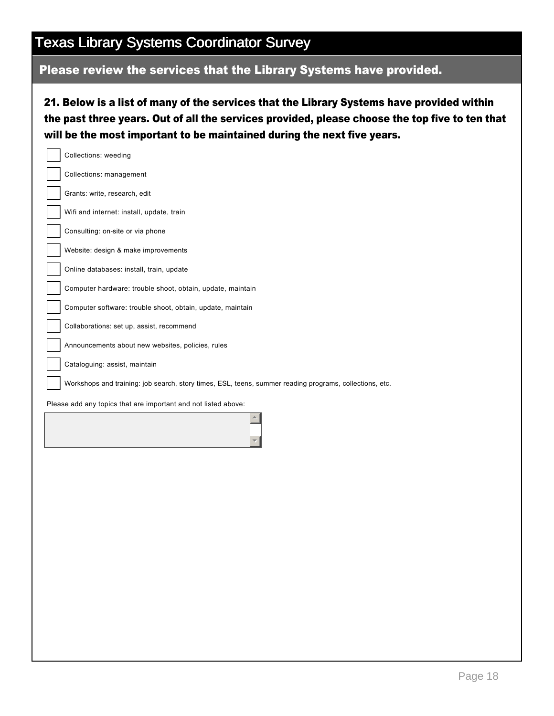## Please review the services that the Library Systems have provided.

21. Below is a list of many of the services that the Library Systems have provided within the past three years. Out of all the services provided, please choose the top five to ten that will be the most important to be maintained during the next five years.

| Collections: weeding                                                                                    |
|---------------------------------------------------------------------------------------------------------|
| Collections: management                                                                                 |
| Grants: write, research, edit                                                                           |
| Wifi and internet: install, update, train                                                               |
| Consulting: on-site or via phone                                                                        |
| Website: design & make improvements                                                                     |
| Online databases: install, train, update                                                                |
| Computer hardware: trouble shoot, obtain, update, maintain                                              |
| Computer software: trouble shoot, obtain, update, maintain                                              |
| Collaborations: set up, assist, recommend                                                               |
| Announcements about new websites, policies, rules                                                       |
| Cataloguing: assist, maintain                                                                           |
| Workshops and training: job search, story times, ESL, teens, summer reading programs, collections, etc. |
|                                                                                                         |
| Please add any topics that are important and not listed above:                                          |
|                                                                                                         |
|                                                                                                         |
|                                                                                                         |
|                                                                                                         |
|                                                                                                         |
|                                                                                                         |
|                                                                                                         |
|                                                                                                         |
|                                                                                                         |
|                                                                                                         |
|                                                                                                         |
|                                                                                                         |
|                                                                                                         |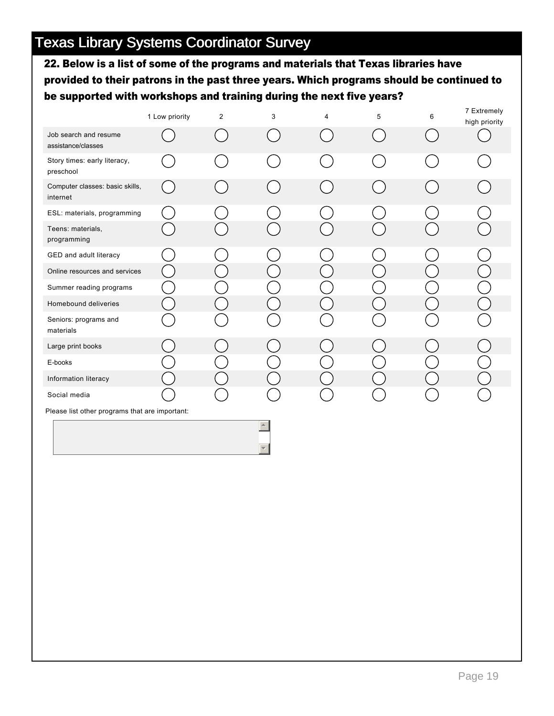22. Below is a list of some of the programs and materials that Texas libraries have provided to their patrons in the past three years. Which programs should be continued to be supported with workshops and training during the next five years?

|                                                | 1 Low priority | $\overline{2}$ | 3 | 4 | 5 | 6 | 7 Extremely<br>high priority |
|------------------------------------------------|----------------|----------------|---|---|---|---|------------------------------|
| Job search and resume<br>assistance/classes    |                |                |   |   |   |   |                              |
| Story times: early literacy,<br>preschool      |                |                |   |   |   |   |                              |
| Computer classes: basic skills,<br>internet    |                |                |   |   |   |   |                              |
| ESL: materials, programming                    |                |                |   |   |   |   |                              |
| Teens: materials,<br>programming               |                |                |   |   |   |   |                              |
| GED and adult literacy                         |                |                |   |   |   |   |                              |
| Online resources and services                  |                |                |   |   |   |   |                              |
| Summer reading programs                        |                |                |   |   |   |   |                              |
| Homebound deliveries                           |                |                |   |   |   |   |                              |
| Seniors: programs and<br>materials             |                |                |   |   |   |   |                              |
| Large print books                              |                |                |   |   |   |   |                              |
| E-books                                        |                |                |   |   |   |   |                              |
| Information literacy                           |                |                |   |   |   |   |                              |
| Social media                                   |                |                |   |   |   |   |                              |
| Please list other programs that are important: |                |                |   |   |   |   |                              |

 $\triangleq$ 

 $\overline{\phantom{a}}$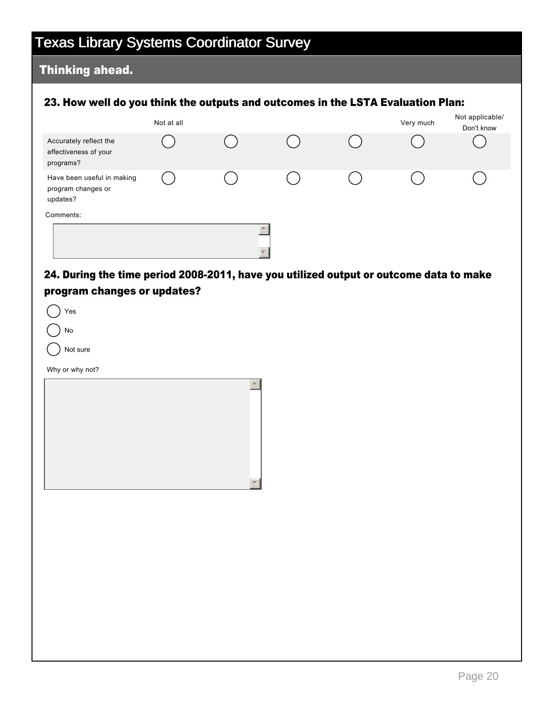### Thinking ahead.

#### 23. How well do you think the outputs and outcomes in the LSTA Evaluation Plan:

|                                                              | Not at all |                  | Very much | Not applicable/<br>Don't know |
|--------------------------------------------------------------|------------|------------------|-----------|-------------------------------|
| Accurately reflect the<br>effectiveness of your<br>programs? |            |                  |           |                               |
| Have been useful in making<br>program changes or<br>updates? |            |                  |           |                               |
| Comments:                                                    |            |                  |           |                               |
|                                                              |            | $\blacktriangle$ |           |                               |

### 24. During the time period 2008-2011, have you utilized output or outcome data to make program changes or updates?

| Yes             |  |
|-----------------|--|
| No              |  |
| Not sure        |  |
| Why or why not? |  |
|                 |  |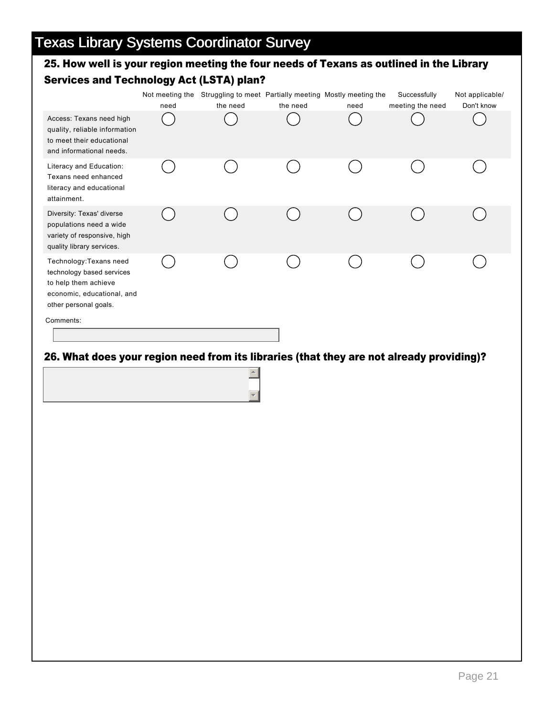### 25. How well is your region meeting the four needs of Texans as outlined in the Library Services and Technology Act (LSTA) plan?

|                                                                                                                                     | need | Not meeting the Struggling to meet Partially meeting Mostly meeting the<br>the need | the need | need | Successfully<br>meeting the need | Not applicable/<br>Don't know |
|-------------------------------------------------------------------------------------------------------------------------------------|------|-------------------------------------------------------------------------------------|----------|------|----------------------------------|-------------------------------|
| Access: Texans need high<br>quality, reliable information<br>to meet their educational<br>and informational needs.                  |      |                                                                                     |          |      |                                  |                               |
| Literacy and Education:<br>Texans need enhanced<br>literacy and educational<br>attainment.                                          |      |                                                                                     |          |      |                                  |                               |
| Diversity: Texas' diverse<br>populations need a wide<br>variety of responsive, high<br>quality library services.                    |      |                                                                                     |          |      |                                  |                               |
| Technology: Texans need<br>technology based services<br>to help them achieve<br>economic, educational, and<br>other personal goals. |      |                                                                                     |          |      |                                  |                               |
| Comments:                                                                                                                           |      |                                                                                     |          |      |                                  |                               |

### 26. What does your region need from its libraries (that they are not already providing)?

 $\left| \frac{1}{2} \right|$ 

 $\overline{\phantom{a}}$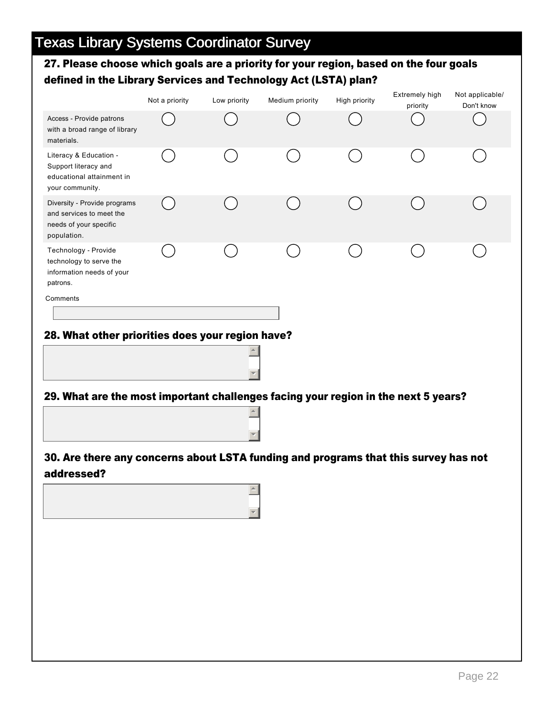### 27. Please choose which goals are a priority for your region, based on the four goals defined in the Library Services and Technology Act (LSTA) plan?

|                                                                                                   | Not a priority | Low priority | Medium priority | High priority | Extremely high<br>priority | Not applicable/<br>Don't know |
|---------------------------------------------------------------------------------------------------|----------------|--------------|-----------------|---------------|----------------------------|-------------------------------|
| Access - Provide patrons<br>with a broad range of library<br>materials.                           |                |              |                 |               |                            |                               |
| Literacy & Education -<br>Support literacy and<br>educational attainment in<br>your community.    |                |              |                 |               |                            |                               |
| Diversity - Provide programs<br>and services to meet the<br>needs of your specific<br>population. |                |              |                 |               |                            |                               |
| Technology - Provide<br>technology to serve the<br>information needs of your<br>patrons.          |                |              |                 |               |                            |                               |
| Comments                                                                                          |                |              |                 |               |                            |                               |
| 28. What other priorities does your region have?                                                  |                |              |                 |               |                            |                               |
| 29. What are the most imnortant challenges facing your region in the next 5 years?                |                |              |                 |               |                            |                               |



 $\blacktriangledown$ 



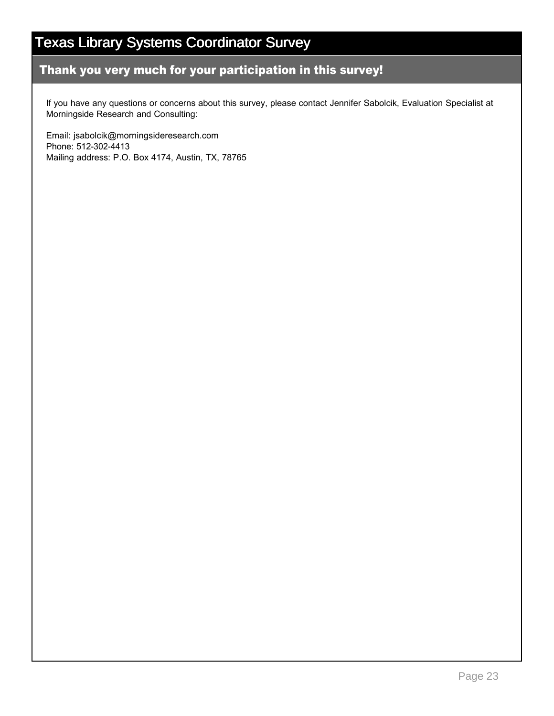### Thank you very much for your participation in this survey!

If you have any questions or concerns about this survey, please contact Jennifer Sabolcik, Evaluation Specialist at Morningside Research and Consulting:

Email: jsabolcik@morningsideresearch.com Phone: 512-302-4413 Mailing address: P.O. Box 4174, Austin, TX, 78765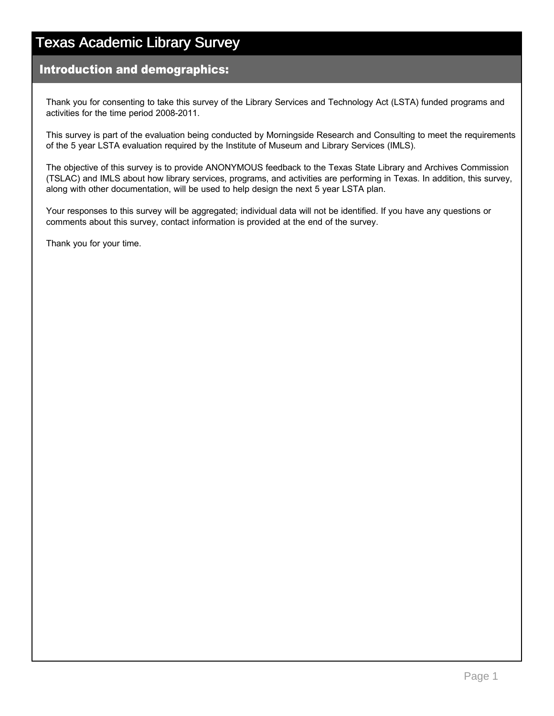## Texas Academic Library Survey

### Introduction and demographics:

Thank you for consenting to take this survey of the Library Services and Technology Act (LSTA) funded programs and activities for the time period 2008-2011.

This survey is part of the evaluation being conducted by Morningside Research and Consulting to meet the requirements of the 5 year LSTA evaluation required by the Institute of Museum and Library Services (IMLS).

The objective of this survey is to provide ANONYMOUS feedback to the Texas State Library and Archives Commission (TSLAC) and IMLS about how library services, programs, and activities are performing in Texas. In addition, this survey, along with other documentation, will be used to help design the next 5 year LSTA plan.

Your responses to this survey will be aggregated; individual data will not be identified. If you have any questions or comments about this survey, contact information is provided at the end of the survey.

Thank you for your time.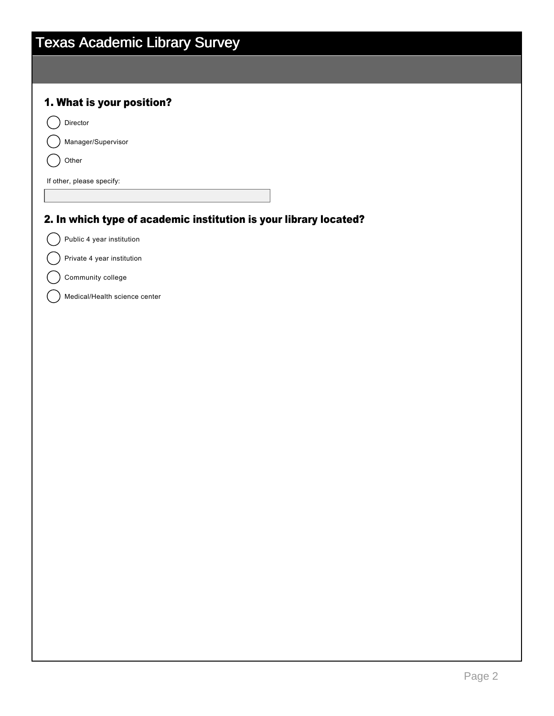| <b>Texas Academic Library Survey</b>                              |  |  |
|-------------------------------------------------------------------|--|--|
|                                                                   |  |  |
|                                                                   |  |  |
| 1. What is your position?                                         |  |  |
| Director                                                          |  |  |
| Manager/Supervisor                                                |  |  |
| Other                                                             |  |  |
| If other, please specify:                                         |  |  |
|                                                                   |  |  |
| 2. In which type of academic institution is your library located? |  |  |
| Public 4 year institution                                         |  |  |
| Private 4 year institution                                        |  |  |
| Community college                                                 |  |  |
| Medical/Health science center                                     |  |  |
|                                                                   |  |  |
|                                                                   |  |  |
|                                                                   |  |  |
|                                                                   |  |  |
|                                                                   |  |  |
|                                                                   |  |  |
|                                                                   |  |  |
|                                                                   |  |  |
|                                                                   |  |  |
|                                                                   |  |  |
|                                                                   |  |  |
|                                                                   |  |  |
|                                                                   |  |  |
|                                                                   |  |  |
|                                                                   |  |  |
|                                                                   |  |  |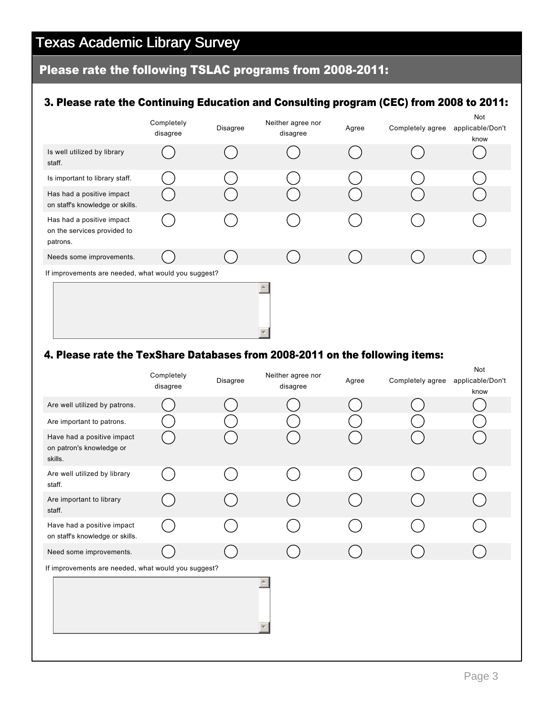# Texas Academic Library Survey

# Please rate the following TSLAC programs from 2008-2011:

### 3. Please rate the Continuing Education and Consulting program (CEC) from 2008 to 2011:

|                                                                      | Completely<br>disagree | Disagree | Neither agree nor<br>disagree | Agree | Completely agree | Not<br>applicable/Don't<br>know |
|----------------------------------------------------------------------|------------------------|----------|-------------------------------|-------|------------------|---------------------------------|
| Is well utilized by library<br>staff.                                |                        |          |                               |       |                  |                                 |
| Is important to library staff.                                       |                        |          |                               |       |                  |                                 |
| Has had a positive impact<br>on staff's knowledge or skills.         |                        |          |                               |       |                  |                                 |
| Has had a positive impact<br>on the services provided to<br>patrons. |                        |          |                               |       |                  |                                 |
| Needs some improvements.                                             |                        |          |                               |       |                  |                                 |
| If improvements are needed, what would you suggest?                  |                        |          |                               |       |                  |                                 |
|                                                                      |                        |          |                               |       |                  |                                 |

### 4. Please rate the TexShare Databases from 2008-2011 on the following items:

|                                                                   | Completely<br>disagree | Disagree | Neither agree nor<br>disagree | Agree | Completely agree | Not<br>applicable/Don't<br>know |
|-------------------------------------------------------------------|------------------------|----------|-------------------------------|-------|------------------|---------------------------------|
| Are well utilized by patrons.                                     |                        |          |                               |       |                  |                                 |
| Are important to patrons.                                         |                        |          |                               |       |                  |                                 |
| Have had a positive impact<br>on patron's knowledge or<br>skills. |                        |          |                               |       |                  |                                 |
| Are well utilized by library<br>staff.                            |                        |          |                               |       |                  |                                 |
| Are important to library<br>staff.                                |                        |          |                               |       |                  |                                 |
| Have had a positive impact<br>on staff's knowledge or skills.     |                        |          |                               |       |                  |                                 |
| Need some improvements.                                           |                        |          |                               |       |                  |                                 |
| If improvements are needed, what would you suggest?               |                        |          |                               |       |                  |                                 |
|                                                                   |                        |          |                               |       |                  |                                 |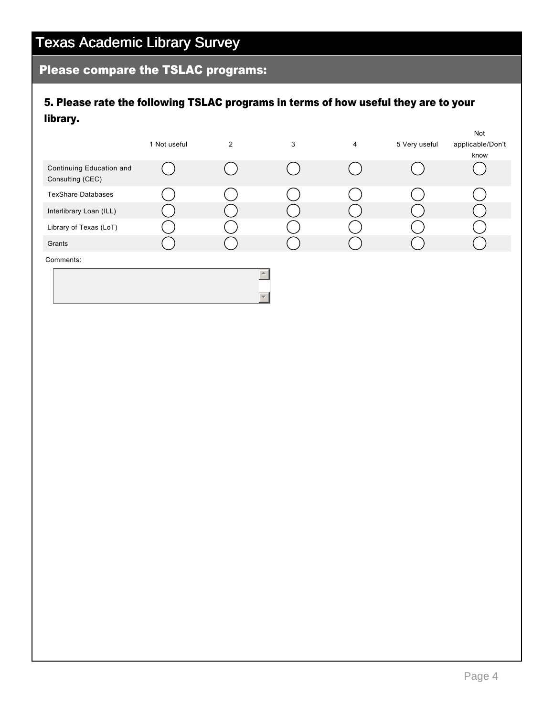## Please compare the TSLAC programs:

### 5. Please rate the following TSLAC programs in terms of how useful they are to your library.

|                                              | 1 Not useful | $\overline{2}$ | 3 | 4 | 5 Very useful | Not<br>applicable/Don't<br>know |
|----------------------------------------------|--------------|----------------|---|---|---------------|---------------------------------|
| Continuing Education and<br>Consulting (CEC) |              |                |   |   |               |                                 |
| <b>TexShare Databases</b>                    |              |                |   |   |               |                                 |
| Interlibrary Loan (ILL)                      |              |                |   |   |               |                                 |
| Library of Texas (LoT)                       |              |                |   |   |               |                                 |
| Grants                                       |              |                |   |   |               |                                 |
| Comments:                                    |              |                |   |   |               |                                 |
|                                              |              |                |   |   |               |                                 |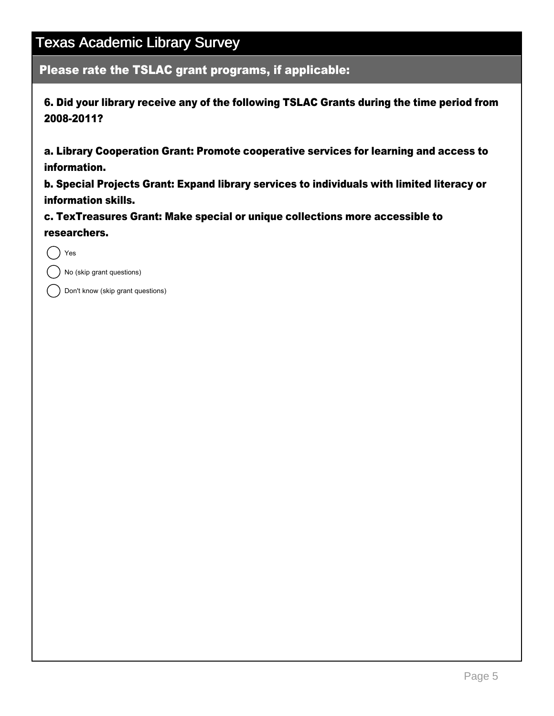Please rate the TSLAC grant programs, if applicable:

6. Did your library receive any of the following TSLAC Grants during the time period from 2008-2011?

a. Library Cooperation Grant: Promote cooperative services for learning and access to information.

b. Special Projects Grant: Expand library services to individuals with limited literacy or information skills.

c. TexTreasures Grant: Make special or unique collections more accessible to researchers.

Yes

No (skip grant questions)

Don't know (skip grant questions)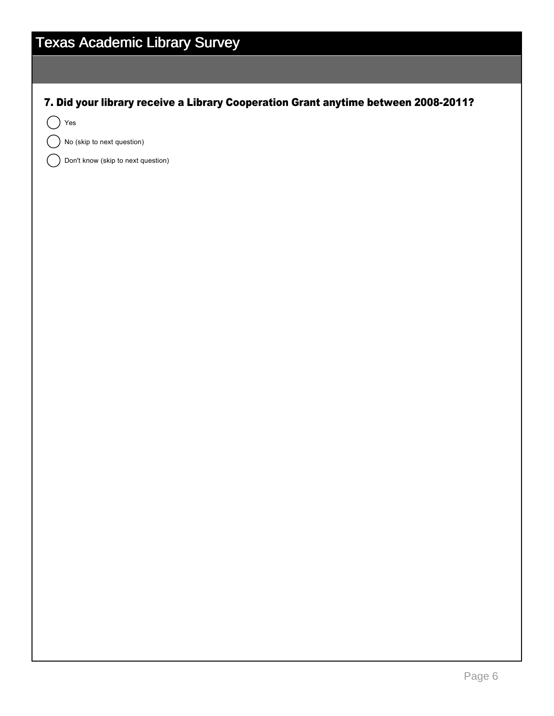| <b>Texas Academic Library Survey</b>                                               |
|------------------------------------------------------------------------------------|
|                                                                                    |
| 7. Did your library receive a Library Cooperation Grant anytime between 2008-2011? |
| $\operatorname{\mathsf{Yes}}$                                                      |
| No (skip to next question)                                                         |
| Don't know (skip to next question)                                                 |
|                                                                                    |
|                                                                                    |
|                                                                                    |
|                                                                                    |
|                                                                                    |
|                                                                                    |
|                                                                                    |
|                                                                                    |
|                                                                                    |
|                                                                                    |
|                                                                                    |
|                                                                                    |
|                                                                                    |
|                                                                                    |
|                                                                                    |
|                                                                                    |
|                                                                                    |
|                                                                                    |
|                                                                                    |
|                                                                                    |
|                                                                                    |
|                                                                                    |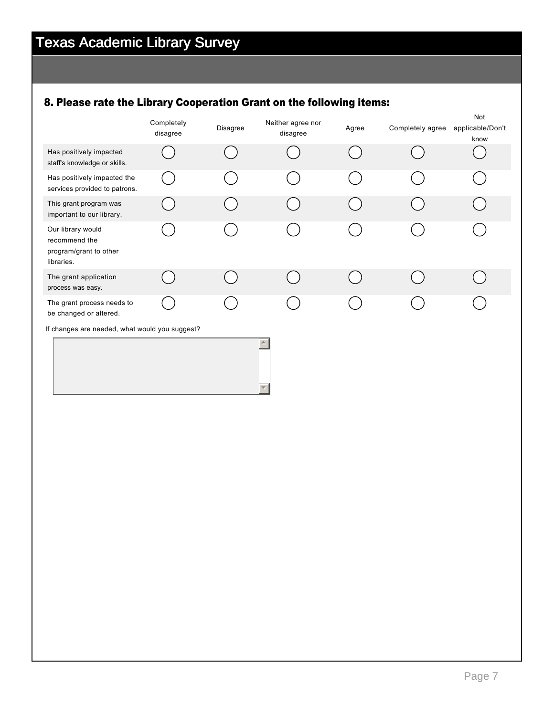## 8. Please rate the Library Cooperation Grant on the following items:

|                                                                            | Completely<br>disagree | Disagree | Neither agree nor<br>disagree | Agree | Completely agree | Not<br>applicable/Don't<br>know |
|----------------------------------------------------------------------------|------------------------|----------|-------------------------------|-------|------------------|---------------------------------|
| Has positively impacted<br>staff's knowledge or skills.                    |                        |          |                               |       |                  |                                 |
| Has positively impacted the<br>services provided to patrons.               |                        |          |                               |       |                  |                                 |
| This grant program was<br>important to our library.                        |                        |          |                               |       |                  |                                 |
| Our library would<br>recommend the<br>program/grant to other<br>libraries. |                        |          |                               |       |                  |                                 |
| The grant application<br>process was easy.                                 |                        |          |                               |       |                  |                                 |
| The grant process needs to<br>be changed or altered.                       |                        |          |                               |       |                  |                                 |
| If changes are needed, what would you suggest?                             |                        |          |                               |       |                  |                                 |
|                                                                            |                        |          |                               |       |                  |                                 |

6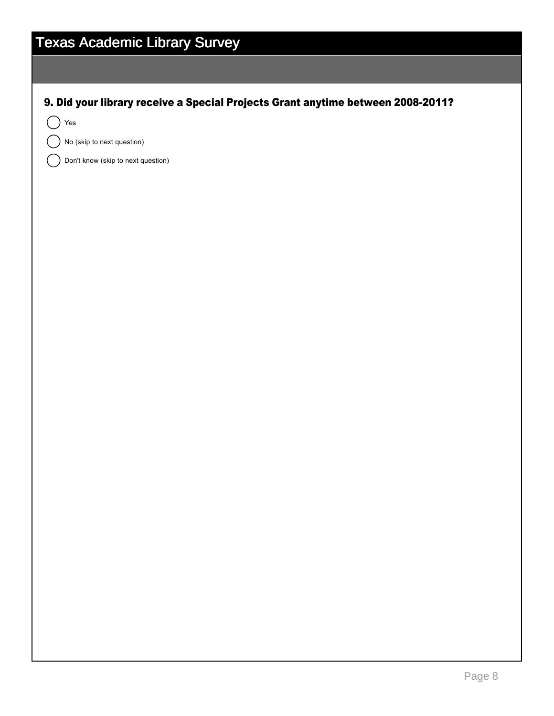| <b>Texas Academic Library Survey</b>                                            |
|---------------------------------------------------------------------------------|
|                                                                                 |
| 9. Did your library receive a Special Projects Grant anytime between 2008-2011? |
| Yes                                                                             |
| No (skip to next question)                                                      |
| Don't know (skip to next question)                                              |
|                                                                                 |
|                                                                                 |
|                                                                                 |
|                                                                                 |
|                                                                                 |
|                                                                                 |
|                                                                                 |
|                                                                                 |
|                                                                                 |
|                                                                                 |
|                                                                                 |
|                                                                                 |
|                                                                                 |
|                                                                                 |
|                                                                                 |
|                                                                                 |
|                                                                                 |
|                                                                                 |
|                                                                                 |
|                                                                                 |
|                                                                                 |
|                                                                                 |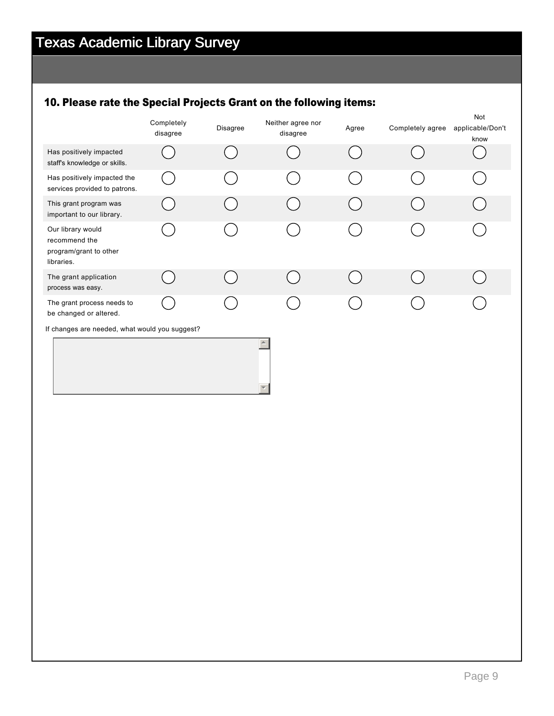## 10. Please rate the Special Projects Grant on the following items:

|                                                                            | Completely<br>disagree | Disagree | Neither agree nor<br>disagree | Agree | Completely agree | Not<br>applicable/Don't<br>know |
|----------------------------------------------------------------------------|------------------------|----------|-------------------------------|-------|------------------|---------------------------------|
| Has positively impacted<br>staff's knowledge or skills.                    |                        |          |                               |       |                  |                                 |
| Has positively impacted the<br>services provided to patrons.               |                        |          |                               |       |                  |                                 |
| This grant program was<br>important to our library.                        |                        |          |                               |       |                  |                                 |
| Our library would<br>recommend the<br>program/grant to other<br>libraries. |                        |          |                               |       |                  |                                 |
| The grant application<br>process was easy.                                 |                        |          |                               |       |                  |                                 |
| The grant process needs to<br>be changed or altered.                       |                        |          |                               |       |                  |                                 |
| If changes are needed, what would you suggest?                             |                        |          |                               |       |                  |                                 |
|                                                                            |                        |          |                               |       |                  |                                 |

6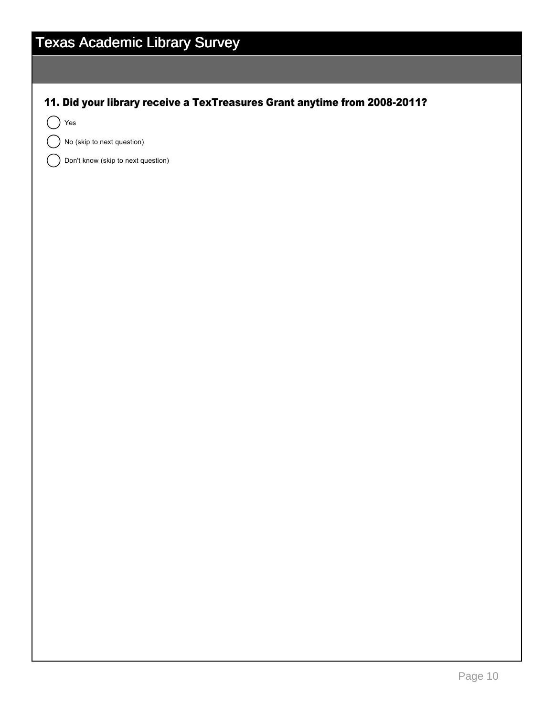| <b>Texas Academic Library Survey</b>                                      |  |  |  |  |  |
|---------------------------------------------------------------------------|--|--|--|--|--|
|                                                                           |  |  |  |  |  |
| 11. Did your library receive a TexTreasures Grant anytime from 2008-2011? |  |  |  |  |  |
| $\operatorname{\mathsf{Yes}}$                                             |  |  |  |  |  |
| No (skip to next question)                                                |  |  |  |  |  |
| Don't know (skip to next question)                                        |  |  |  |  |  |
|                                                                           |  |  |  |  |  |
|                                                                           |  |  |  |  |  |
|                                                                           |  |  |  |  |  |
|                                                                           |  |  |  |  |  |
|                                                                           |  |  |  |  |  |
|                                                                           |  |  |  |  |  |
|                                                                           |  |  |  |  |  |
|                                                                           |  |  |  |  |  |
|                                                                           |  |  |  |  |  |
|                                                                           |  |  |  |  |  |
|                                                                           |  |  |  |  |  |
|                                                                           |  |  |  |  |  |
|                                                                           |  |  |  |  |  |
|                                                                           |  |  |  |  |  |
|                                                                           |  |  |  |  |  |
|                                                                           |  |  |  |  |  |
|                                                                           |  |  |  |  |  |
|                                                                           |  |  |  |  |  |
|                                                                           |  |  |  |  |  |
|                                                                           |  |  |  |  |  |
|                                                                           |  |  |  |  |  |
|                                                                           |  |  |  |  |  |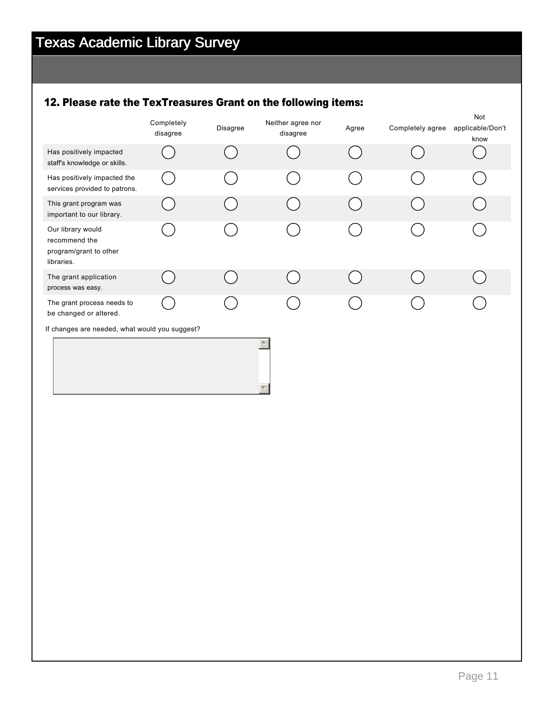## 12. Please rate the TexTreasures Grant on the following items:

|                                                                            | Completely<br>disagree | Disagree | Neither agree nor<br>disagree | Agree | Completely agree | Not<br>applicable/Don't<br>know |
|----------------------------------------------------------------------------|------------------------|----------|-------------------------------|-------|------------------|---------------------------------|
| Has positively impacted<br>staff's knowledge or skills.                    |                        |          |                               |       |                  |                                 |
| Has positively impacted the<br>services provided to patrons.               |                        |          |                               |       |                  |                                 |
| This grant program was<br>important to our library.                        |                        |          |                               |       |                  |                                 |
| Our library would<br>recommend the<br>program/grant to other<br>libraries. |                        |          |                               |       |                  |                                 |
| The grant application<br>process was easy.                                 |                        |          |                               |       |                  |                                 |
| The grant process needs to<br>be changed or altered.                       |                        |          |                               |       |                  |                                 |
| If changes are needed, what would you suggest?                             |                        |          |                               |       |                  |                                 |

6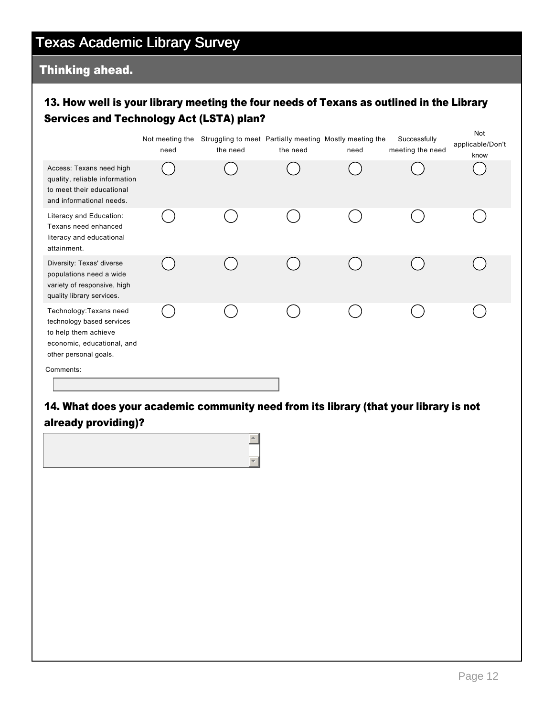#### Thinking ahead.

#### 13. How well is your library meeting the four needs of Texans as outlined in the Library Services and Technology Act (LSTA) plan?

|                                                                                                                                     | Not meeting the<br>need | Struggling to meet Partially meeting Mostly meeting the<br>the need | the need | need | Successfully<br>meeting the need | Not<br>applicable/Don't<br>know |
|-------------------------------------------------------------------------------------------------------------------------------------|-------------------------|---------------------------------------------------------------------|----------|------|----------------------------------|---------------------------------|
| Access: Texans need high<br>quality, reliable information<br>to meet their educational<br>and informational needs.                  |                         |                                                                     |          |      |                                  |                                 |
| Literacy and Education:<br>Texans need enhanced<br>literacy and educational<br>attainment.                                          |                         |                                                                     |          |      |                                  |                                 |
| Diversity: Texas' diverse<br>populations need a wide<br>variety of responsive, high<br>quality library services.                    |                         |                                                                     |          |      |                                  |                                 |
| Technology: Texans need<br>technology based services<br>to help them achieve<br>economic, educational, and<br>other personal goals. |                         |                                                                     |          |      |                                  |                                 |
| Comments:                                                                                                                           |                         |                                                                     |          |      |                                  |                                 |

#### 14. What does your academic community need from its library (that your library is not already providing)?

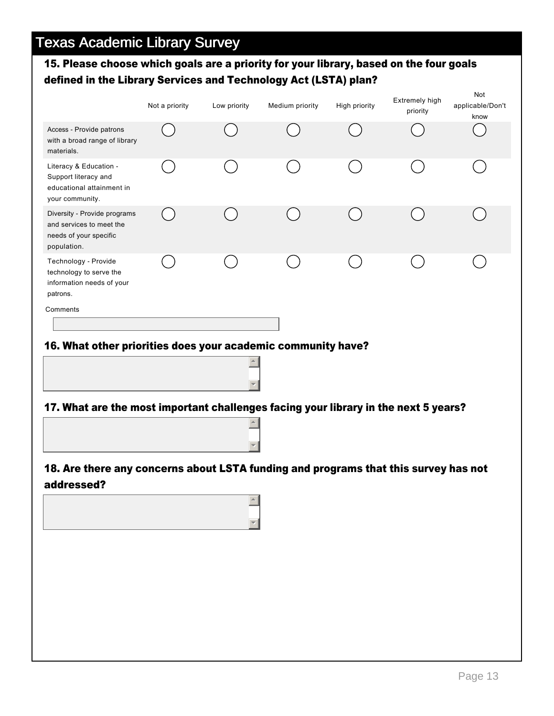#### 15. Please choose which goals are a priority for your library, based on the four goals defined in the Library Services and Technology Act (LSTA) plan?

|                                                                                                   | Not a priority | Low priority | Medium priority | High priority | Extremely high<br>priority | Not<br>applicable/Don't<br>know |
|---------------------------------------------------------------------------------------------------|----------------|--------------|-----------------|---------------|----------------------------|---------------------------------|
| Access - Provide patrons<br>with a broad range of library<br>materials.                           |                |              |                 |               |                            |                                 |
| Literacy & Education -<br>Support literacy and<br>educational attainment in<br>your community.    |                |              |                 |               |                            |                                 |
| Diversity - Provide programs<br>and services to meet the<br>needs of your specific<br>population. |                |              |                 |               |                            |                                 |
| Technology - Provide<br>technology to serve the<br>information needs of your<br>patrons.          |                |              |                 |               |                            |                                 |
| Comments<br>16. What other priorities does your academic community have?                          |                |              |                 |               |                            |                                 |
|                                                                                                   |                | $\triangle$  |                 |               |                            |                                 |

#### 17. What are the most important challenges facing your library in the next 5 years?  $\left| \bullet \right|$

 $\blacktriangledown$ 

 $\blacktriangledown$ 



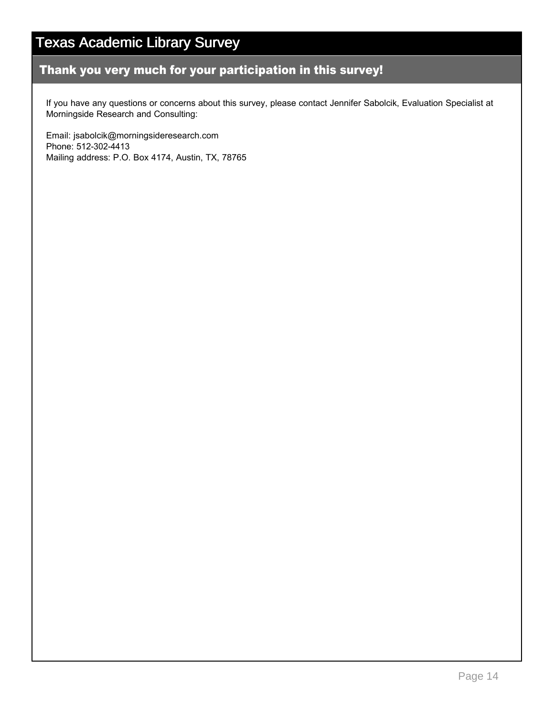#### Thank you very much for your participation in this survey!

If you have any questions or concerns about this survey, please contact Jennifer Sabolcik, Evaluation Specialist at Morningside Research and Consulting:

Email: jsabolcik@morningsideresearch.com Phone: 512-302-4413 Mailing address: P.O. Box 4174, Austin, TX, 78765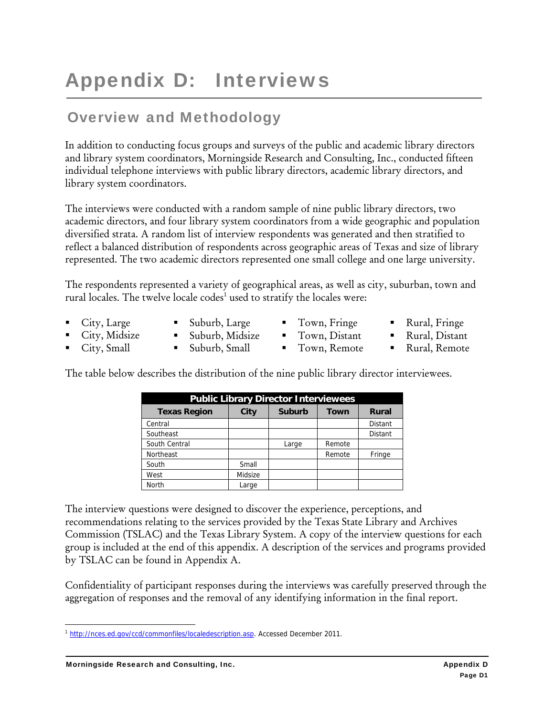# Appendix D: Interviews

## Overview and Methodology

In addition to conducting focus groups and surveys of the public and academic library directors and library system coordinators, Morningside Research and Consulting, Inc., conducted fifteen individual telephone interviews with public library directors, academic library directors, and library system coordinators.

The interviews were conducted with a random sample of nine public library directors, two academic directors, and four library system coordinators from a wide geographic and population diversified strata. A random list of interview respondents was generated and then stratified to reflect a balanced distribution of respondents across geographic areas of Texas and size of library represented. The two academic directors represented one small college and one large university.

The respondents represented a variety of geographical areas, as well as city, suburban, town and rural locales. The twelve locale codes<sup>1</sup> used to stratify the locales were:

- City, Large
- Suburb, Large
- Town, Fringe Town, Distant
- Rural, Fringe
- City, Midsize City, Small
- Suburb, Midsize Suburb, Small
- Town, Remote
- Rural, Distant **Rural, Remote**

The table below describes the distribution of the nine public library director interviewees.

| <b>Public Library Director Interviewees</b> |         |               |             |                |  |  |
|---------------------------------------------|---------|---------------|-------------|----------------|--|--|
| <b>Texas Region</b>                         | City    | <b>Suburb</b> | <b>Town</b> | <b>Rural</b>   |  |  |
| Central                                     |         |               |             | <b>Distant</b> |  |  |
| Southeast                                   |         |               |             | <b>Distant</b> |  |  |
| South Central                               |         | Large         | Remote      |                |  |  |
| <b>Northeast</b>                            |         |               | Remote      | Fringe         |  |  |
| South                                       | Small   |               |             |                |  |  |
| West                                        | Midsize |               |             |                |  |  |
| North                                       | Large   |               |             |                |  |  |

The interview questions were designed to discover the experience, perceptions, and recommendations relating to the services provided by the Texas State Library and Archives Commission (TSLAC) and the Texas Library System. A copy of the interview questions for each group is included at the end of this appendix. A description of the services and programs provided by TSLAC can be found in Appendix A.

Confidentiality of participant responses during the interviews was carefully preserved through the aggregation of responses and the removal of any identifying information in the final report.

 <sup>1</sup> http://nces.ed.gov/ccd/commonfiles/localedescription.asp. Accessed December 2011.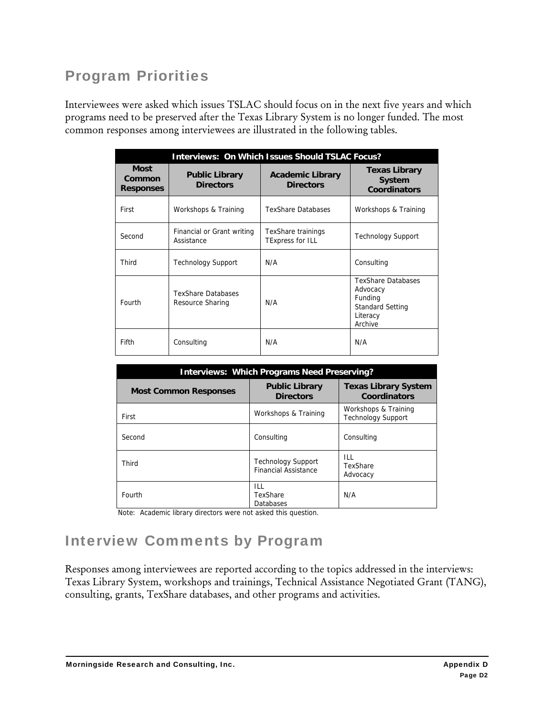## Program Priorities

Interviewees were asked which issues TSLAC should focus on in the next five years and which programs need to be preserved after the Texas Library System is no longer funded. The most common responses among interviewees are illustrated in the following tables.

| <b>Interviews: On Which Issues Should TSLAC Focus?</b> |                                               |                                               |                                                                                                    |  |  |  |
|--------------------------------------------------------|-----------------------------------------------|-----------------------------------------------|----------------------------------------------------------------------------------------------------|--|--|--|
| <b>Most</b><br>Common<br><b>Responses</b>              | <b>Public Library</b><br><b>Directors</b>     | <b>Academic Library</b><br><b>Directors</b>   | <b>Texas Library</b><br><b>System</b><br><b>Coordinators</b>                                       |  |  |  |
| First                                                  | Workshops & Training                          | <b>TexShare Databases</b>                     | Workshops & Training                                                                               |  |  |  |
| Second                                                 | Financial or Grant writing<br>Assistance      | TexShare trainings<br><b>TExpress for ILL</b> | <b>Technology Support</b>                                                                          |  |  |  |
| Third                                                  | <b>Technology Support</b>                     | N/A                                           | Consulting                                                                                         |  |  |  |
| Fourth                                                 | <b>TexShare Databases</b><br>Resource Sharing | N/A                                           | <b>TexShare Databases</b><br>Advocacy<br>Funding<br><b>Standard Setting</b><br>Literacy<br>Archive |  |  |  |
| Fifth                                                  | Consulting                                    | N/A                                           | N/A                                                                                                |  |  |  |

| <b>Interviews: Which Programs Need Preserving?</b> |                                                          |                                                   |  |  |  |
|----------------------------------------------------|----------------------------------------------------------|---------------------------------------------------|--|--|--|
| <b>Most Common Responses</b>                       | <b>Public Library</b><br><b>Directors</b>                | <b>Texas Library System</b><br>Coordinators       |  |  |  |
| First                                              | Workshops & Training                                     | Workshops & Training<br><b>Technology Support</b> |  |  |  |
| Second                                             | Consulting                                               | Consulting                                        |  |  |  |
| Third                                              | <b>Technology Support</b><br><b>Financial Assistance</b> | ILL<br>TexShare<br>Advocacy                       |  |  |  |
| Fourth                                             | ILL<br>TexShare<br>Databases                             | N/A                                               |  |  |  |

Note: Academic library directors were not asked this question.

# Interview Comments by Program

Responses among interviewees are reported according to the topics addressed in the interviews: Texas Library System, workshops and trainings, Technical Assistance Negotiated Grant (TANG), consulting, grants, TexShare databases, and other programs and activities.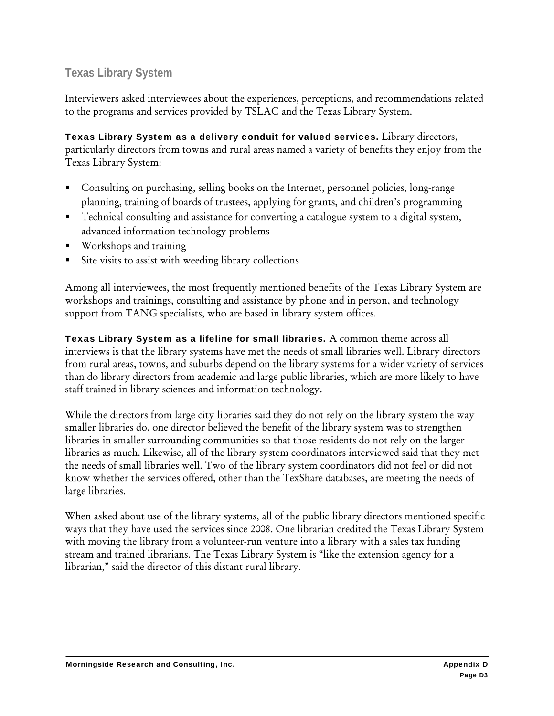#### **Texas Library System**

Interviewers asked interviewees about the experiences, perceptions, and recommendations related to the programs and services provided by TSLAC and the Texas Library System.

Texas Library System as a delivery conduit for valued services. Library directors, particularly directors from towns and rural areas named a variety of benefits they enjoy from the Texas Library System:

- Consulting on purchasing, selling books on the Internet, personnel policies, long-range planning, training of boards of trustees, applying for grants, and children's programming
- Technical consulting and assistance for converting a catalogue system to a digital system, advanced information technology problems
- Workshops and training
- Site visits to assist with weeding library collections

Among all interviewees, the most frequently mentioned benefits of the Texas Library System are workshops and trainings, consulting and assistance by phone and in person, and technology support from TANG specialists, who are based in library system offices.

Texas Library System as a lifeline for small libraries. A common theme across all interviews is that the library systems have met the needs of small libraries well. Library directors from rural areas, towns, and suburbs depend on the library systems for a wider variety of services than do library directors from academic and large public libraries, which are more likely to have staff trained in library sciences and information technology.

While the directors from large city libraries said they do not rely on the library system the way smaller libraries do, one director believed the benefit of the library system was to strengthen libraries in smaller surrounding communities so that those residents do not rely on the larger libraries as much. Likewise, all of the library system coordinators interviewed said that they met the needs of small libraries well. Two of the library system coordinators did not feel or did not know whether the services offered, other than the TexShare databases, are meeting the needs of large libraries.

When asked about use of the library systems, all of the public library directors mentioned specific ways that they have used the services since 2008. One librarian credited the Texas Library System with moving the library from a volunteer-run venture into a library with a sales tax funding stream and trained librarians. The Texas Library System is "like the extension agency for a librarian," said the director of this distant rural library.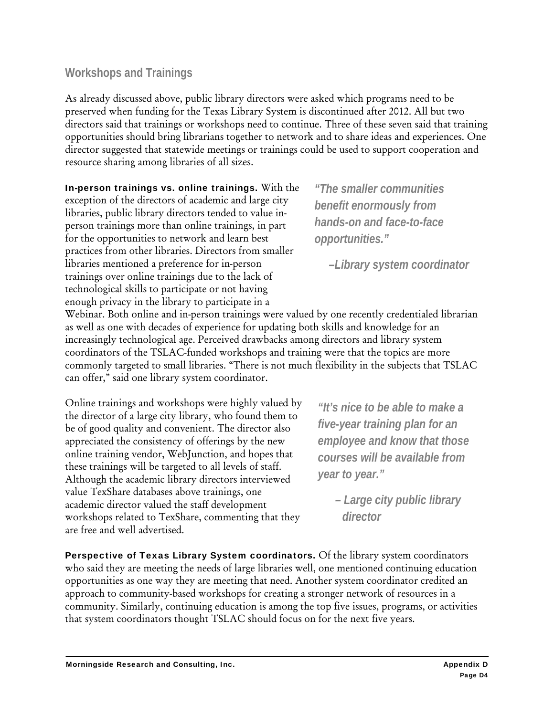#### **Workshops and Trainings**

As already discussed above, public library directors were asked which programs need to be preserved when funding for the Texas Library System is discontinued after 2012. All but two directors said that trainings or workshops need to continue. Three of these seven said that training opportunities should bring librarians together to network and to share ideas and experiences. One director suggested that statewide meetings or trainings could be used to support cooperation and resource sharing among libraries of all sizes.

In-person trainings vs. online trainings. With the exception of the directors of academic and large city libraries, public library directors tended to value inperson trainings more than online trainings, in part for the opportunities to network and learn best practices from other libraries. Directors from smaller libraries mentioned a preference for in-person trainings over online trainings due to the lack of technological skills to participate or not having enough privacy in the library to participate in a

*"The smaller communities benefit enormously from hands-on and face-to-face opportunities."* 

 *–Library system coordinator* 

Webinar. Both online and in-person trainings were valued by one recently credentialed librarian as well as one with decades of experience for updating both skills and knowledge for an increasingly technological age. Perceived drawbacks among directors and library system coordinators of the TSLAC-funded workshops and training were that the topics are more commonly targeted to small libraries. "There is not much flexibility in the subjects that TSLAC can offer," said one library system coordinator.

Online trainings and workshops were highly valued by the director of a large city library, who found them to be of good quality and convenient. The director also appreciated the consistency of offerings by the new online training vendor, WebJunction, and hopes that these trainings will be targeted to all levels of staff. Although the academic library directors interviewed value TexShare databases above trainings, one academic director valued the staff development workshops related to TexShare, commenting that they are free and well advertised.

*"It's nice to be able to make a five-year training plan for an employee and know that those courses will be available from year to year."* 

> *– Large city public library director*

Perspective of Texas Library System coordinators. Of the library system coordinators who said they are meeting the needs of large libraries well, one mentioned continuing education opportunities as one way they are meeting that need. Another system coordinator credited an approach to community-based workshops for creating a stronger network of resources in a community. Similarly, continuing education is among the top five issues, programs, or activities that system coordinators thought TSLAC should focus on for the next five years.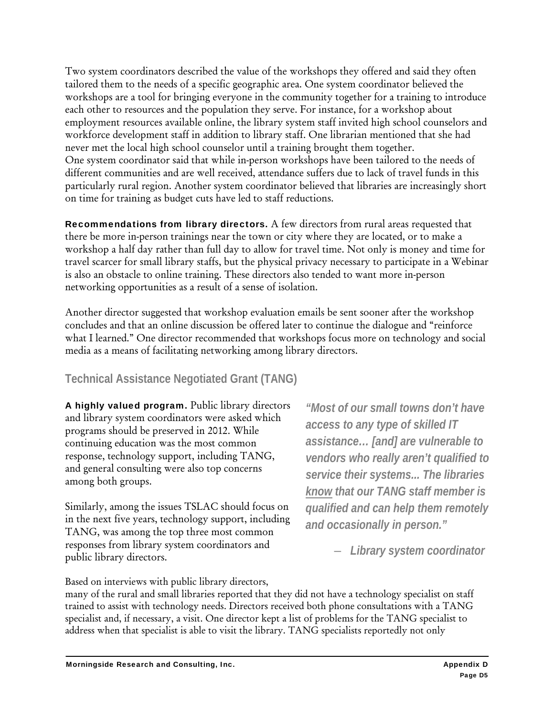Two system coordinators described the value of the workshops they offered and said they often tailored them to the needs of a specific geographic area. One system coordinator believed the workshops are a tool for bringing everyone in the community together for a training to introduce each other to resources and the population they serve. For instance, for a workshop about employment resources available online, the library system staff invited high school counselors and workforce development staff in addition to library staff. One librarian mentioned that she had never met the local high school counselor until a training brought them together. One system coordinator said that while in-person workshops have been tailored to the needs of different communities and are well received, attendance suffers due to lack of travel funds in this particularly rural region. Another system coordinator believed that libraries are increasingly short on time for training as budget cuts have led to staff reductions.

Recommendations from library directors. A few directors from rural areas requested that there be more in-person trainings near the town or city where they are located, or to make a workshop a half day rather than full day to allow for travel time. Not only is money and time for travel scarcer for small library staffs, but the physical privacy necessary to participate in a Webinar is also an obstacle to online training. These directors also tended to want more in-person networking opportunities as a result of a sense of isolation.

Another director suggested that workshop evaluation emails be sent sooner after the workshop concludes and that an online discussion be offered later to continue the dialogue and "reinforce what I learned." One director recommended that workshops focus more on technology and social media as a means of facilitating networking among library directors.

#### **Technical Assistance Negotiated Grant (TANG)**

A highly valued program. Public library directors and library system coordinators were asked which programs should be preserved in 2012. While continuing education was the most common response, technology support, including TANG, and general consulting were also top concerns among both groups.

Similarly, among the issues TSLAC should focus on in the next five years, technology support, including TANG, was among the top three most common responses from library system coordinators and public library directors.

*"Most of our small towns don't have access to any type of skilled IT assistance… [and] are vulnerable to vendors who really aren't qualified to service their systems... The libraries know that our TANG staff member is qualified and can help them remotely and occasionally in person."* 

– *Library system coordinator* 

Based on interviews with public library directors,

many of the rural and small libraries reported that they did not have a technology specialist on staff trained to assist with technology needs. Directors received both phone consultations with a TANG specialist and, if necessary, a visit. One director kept a list of problems for the TANG specialist to address when that specialist is able to visit the library. TANG specialists reportedly not only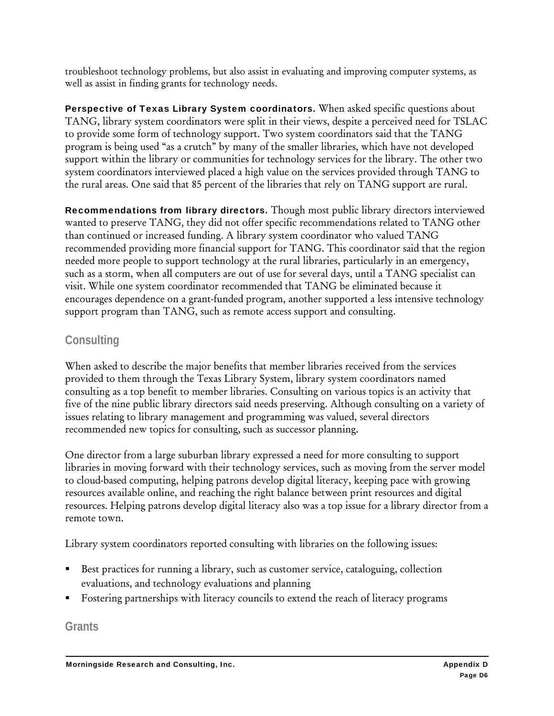troubleshoot technology problems, but also assist in evaluating and improving computer systems, as well as assist in finding grants for technology needs.

Perspective of Texas Library System coordinators. When asked specific questions about TANG, library system coordinators were split in their views, despite a perceived need for TSLAC to provide some form of technology support. Two system coordinators said that the TANG program is being used "as a crutch" by many of the smaller libraries, which have not developed support within the library or communities for technology services for the library. The other two system coordinators interviewed placed a high value on the services provided through TANG to the rural areas. One said that 85 percent of the libraries that rely on TANG support are rural.

Recommendations from library directors. Though most public library directors interviewed wanted to preserve TANG, they did not offer specific recommendations related to TANG other than continued or increased funding. A library system coordinator who valued TANG recommended providing more financial support for TANG. This coordinator said that the region needed more people to support technology at the rural libraries, particularly in an emergency, such as a storm, when all computers are out of use for several days, until a TANG specialist can visit. While one system coordinator recommended that TANG be eliminated because it encourages dependence on a grant-funded program, another supported a less intensive technology support program than TANG, such as remote access support and consulting.

#### **Consulting**

When asked to describe the major benefits that member libraries received from the services provided to them through the Texas Library System, library system coordinators named consulting as a top benefit to member libraries. Consulting on various topics is an activity that five of the nine public library directors said needs preserving. Although consulting on a variety of issues relating to library management and programming was valued, several directors recommended new topics for consulting, such as successor planning.

One director from a large suburban library expressed a need for more consulting to support libraries in moving forward with their technology services, such as moving from the server model to cloud-based computing, helping patrons develop digital literacy, keeping pace with growing resources available online, and reaching the right balance between print resources and digital resources. Helping patrons develop digital literacy also was a top issue for a library director from a remote town.

Library system coordinators reported consulting with libraries on the following issues:

- Best practices for running a library, such as customer service, cataloguing, collection evaluations, and technology evaluations and planning
- Fostering partnerships with literacy councils to extend the reach of literacy programs

**Grants**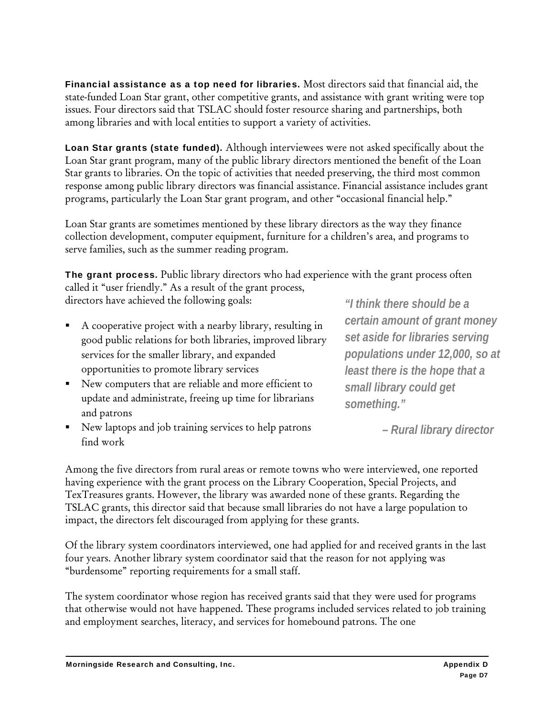Financial assistance as a top need for libraries. Most directors said that financial aid, the state-funded Loan Star grant, other competitive grants, and assistance with grant writing were top issues. Four directors said that TSLAC should foster resource sharing and partnerships, both among libraries and with local entities to support a variety of activities.

Loan Star grants (state funded). Although interviewees were not asked specifically about the Loan Star grant program, many of the public library directors mentioned the benefit of the Loan Star grants to libraries. On the topic of activities that needed preserving, the third most common response among public library directors was financial assistance. Financial assistance includes grant programs, particularly the Loan Star grant program, and other "occasional financial help."

Loan Star grants are sometimes mentioned by these library directors as the way they finance collection development, computer equipment, furniture for a children's area, and programs to serve families, such as the summer reading program.

The grant process. Public library directors who had experience with the grant process often called it "user friendly." As a result of the grant process, directors have achieved the following goals: *"I think there should be a* 

- A cooperative project with a nearby library, resulting in good public relations for both libraries, improved library services for the smaller library, and expanded opportunities to promote library services
- New computers that are reliable and more efficient to update and administrate, freeing up time for librarians and patrons
- New laptops and job training services to help patrons find work

*certain amount of grant money set aside for libraries serving populations under 12,000, so at least there is the hope that a small library could get something."* 

 *– Rural library director* 

Among the five directors from rural areas or remote towns who were interviewed, one reported having experience with the grant process on the Library Cooperation, Special Projects, and TexTreasures grants. However, the library was awarded none of these grants. Regarding the TSLAC grants, this director said that because small libraries do not have a large population to impact, the directors felt discouraged from applying for these grants.

Of the library system coordinators interviewed, one had applied for and received grants in the last four years. Another library system coordinator said that the reason for not applying was "burdensome" reporting requirements for a small staff.

The system coordinator whose region has received grants said that they were used for programs that otherwise would not have happened. These programs included services related to job training and employment searches, literacy, and services for homebound patrons. The one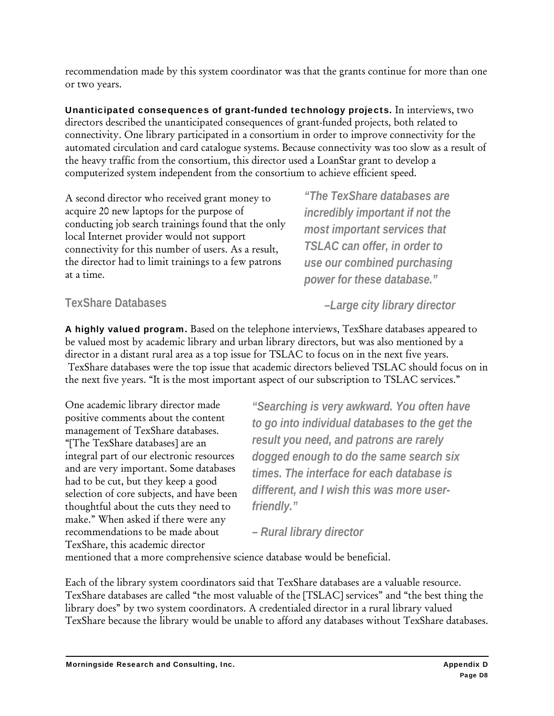recommendation made by this system coordinator was that the grants continue for more than one or two years.

Unanticipated consequences of grant-funded technology projects. In interviews, two directors described the unanticipated consequences of grant-funded projects, both related to connectivity. One library participated in a consortium in order to improve connectivity for the automated circulation and card catalogue systems. Because connectivity was too slow as a result of the heavy traffic from the consortium, this director used a LoanStar grant to develop a computerized system independent from the consortium to achieve efficient speed.

A second director who received grant money to acquire 20 new laptops for the purpose of conducting job search trainings found that the only local Internet provider would not support connectivity for this number of users. As a result, the director had to limit trainings to a few patrons at a time.

*"The TexShare databases are incredibly important if not the most important services that TSLAC can offer, in order to use our combined purchasing power for these database."* 

#### **TexShare Databases**

A highly valued program. Based on the telephone interviews, TexShare databases appeared to be valued most by academic library and urban library directors, but was also mentioned by a director in a distant rural area as a top issue for TSLAC to focus on in the next five years. TexShare databases were the top issue that academic directors believed TSLAC should focus on in the next five years. "It is the most important aspect of our subscription to TSLAC services."

One academic library director made positive comments about the content management of TexShare databases. "[The TexShare databases] are an integral part of our electronic resources and are very important. Some databases had to be cut, but they keep a good selection of core subjects, and have been thoughtful about the cuts they need to make." When asked if there were any recommendations to be made about TexShare, this academic director

*"Searching is very awkward. You often have to go into individual databases to the get the result you need, and patrons are rarely dogged enough to do the same search six times. The interface for each database is different, and I wish this was more userfriendly."* 

*– Rural library director* 

mentioned that a more comprehensive science database would be beneficial.

Each of the library system coordinators said that TexShare databases are a valuable resource. TexShare databases are called "the most valuable of the [TSLAC] services" and "the best thing the library does" by two system coordinators. A credentialed director in a rural library valued TexShare because the library would be unable to afford any databases without TexShare databases.

 *–Large city library director*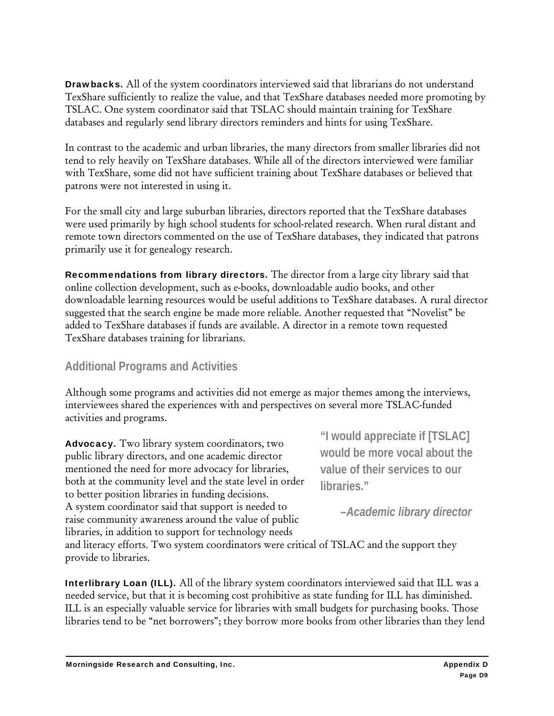Drawbacks. All of the system coordinators interviewed said that librarians do not understand TexShare sufficiently to realize the value, and that TexShare databases needed more promoting by TSLAC. One system coordinator said that TSLAC should maintain training for TexShare databases and regularly send library directors reminders and hints for using TexShare.

In contrast to the academic and urban libraries, the many directors from smaller libraries did not tend to rely heavily on TexShare databases. While all of the directors interviewed were familiar with TexShare, some did not have sufficient training about TexShare databases or believed that patrons were not interested in using it.

For the small city and large suburban libraries, directors reported that the TexShare databases were used primarily by high school students for school-related research. When rural distant and remote town directors commented on the use of TexShare databases, they indicated that patrons primarily use it for genealogy research.

Recommendations from library directors. The director from a large city library said that online collection development, such as e-books, downloadable audio books, and other downloadable learning resources would be useful additions to TexShare databases. A rural director suggested that the search engine be made more reliable. Another requested that "Novelist" be added to TexShare databases if funds are available. A director in a remote town requested TexShare databases training for librarians.

#### **Additional Programs and Activities**

Although some programs and activities did not emerge as major themes among the interviews, interviewees shared the experiences with and perspectives on several more TSLAC-funded activities and programs.

Advocacy. Two library system coordinators, two public library directors, and one academic director mentioned the need for more advocacy for libraries, both at the community level and the state level in order to better position libraries in funding decisions. A system coordinator said that support is needed to raise community awareness around the value of public libraries, in addition to support for technology needs

**"I would appreciate if [TSLAC] would be more vocal about the value of their services to our libraries."** 

*–Academic library director* 

and literacy efforts. Two system coordinators were critical of TSLAC and the support they provide to libraries.

Interlibrary Loan (ILL). All of the library system coordinators interviewed said that ILL was a needed service, but that it is becoming cost prohibitive as state funding for ILL has diminished. ILL is an especially valuable service for libraries with small budgets for purchasing books. Those libraries tend to be "net borrowers"; they borrow more books from other libraries than they lend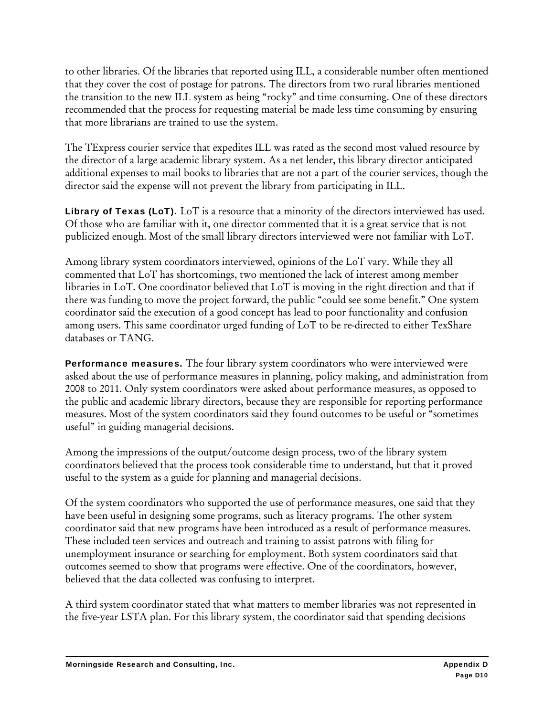to other libraries. Of the libraries that reported using ILL, a considerable number often mentioned that they cover the cost of postage for patrons. The directors from two rural libraries mentioned the transition to the new ILL system as being "rocky" and time consuming. One of these directors recommended that the process for requesting material be made less time consuming by ensuring that more librarians are trained to use the system.

The TExpress courier service that expedites ILL was rated as the second most valued resource by the director of a large academic library system. As a net lender, this library director anticipated additional expenses to mail books to libraries that are not a part of the courier services, though the director said the expense will not prevent the library from participating in ILL.

Library of Texas (LoT). LoT is a resource that a minority of the directors interviewed has used. Of those who are familiar with it, one director commented that it is a great service that is not publicized enough. Most of the small library directors interviewed were not familiar with LoT.

Among library system coordinators interviewed, opinions of the LoT vary. While they all commented that LoT has shortcomings, two mentioned the lack of interest among member libraries in LoT. One coordinator believed that LoT is moving in the right direction and that if there was funding to move the project forward, the public "could see some benefit." One system coordinator said the execution of a good concept has lead to poor functionality and confusion among users. This same coordinator urged funding of LoT to be re-directed to either TexShare databases or TANG.

Performance measures. The four library system coordinators who were interviewed were asked about the use of performance measures in planning, policy making, and administration from 2008 to 2011. Only system coordinators were asked about performance measures, as opposed to the public and academic library directors, because they are responsible for reporting performance measures. Most of the system coordinators said they found outcomes to be useful or "sometimes useful" in guiding managerial decisions.

Among the impressions of the output/outcome design process, two of the library system coordinators believed that the process took considerable time to understand, but that it proved useful to the system as a guide for planning and managerial decisions.

Of the system coordinators who supported the use of performance measures, one said that they have been useful in designing some programs, such as literacy programs. The other system coordinator said that new programs have been introduced as a result of performance measures. These included teen services and outreach and training to assist patrons with filing for unemployment insurance or searching for employment. Both system coordinators said that outcomes seemed to show that programs were effective. One of the coordinators, however, believed that the data collected was confusing to interpret.

A third system coordinator stated that what matters to member libraries was not represented in the five-year LSTA plan. For this library system, the coordinator said that spending decisions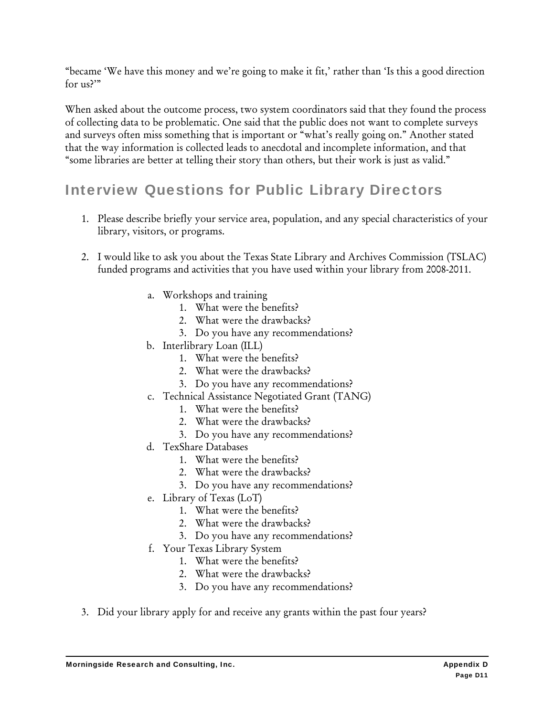"became 'We have this money and we're going to make it fit,' rather than 'Is this a good direction for us?'"

When asked about the outcome process, two system coordinators said that they found the process of collecting data to be problematic. One said that the public does not want to complete surveys and surveys often miss something that is important or "what's really going on." Another stated that the way information is collected leads to anecdotal and incomplete information, and that "some libraries are better at telling their story than others, but their work is just as valid."

## Interview Questions for Public Library Directors

- 1. Please describe briefly your service area, population, and any special characteristics of your library, visitors, or programs.
- 2. I would like to ask you about the Texas State Library and Archives Commission (TSLAC) funded programs and activities that you have used within your library from 2008-2011.
	- a. Workshops and training
		- 1. What were the benefits?
		- 2. What were the drawbacks?
		- 3. Do you have any recommendations?
	- b. Interlibrary Loan (ILL)
		- 1. What were the benefits?
		- 2. What were the drawbacks?
		- 3. Do you have any recommendations?
	- c. Technical Assistance Negotiated Grant (TANG)
		- 1. What were the benefits?
		- 2. What were the drawbacks?
		- 3. Do you have any recommendations?
	- d. TexShare Databases
		- 1. What were the benefits?
		- 2. What were the drawbacks?
		- 3. Do you have any recommendations?
	- e. Library of Texas (LoT)
		- 1. What were the benefits?
		- 2. What were the drawbacks?
		- 3. Do you have any recommendations?
	- f. Your Texas Library System
		- 1. What were the benefits?
		- 2. What were the drawbacks?
		- 3. Do you have any recommendations?
- 3. Did your library apply for and receive any grants within the past four years?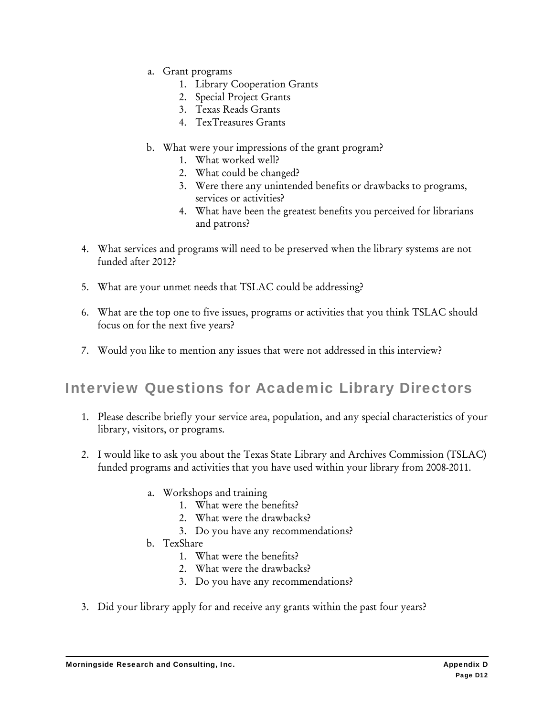- a. Grant programs
	- 1. Library Cooperation Grants
	- 2. Special Project Grants
	- 3. Texas Reads Grants
	- 4. TexTreasures Grants
- b. What were your impressions of the grant program?
	- 1. What worked well?
	- 2. What could be changed?
	- 3. Were there any unintended benefits or drawbacks to programs, services or activities?
	- 4. What have been the greatest benefits you perceived for librarians and patrons?
- 4. What services and programs will need to be preserved when the library systems are not funded after 2012?
- 5. What are your unmet needs that TSLAC could be addressing?
- 6. What are the top one to five issues, programs or activities that you think TSLAC should focus on for the next five years?
- 7. Would you like to mention any issues that were not addressed in this interview?

## Interview Questions for Academic Library Directors

- 1. Please describe briefly your service area, population, and any special characteristics of your library, visitors, or programs.
- 2. I would like to ask you about the Texas State Library and Archives Commission (TSLAC) funded programs and activities that you have used within your library from 2008-2011.
	- a. Workshops and training
		- 1. What were the benefits?
		- 2. What were the drawbacks?
		- 3. Do you have any recommendations?
	- b. TexShare
		- 1. What were the benefits?
		- 2. What were the drawbacks?
		- 3. Do you have any recommendations?
- 3. Did your library apply for and receive any grants within the past four years?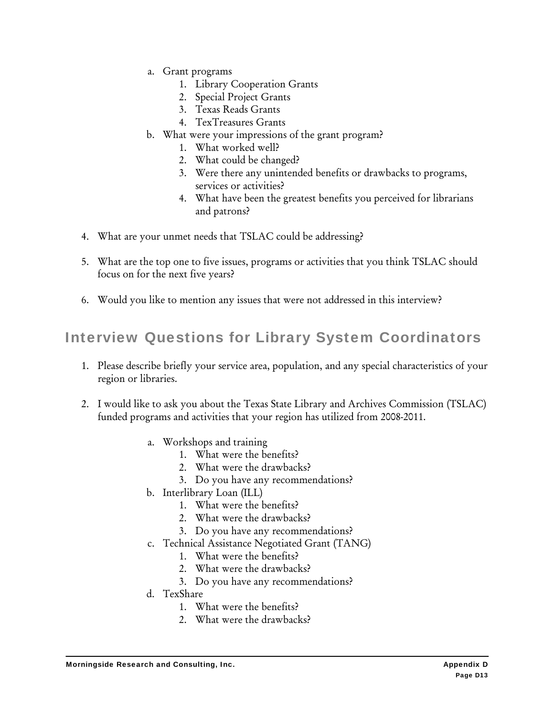- a. Grant programs
	- 1. Library Cooperation Grants
	- 2. Special Project Grants
	- 3. Texas Reads Grants
	- 4. TexTreasures Grants
- b. What were your impressions of the grant program?
	- 1. What worked well?
	- 2. What could be changed?
	- 3. Were there any unintended benefits or drawbacks to programs, services or activities?
	- 4. What have been the greatest benefits you perceived for librarians and patrons?
- 4. What are your unmet needs that TSLAC could be addressing?
- 5. What are the top one to five issues, programs or activities that you think TSLAC should focus on for the next five years?
- 6. Would you like to mention any issues that were not addressed in this interview?

## Interview Questions for Library System Coordinators

- 1. Please describe briefly your service area, population, and any special characteristics of your region or libraries.
- 2. I would like to ask you about the Texas State Library and Archives Commission (TSLAC) funded programs and activities that your region has utilized from 2008-2011.
	- a. Workshops and training
		- 1. What were the benefits?
		- 2. What were the drawbacks?
		- 3. Do you have any recommendations?
	- b. Interlibrary Loan (ILL)
		- 1. What were the benefits?
		- 2. What were the drawbacks?
		- 3. Do you have any recommendations?
	- c. Technical Assistance Negotiated Grant (TANG)
		- 1. What were the benefits?
		- 2. What were the drawbacks?
		- 3. Do you have any recommendations?
	- d. TexShare
		- 1. What were the benefits?
		- 2. What were the drawbacks?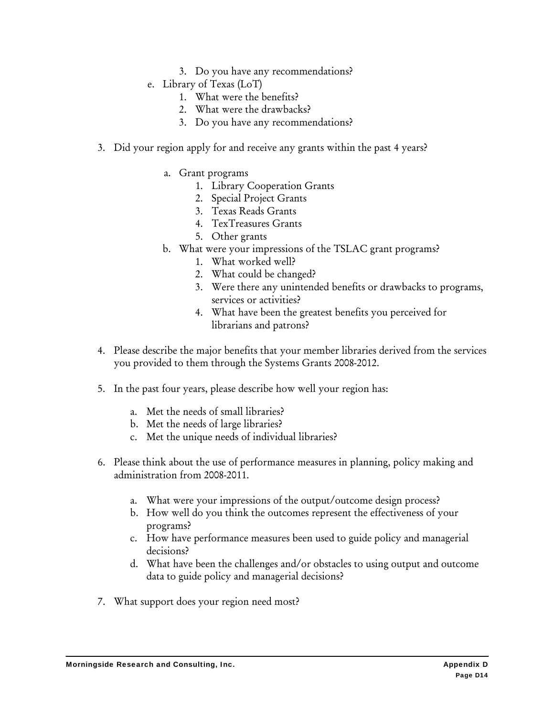- 3. Do you have any recommendations?
- e. Library of Texas (LoT)
	- 1. What were the benefits?
	- 2. What were the drawbacks?
	- 3. Do you have any recommendations?
- 3. Did your region apply for and receive any grants within the past 4 years?
	- a. Grant programs
		- 1. Library Cooperation Grants
		- 2. Special Project Grants
		- 3. Texas Reads Grants
		- 4. TexTreasures Grants
		- 5. Other grants
	- b. What were your impressions of the TSLAC grant programs?
		- 1. What worked well?
		- 2. What could be changed?
		- 3. Were there any unintended benefits or drawbacks to programs, services or activities?
		- 4. What have been the greatest benefits you perceived for librarians and patrons?
- 4. Please describe the major benefits that your member libraries derived from the services you provided to them through the Systems Grants 2008-2012.
- 5. In the past four years, please describe how well your region has:
	- a. Met the needs of small libraries?
	- b. Met the needs of large libraries?
	- c. Met the unique needs of individual libraries?
- 6. Please think about the use of performance measures in planning, policy making and administration from 2008-2011.
	- a. What were your impressions of the output/outcome design process?
	- b. How well do you think the outcomes represent the effectiveness of your programs?
	- c. How have performance measures been used to guide policy and managerial decisions?
	- d. What have been the challenges and/or obstacles to using output and outcome data to guide policy and managerial decisions?
- 7. What support does your region need most?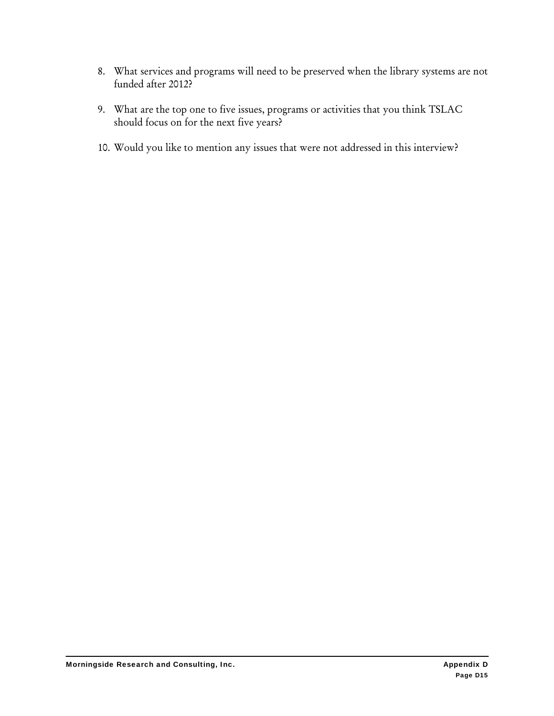- 8. What services and programs will need to be preserved when the library systems are not funded after 2012?
- 9. What are the top one to five issues, programs or activities that you think TSLAC should focus on for the next five years?
- 10. Would you like to mention any issues that were not addressed in this interview?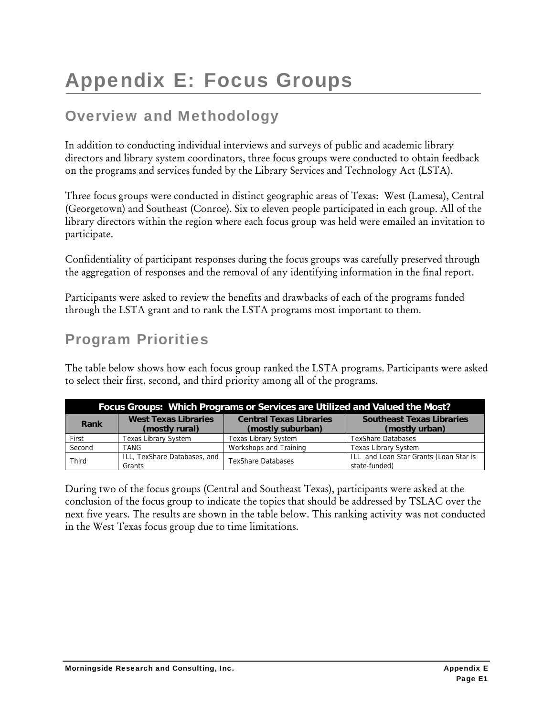# Appendix E: Focus Groups

## Overview and Methodology

In addition to conducting individual interviews and surveys of public and academic library directors and library system coordinators, three focus groups were conducted to obtain feedback on the programs and services funded by the Library Services and Technology Act (LSTA).

Three focus groups were conducted in distinct geographic areas of Texas: West (Lamesa), Central (Georgetown) and Southeast (Conroe). Six to eleven people participated in each group. All of the library directors within the region where each focus group was held were emailed an invitation to participate.

Confidentiality of participant responses during the focus groups was carefully preserved through the aggregation of responses and the removal of any identifying information in the final report.

Participants were asked to review the benefits and drawbacks of each of the programs funded through the LSTA grant and to rank the LSTA programs most important to them.

## Program Priorities

The table below shows how each focus group ranked the LSTA programs. Participants were asked to select their first, second, and third priority among all of the programs.

| Focus Groups: Which Programs or Services are Utilized and Valued the Most? |                                               |                                                     |                                                         |  |  |  |  |  |  |
|----------------------------------------------------------------------------|-----------------------------------------------|-----------------------------------------------------|---------------------------------------------------------|--|--|--|--|--|--|
| Rank                                                                       | <b>West Texas Libraries</b><br>(mostly rural) | <b>Central Texas Libraries</b><br>(mostly suburban) | <b>Southeast Texas Libraries</b><br>(mostly urban)      |  |  |  |  |  |  |
| First                                                                      | <b>Texas Library System</b>                   | <b>Texas Library System</b>                         | <b>TexShare Databases</b>                               |  |  |  |  |  |  |
| Second                                                                     | TANG                                          | Workshops and Training                              | <b>Texas Library System</b>                             |  |  |  |  |  |  |
| Third                                                                      | ILL, TexShare Databases, and<br>Grants        | <b>TexShare Databases</b>                           | ILL and Loan Star Grants (Loan Star is<br>state-funded) |  |  |  |  |  |  |

During two of the focus groups (Central and Southeast Texas), participants were asked at the conclusion of the focus group to indicate the topics that should be addressed by TSLAC over the next five years. The results are shown in the table below. This ranking activity was not conducted in the West Texas focus group due to time limitations.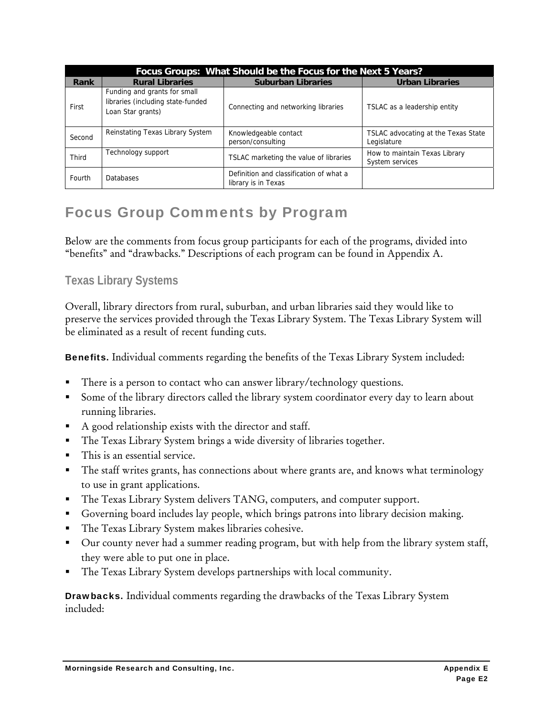| Focus Groups: What Should be the Focus for the Next 5 Years? |                                                                                        |                                                                |                                                    |  |  |  |  |  |  |
|--------------------------------------------------------------|----------------------------------------------------------------------------------------|----------------------------------------------------------------|----------------------------------------------------|--|--|--|--|--|--|
| Rank                                                         | <b>Rural Libraries</b>                                                                 | <b>Suburban Libraries</b>                                      | <b>Urban Libraries</b>                             |  |  |  |  |  |  |
| First                                                        | Funding and grants for small<br>libraries (including state-funded<br>Loan Star grants) | Connecting and networking libraries                            | TSLAC as a leadership entity                       |  |  |  |  |  |  |
| Second                                                       | Reinstating Texas Library System                                                       | Knowledgeable contact<br>person/consulting                     | TSLAC advocating at the Texas State<br>Legislature |  |  |  |  |  |  |
| Third                                                        | Technology support                                                                     | TSLAC marketing the value of libraries                         | How to maintain Texas Library<br>System services   |  |  |  |  |  |  |
| Fourth                                                       | <b>Databases</b>                                                                       | Definition and classification of what a<br>library is in Texas |                                                    |  |  |  |  |  |  |

## Focus Group Comments by Program

Below are the comments from focus group participants for each of the programs, divided into "benefits" and "drawbacks." Descriptions of each program can be found in Appendix A.

#### **Texas Library Systems**

Overall, library directors from rural, suburban, and urban libraries said they would like to preserve the services provided through the Texas Library System. The Texas Library System will be eliminated as a result of recent funding cuts.

Benefits. Individual comments regarding the benefits of the Texas Library System included:

- There is a person to contact who can answer library/technology questions.
- Some of the library directors called the library system coordinator every day to learn about running libraries.
- A good relationship exists with the director and staff.
- The Texas Library System brings a wide diversity of libraries together.
- This is an essential service.
- The staff writes grants, has connections about where grants are, and knows what terminology to use in grant applications.
- The Texas Library System delivers TANG, computers, and computer support.
- Governing board includes lay people, which brings patrons into library decision making.
- The Texas Library System makes libraries cohesive.
- Our county never had a summer reading program, but with help from the library system staff, they were able to put one in place.
- The Texas Library System develops partnerships with local community.

Drawbacks. Individual comments regarding the drawbacks of the Texas Library System included: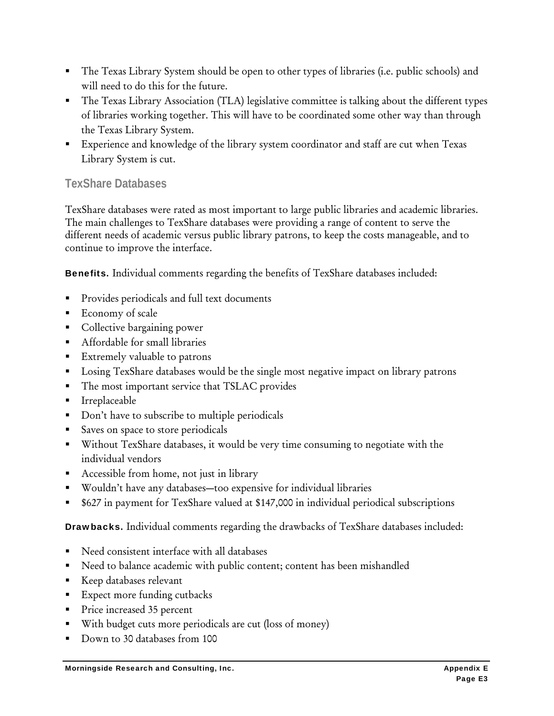- The Texas Library System should be open to other types of libraries (i.e. public schools) and will need to do this for the future.
- The Texas Library Association (TLA) legislative committee is talking about the different types of libraries working together. This will have to be coordinated some other way than through the Texas Library System.
- Experience and knowledge of the library system coordinator and staff are cut when Texas Library System is cut.

#### **TexShare Databases**

TexShare databases were rated as most important to large public libraries and academic libraries. The main challenges to TexShare databases were providing a range of content to serve the different needs of academic versus public library patrons, to keep the costs manageable, and to continue to improve the interface.

Benefits. Individual comments regarding the benefits of TexShare databases included:

- Provides periodicals and full text documents
- Economy of scale
- **Collective bargaining power**
- Affordable for small libraries
- Extremely valuable to patrons
- **Losing TexShare databases would be the single most negative impact on library patrons**
- The most important service that TSLAC provides
- **I**rreplaceable
- Don't have to subscribe to multiple periodicals
- Saves on space to store periodicals
- Without TexShare databases, it would be very time consuming to negotiate with the individual vendors
- Accessible from home, not just in library
- Wouldn't have any databases—too expensive for individual libraries
- \$627 in payment for TexShare valued at \$147,000 in individual periodical subscriptions

Drawbacks. Individual comments regarding the drawbacks of TexShare databases included:

- Need consistent interface with all databases
- Need to balance academic with public content; content has been mishandled
- **Keep databases relevant**
- **Expect more funding cutbacks**
- Price increased 35 percent
- With budget cuts more periodicals are cut (loss of money)
- Down to 30 databases from 100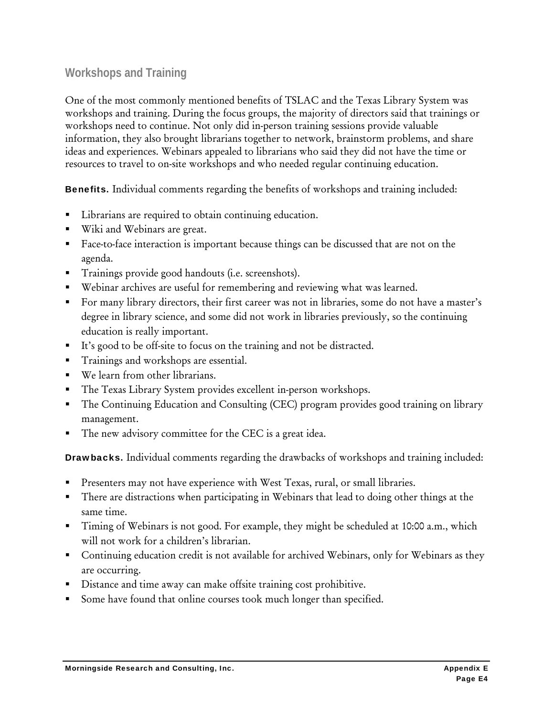#### **Workshops and Training**

One of the most commonly mentioned benefits of TSLAC and the Texas Library System was workshops and training. During the focus groups, the majority of directors said that trainings or workshops need to continue. Not only did in-person training sessions provide valuable information, they also brought librarians together to network, brainstorm problems, and share ideas and experiences. Webinars appealed to librarians who said they did not have the time or resources to travel to on-site workshops and who needed regular continuing education.

Benefits. Individual comments regarding the benefits of workshops and training included:

- **EXECUTE:** Librarians are required to obtain continuing education.
- Wiki and Webinars are great.
- Face-to-face interaction is important because things can be discussed that are not on the agenda.
- Trainings provide good handouts (i.e. screenshots).
- Webinar archives are useful for remembering and reviewing what was learned.
- For many library directors, their first career was not in libraries, some do not have a master's degree in library science, and some did not work in libraries previously, so the continuing education is really important.
- It's good to be off-site to focus on the training and not be distracted.
- Trainings and workshops are essential.
- We learn from other librarians.
- The Texas Library System provides excellent in-person workshops.
- The Continuing Education and Consulting (CEC) program provides good training on library management.
- The new advisory committee for the CEC is a great idea.

Drawbacks. Individual comments regarding the drawbacks of workshops and training included:

- Presenters may not have experience with West Texas, rural, or small libraries.
- **There are distractions when participating in Webinars that lead to doing other things at the** same time.
- Timing of Webinars is not good. For example, they might be scheduled at 10:00 a.m., which will not work for a children's librarian.
- Continuing education credit is not available for archived Webinars, only for Webinars as they are occurring.
- Distance and time away can make offsite training cost prohibitive.
- Some have found that online courses took much longer than specified.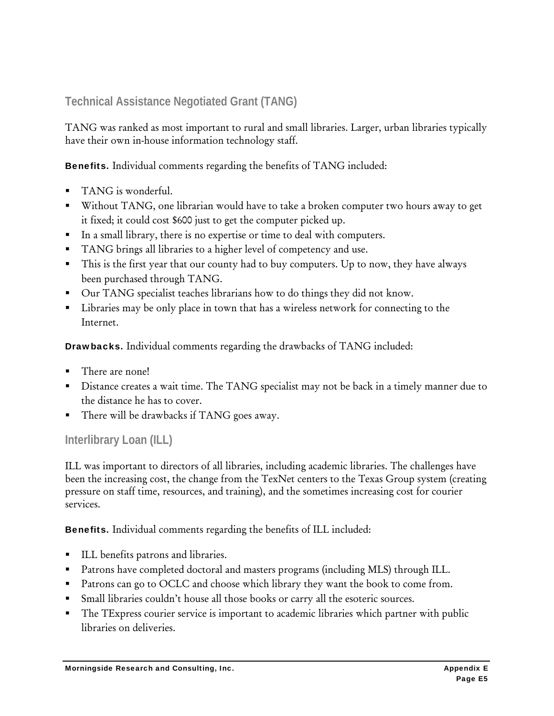#### **Technical Assistance Negotiated Grant (TANG)**

TANG was ranked as most important to rural and small libraries. Larger, urban libraries typically have their own in-house information technology staff.

Benefits. Individual comments regarding the benefits of TANG included:

- TANG is wonderful.
- Without TANG, one librarian would have to take a broken computer two hours away to get it fixed; it could cost \$600 just to get the computer picked up.
- In a small library, there is no expertise or time to deal with computers.
- TANG brings all libraries to a higher level of competency and use.
- This is the first year that our county had to buy computers. Up to now, they have always been purchased through TANG.
- Our TANG specialist teaches librarians how to do things they did not know.
- **EXECUTE:** Libraries may be only place in town that has a wireless network for connecting to the Internet.

Drawbacks. Individual comments regarding the drawbacks of TANG included:

- There are none!
- Distance creates a wait time. The TANG specialist may not be back in a timely manner due to the distance he has to cover.
- There will be drawbacks if TANG goes away.

#### **Interlibrary Loan (ILL)**

ILL was important to directors of all libraries, including academic libraries. The challenges have been the increasing cost, the change from the TexNet centers to the Texas Group system (creating pressure on staff time, resources, and training), and the sometimes increasing cost for courier services.

Benefits. Individual comments regarding the benefits of ILL included:

- ILL benefits patrons and libraries.
- **Patrons have completed doctoral and masters programs (including MLS) through ILL.**
- Patrons can go to OCLC and choose which library they want the book to come from.
- Small libraries couldn't house all those books or carry all the esoteric sources.
- The TExpress courier service is important to academic libraries which partner with public libraries on deliveries.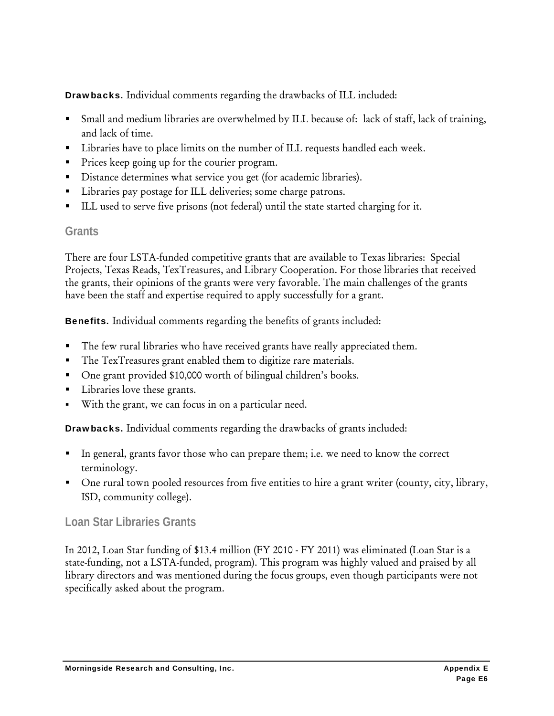Drawbacks. Individual comments regarding the drawbacks of ILL included:

- Small and medium libraries are overwhelmed by ILL because of: lack of staff, lack of training, and lack of time.
- Libraries have to place limits on the number of ILL requests handled each week.
- Prices keep going up for the courier program.
- Distance determines what service you get (for academic libraries).
- **Libraries pay postage for ILL deliveries; some charge patrons.**
- ILL used to serve five prisons (not federal) until the state started charging for it.

#### **Grants**

There are four LSTA-funded competitive grants that are available to Texas libraries: Special Projects, Texas Reads, TexTreasures, and Library Cooperation. For those libraries that received the grants, their opinions of the grants were very favorable. The main challenges of the grants have been the staff and expertise required to apply successfully for a grant.

Benefits. Individual comments regarding the benefits of grants included:

- The few rural libraries who have received grants have really appreciated them.
- The TexTreasures grant enabled them to digitize rare materials.
- One grant provided \$10,000 worth of bilingual children's books.
- **Libraries love these grants.**
- With the grant, we can focus in on a particular need.

Drawbacks. Individual comments regarding the drawbacks of grants included:

- In general, grants favor those who can prepare them; i.e. we need to know the correct terminology.
- One rural town pooled resources from five entities to hire a grant writer (county, city, library, ISD, community college).

#### **Loan Star Libraries Grants**

In 2012, Loan Star funding of \$13.4 million (FY 2010 - FY 2011) was eliminated (Loan Star is a state-funding, not a LSTA-funded, program). This program was highly valued and praised by all library directors and was mentioned during the focus groups, even though participants were not specifically asked about the program.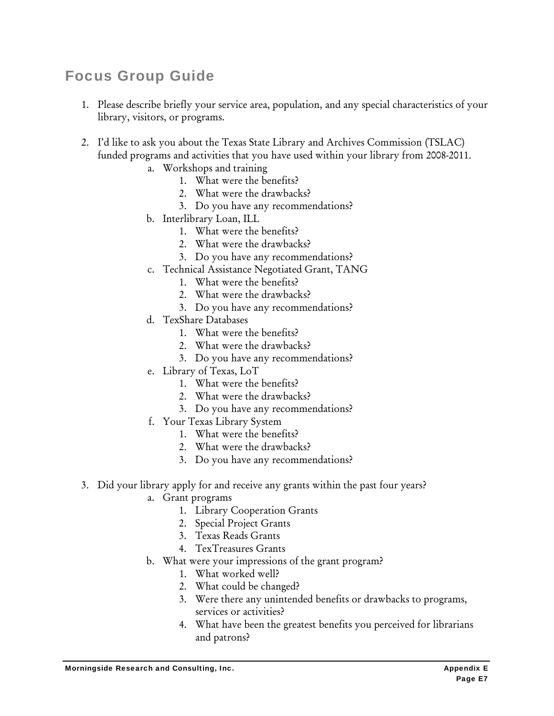## Focus Group Guide

- 1. Please describe briefly your service area, population, and any special characteristics of your library, visitors, or programs.
- 2. I'd like to ask you about the Texas State Library and Archives Commission (TSLAC) funded programs and activities that you have used within your library from 2008-2011.
	- a. Workshops and training
		- 1. What were the benefits?
		- 2. What were the drawbacks?
		- 3. Do you have any recommendations?
	- b. Interlibrary Loan, ILL
		- 1. What were the benefits?
		- 2. What were the drawbacks?
		- 3. Do you have any recommendations?
	- c. Technical Assistance Negotiated Grant, TANG
		- 1. What were the benefits?
		- 2. What were the drawbacks?
		- 3. Do you have any recommendations?
	- d. TexShare Databases
		- 1. What were the benefits?
		- 2. What were the drawbacks?
		- 3. Do you have any recommendations?
	- e. Library of Texas, LoT
		- 1. What were the benefits?
		- 2. What were the drawbacks?
		- 3. Do you have any recommendations?
	- f. Your Texas Library System
		- 1. What were the benefits?
		- 2. What were the drawbacks?
		- 3. Do you have any recommendations?
- 3. Did your library apply for and receive any grants within the past four years?
	- a. Grant programs
		- 1. Library Cooperation Grants
		- 2. Special Project Grants
		- 3. Texas Reads Grants
		- 4. TexTreasures Grants
	- b. What were your impressions of the grant program?
		- 1. What worked well?
		- 2. What could be changed?
		- 3. Were there any unintended benefits or drawbacks to programs, services or activities?
		- 4. What have been the greatest benefits you perceived for librarians and patrons?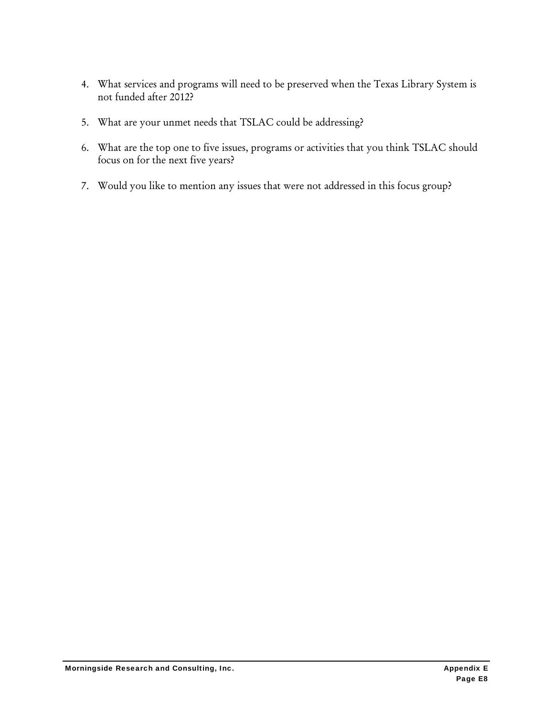- 4. What services and programs will need to be preserved when the Texas Library System is not funded after 2012?
- 5. What are your unmet needs that TSLAC could be addressing?
- 6. What are the top one to five issues, programs or activities that you think TSLAC should focus on for the next five years?
- 7. Would you like to mention any issues that were not addressed in this focus group?